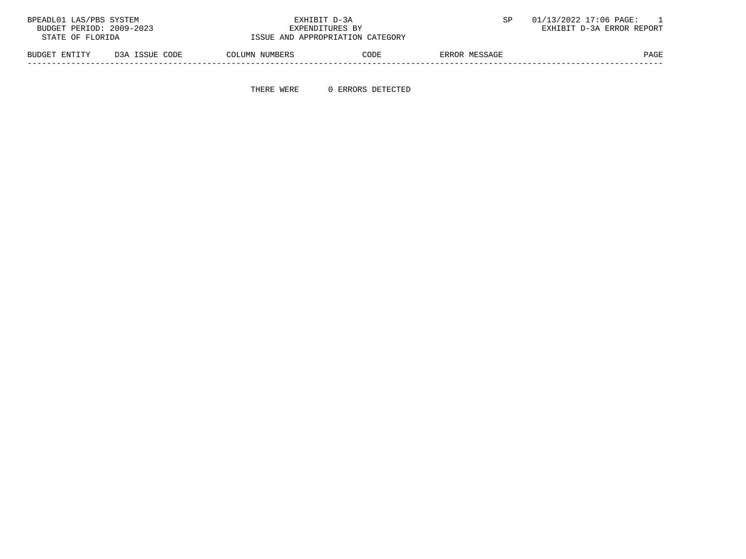| BPEADL01 LAS/PBS SYSTEM  |                                  | EXHIBIT D-3A                     |               | 01/13/2022 17:06 PAGE:    |
|--------------------------|----------------------------------|----------------------------------|---------------|---------------------------|
| BUDGET PERIOD: 2009-2023 |                                  | EXPENDITURES BY                  |               | EXHIBIT D-3A ERROR REPORT |
| STATE OF FLORIDA         |                                  | ISSUE AND APPROPRIATION CATEGORY |               |                           |
| BUDGET ENTITY            | D3A ISSUE CODE<br>COLUMN NUMBERS | CODE                             | ERROR MESSAGE | PAGE                      |

-----------------------------------------------------------------------------------------------------------------------------------

THERE WERE 0 ERRORS DETECTED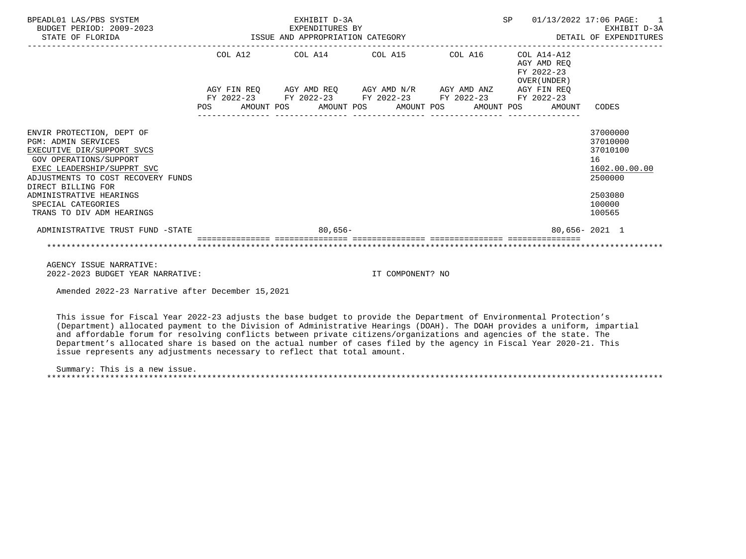| BPEADL01 LAS/PBS SYSTEM<br>BUDGET PERIOD: 2009-2023<br>STATE OF FLORIDA                                                                                                                                                                                                                        |                        | EXHIBIT D-3A<br>EXPENDITURES BY<br>ISSUE AND APPROPRIATION CATEGORY             | SP                                  | 01/13/2022 17:06 PAGE:<br>$\overline{1}$<br>EXHIBIT D-3A<br>DETAIL OF EXPENDITURES |                                                                         |                                                                                                   |
|------------------------------------------------------------------------------------------------------------------------------------------------------------------------------------------------------------------------------------------------------------------------------------------------|------------------------|---------------------------------------------------------------------------------|-------------------------------------|------------------------------------------------------------------------------------|-------------------------------------------------------------------------|---------------------------------------------------------------------------------------------------|
|                                                                                                                                                                                                                                                                                                | COL A12<br>AGY FIN REO | COL A14 COL A15                                                                 | AGY AMD REQ AGY AMD N/R AGY AMD ANZ | COL A16                                                                            | COL A14-A12<br>AGY AMD REO<br>FY 2022-23<br>OVER (UNDER)<br>AGY FIN REQ |                                                                                                   |
|                                                                                                                                                                                                                                                                                                | POS                    | FY 2022-23 FY 2022-23 FY 2022-23 FY 2022-23<br>AMOUNT POS AMOUNT POS AMOUNT POS |                                     | AMOUNT POS                                                                         | FY 2022-23<br>AMOUNT                                                    | CODES                                                                                             |
| ENVIR PROTECTION, DEPT OF<br><b>PGM: ADMIN SERVICES</b><br>EXECUTIVE DIR/SUPPORT SVCS<br><b>GOV OPERATIONS/SUPPORT</b><br>EXEC LEADERSHIP/SUPPRT SVC<br>ADJUSTMENTS TO COST RECOVERY FUNDS<br>DIRECT BILLING FOR<br>ADMINISTRATIVE HEARINGS<br>SPECIAL CATEGORIES<br>TRANS TO DIV ADM HEARINGS |                        |                                                                                 |                                     |                                                                                    |                                                                         | 37000000<br>37010000<br>37010100<br>16<br>1602.00.00.00<br>2500000<br>2503080<br>100000<br>100565 |
| ADMINISTRATIVE TRUST FUND -STATE                                                                                                                                                                                                                                                               |                        | $80,656-$                                                                       |                                     |                                                                                    |                                                                         | $80.656 - 2021$ 1                                                                                 |
|                                                                                                                                                                                                                                                                                                |                        |                                                                                 |                                     |                                                                                    |                                                                         |                                                                                                   |

 AGENCY ISSUE NARRATIVE: 2022-2023 BUDGET YEAR NARRATIVE: IT COMPONENT? NO

Amended 2022-23 Narrative after December 15,2021

 This issue for Fiscal Year 2022-23 adjusts the base budget to provide the Department of Environmental Protection's (Department) allocated payment to the Division of Administrative Hearings (DOAH). The DOAH provides a uniform, impartial and affordable forum for resolving conflicts between private citizens/organizations and agencies of the state. The Department's allocated share is based on the actual number of cases filed by the agency in Fiscal Year 2020-21. This issue represents any adjustments necessary to reflect that total amount.

 Summary: This is a new issue. \*\*\*\*\*\*\*\*\*\*\*\*\*\*\*\*\*\*\*\*\*\*\*\*\*\*\*\*\*\*\*\*\*\*\*\*\*\*\*\*\*\*\*\*\*\*\*\*\*\*\*\*\*\*\*\*\*\*\*\*\*\*\*\*\*\*\*\*\*\*\*\*\*\*\*\*\*\*\*\*\*\*\*\*\*\*\*\*\*\*\*\*\*\*\*\*\*\*\*\*\*\*\*\*\*\*\*\*\*\*\*\*\*\*\*\*\*\*\*\*\*\*\*\*\*\*\*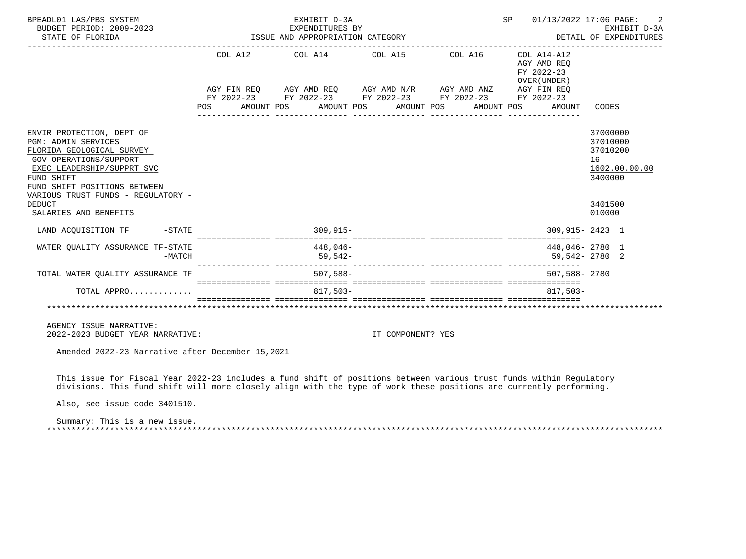| BPEADL01 LAS/PBS SYSTEM<br>BUDGET PERIOD: 2009-2023<br>STATE OF FLORIDA                                                                                                                                                                                                    |                                                                                                                                                                                                                                                                                                                                                                                                                                                              | EXHIBIT D-3A<br>EXPENDITURES BY<br>ISSUE AND APPROPRIATION CATEGORY                                                                                                                |                       | SP                                                                  | 01/13/2022 17:06 PAGE:<br>EXHIBIT D-3A<br>DETAIL OF EXPENDITURES                        |
|----------------------------------------------------------------------------------------------------------------------------------------------------------------------------------------------------------------------------------------------------------------------------|--------------------------------------------------------------------------------------------------------------------------------------------------------------------------------------------------------------------------------------------------------------------------------------------------------------------------------------------------------------------------------------------------------------------------------------------------------------|------------------------------------------------------------------------------------------------------------------------------------------------------------------------------------|-----------------------|---------------------------------------------------------------------|-----------------------------------------------------------------------------------------|
|                                                                                                                                                                                                                                                                            | POS FOR                                                                                                                                                                                                                                                                                                                                                                                                                                                      | COL A12 COL A14 COL A15 COL A16 COL A14-A12<br>AGY FIN REQ AGY AMD REQ AGY AMD N/R AGY AMD ANZ AGY FIN REQ<br>FY 2022-23 FY 2022-23 FY 2022-23 FY 2022-23 FY 2022-23<br>AMOUNT POS | AMOUNT POS AMOUNT POS | AGY AMD REO<br>FY 2022-23<br>OVER ( UNDER )<br>AMOUNT POS<br>AMOUNT | CODES                                                                                   |
| ENVIR PROTECTION, DEPT OF<br><b>PGM: ADMIN SERVICES</b><br>FLORIDA GEOLOGICAL SURVEY<br>GOV OPERATIONS/SUPPORT<br>EXEC LEADERSHIP/SUPPRT SVC<br>FUND SHIFT<br>FUND SHIFT POSITIONS BETWEEN<br>VARIOUS TRUST FUNDS - REGULATORY -<br><b>DEDUCT</b><br>SALARIES AND BENEFITS |                                                                                                                                                                                                                                                                                                                                                                                                                                                              |                                                                                                                                                                                    |                       |                                                                     | 37000000<br>37010000<br>37010200<br>16<br>1602.00.00.00<br>3400000<br>3401500<br>010000 |
| LAND ACQUISITION TF -STATE                                                                                                                                                                                                                                                 |                                                                                                                                                                                                                                                                                                                                                                                                                                                              | $309,915-$                                                                                                                                                                         |                       | 309,915-2423 1                                                      |                                                                                         |
| WATER QUALITY ASSURANCE TF-STATE                                                                                                                                                                                                                                           | $-MATCH$                                                                                                                                                                                                                                                                                                                                                                                                                                                     | 448,046-<br>59,542-                                                                                                                                                                |                       | 448,046-2780 1<br>59,542-2780 2                                     |                                                                                         |
| TOTAL WATER QUALITY ASSURANCE TF                                                                                                                                                                                                                                           |                                                                                                                                                                                                                                                                                                                                                                                                                                                              | 507,588-                                                                                                                                                                           |                       | 507,588-2780                                                        |                                                                                         |
| TOTAL APPRO                                                                                                                                                                                                                                                                | $\color{red} \texttt{--} \texttt{--} \texttt{--} \texttt{--} \texttt{--} \texttt{--} \texttt{--} \texttt{--} \texttt{--} \texttt{--} \texttt{--} \texttt{--} \texttt{--} \texttt{--} \texttt{--} \texttt{--} \texttt{--} \texttt{--} \texttt{--} \texttt{--} \texttt{--} \texttt{--} \texttt{--} \texttt{--} \texttt{--} \texttt{--} \texttt{--} \texttt{--} \texttt{--} \texttt{--} \texttt{--} \texttt{--} \texttt{--} \texttt{--} \texttt{--} \texttt{--$ | $817.503-$                                                                                                                                                                         |                       | $817.503-$                                                          |                                                                                         |
|                                                                                                                                                                                                                                                                            |                                                                                                                                                                                                                                                                                                                                                                                                                                                              |                                                                                                                                                                                    |                       |                                                                     |                                                                                         |
| AGENCY ISSUE NARRATIVE:<br>2022-2023 BUDGET YEAR NARRATIVE:                                                                                                                                                                                                                |                                                                                                                                                                                                                                                                                                                                                                                                                                                              |                                                                                                                                                                                    | IT COMPONENT? YES     |                                                                     |                                                                                         |
| Amended 2022-23 Narrative after December 15,2021                                                                                                                                                                                                                           |                                                                                                                                                                                                                                                                                                                                                                                                                                                              |                                                                                                                                                                                    |                       |                                                                     |                                                                                         |
| This issue for Fiscal Year 2022-23 includes a fund shift of positions between various trust funds within Requlatory<br>divisions. This fund shift will more closely align with the type of work these positions are currently performing.<br>Also, see issue code 3401510. |                                                                                                                                                                                                                                                                                                                                                                                                                                                              |                                                                                                                                                                                    |                       |                                                                     |                                                                                         |

 Summary: This is a new issue. \*\*\*\*\*\*\*\*\*\*\*\*\*\*\*\*\*\*\*\*\*\*\*\*\*\*\*\*\*\*\*\*\*\*\*\*\*\*\*\*\*\*\*\*\*\*\*\*\*\*\*\*\*\*\*\*\*\*\*\*\*\*\*\*\*\*\*\*\*\*\*\*\*\*\*\*\*\*\*\*\*\*\*\*\*\*\*\*\*\*\*\*\*\*\*\*\*\*\*\*\*\*\*\*\*\*\*\*\*\*\*\*\*\*\*\*\*\*\*\*\*\*\*\*\*\*\*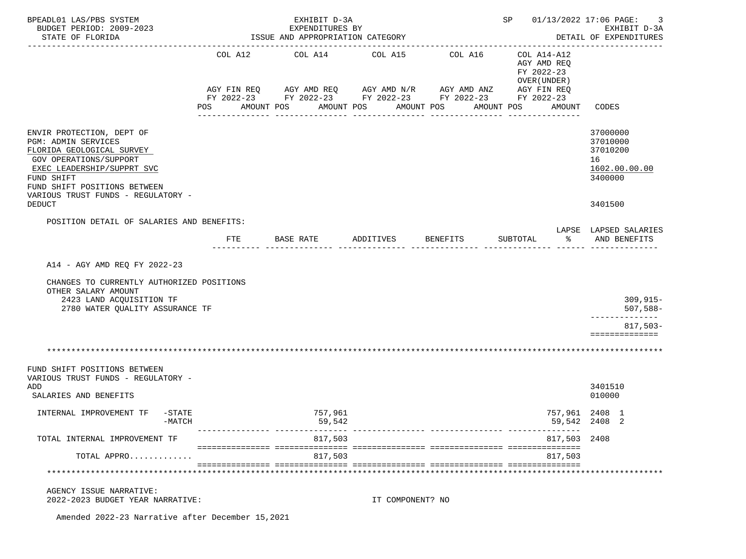| BPEADL01 LAS/PBS SYSTEM<br>BUDGET PERIOD: 2009-2023<br>STATE OF FLORIDA                                                                             |     | EXHIBIT D-3A<br>EXPENDITURES BY<br>ISSUE AND APPROPRIATION CATEGORY                                                                  | SP 01/13/2022 17:06 PAGE: | 3<br>EXHIBIT D-3A<br>DETAIL OF EXPENDITURES |                                                                         |                                                                    |
|-----------------------------------------------------------------------------------------------------------------------------------------------------|-----|--------------------------------------------------------------------------------------------------------------------------------------|---------------------------|---------------------------------------------|-------------------------------------------------------------------------|--------------------------------------------------------------------|
|                                                                                                                                                     |     |                                                                                                                                      |                           |                                             |                                                                         |                                                                    |
|                                                                                                                                                     |     | COL A12 COL A14 COL A15<br>AGY FIN REQ AGY AMD REQ AGY AMD N/R AGY AMD ANZ<br>FY 2022-23 FY 2022-23 FY 2022-23 FY 2022-23 FY 2022-23 |                           | COL A16                                     | COL A14-A12<br>AGY AMD REQ<br>FY 2022-23<br>OVER (UNDER)<br>AGY FIN REQ |                                                                    |
|                                                                                                                                                     | POS | AMOUNT POS                                                                                                                           | AMOUNT POS<br>AMOUNT POS  |                                             | AMOUNT POS<br>AMOUNT                                                    | CODES                                                              |
| ENVIR PROTECTION, DEPT OF<br>PGM: ADMIN SERVICES<br>FLORIDA GEOLOGICAL SURVEY<br>GOV OPERATIONS/SUPPORT<br>EXEC LEADERSHIP/SUPPRT SVC<br>FUND SHIFT |     |                                                                                                                                      |                           |                                             |                                                                         | 37000000<br>37010000<br>37010200<br>16<br>1602.00.00.00<br>3400000 |
| FUND SHIFT POSITIONS BETWEEN<br>VARIOUS TRUST FUNDS - REGULATORY -<br><b>DEDUCT</b>                                                                 |     |                                                                                                                                      |                           |                                             |                                                                         | 3401500                                                            |
| POSITION DETAIL OF SALARIES AND BENEFITS:                                                                                                           |     |                                                                                                                                      |                           |                                             |                                                                         |                                                                    |
|                                                                                                                                                     | FTE | BASE RATE                                                                                                                            | ADDITIVES BENEFITS        |                                             | SUBTOTAL                                                                | LAPSE LAPSED SALARIES<br>% AND BENEFITS                            |
| A14 - AGY AMD REO FY 2022-23                                                                                                                        |     |                                                                                                                                      |                           |                                             |                                                                         |                                                                    |
| CHANGES TO CURRENTLY AUTHORIZED POSITIONS<br>OTHER SALARY AMOUNT<br>2423 LAND ACQUISITION TF<br>2780 WATER QUALITY ASSURANCE TF                     |     |                                                                                                                                      |                           |                                             |                                                                         | $309, 915 -$<br>$507,588-$<br>-----------                          |
|                                                                                                                                                     |     |                                                                                                                                      |                           |                                             |                                                                         | $817,503-$<br>==============                                       |
|                                                                                                                                                     |     |                                                                                                                                      |                           |                                             |                                                                         |                                                                    |
| FUND SHIFT POSITIONS BETWEEN<br>VARIOUS TRUST FUNDS - REGULATORY -                                                                                  |     |                                                                                                                                      |                           |                                             |                                                                         |                                                                    |
| ADD<br>SALARIES AND BENEFITS                                                                                                                        |     |                                                                                                                                      |                           |                                             |                                                                         | 3401510<br>010000                                                  |
| INTERNAL IMPROVEMENT TF -STATE<br>$-MATCH$                                                                                                          |     | 757,961<br>59,542                                                                                                                    |                           |                                             |                                                                         | 757,961 2408 1<br>59,542 2408 2                                    |
| TOTAL INTERNAL IMPROVEMENT TF                                                                                                                       |     | 817,503                                                                                                                              |                           |                                             | 817,503 2408                                                            |                                                                    |
| TOTAL APPRO                                                                                                                                         |     | 817,503                                                                                                                              |                           |                                             | 817,503                                                                 |                                                                    |
|                                                                                                                                                     |     |                                                                                                                                      |                           |                                             |                                                                         |                                                                    |
| AGENCY ISSUE NARRATIVE:<br>2022-2023 BUDGET YEAR NARRATIVE:                                                                                         |     |                                                                                                                                      | IT COMPONENT? NO          |                                             |                                                                         |                                                                    |

Amended 2022-23 Narrative after December 15,2021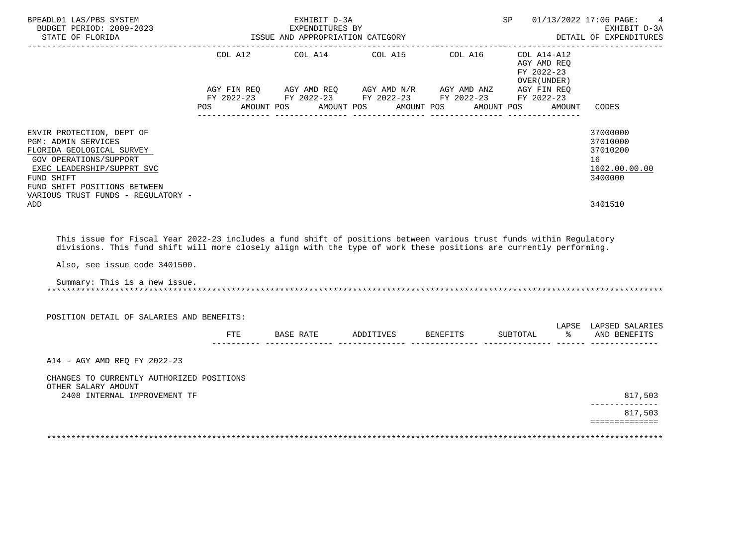| BPEADL01 LAS/PBS SYSTEM<br>BUDGET PERIOD: 2009-2023<br>STATE OF FLORIDA<br>_________________________                                                                                                                                                                                                        |     | EXHIBIT D-3A<br>EXPENDITURES BY<br>EXPENDITORES BI<br>ISSUE AND APPROPRIATION CATEGORY                                                                                                                  |  | SP 01/13/2022 17:06 PAGE:<br>EXHIBIT D-3A<br>DETAIL OF EXPENDITURES |                                                                    |
|-------------------------------------------------------------------------------------------------------------------------------------------------------------------------------------------------------------------------------------------------------------------------------------------------------------|-----|---------------------------------------------------------------------------------------------------------------------------------------------------------------------------------------------------------|--|---------------------------------------------------------------------|--------------------------------------------------------------------|
|                                                                                                                                                                                                                                                                                                             | POS | COL A12 COL A14 COL A15 COL A16<br>AGY FIN REQ AGY AMD REQ AGY AMD N/R AGY AMD ANZ AGY FIN REQ<br>FY 2022-23 FY 2022-23 FY 2022-23 FY 2022-23 FY 2022-23<br>AMOUNT POS AMOUNT POS AMOUNT POS AMOUNT POS |  | $COL A14- A12$<br>AGY AMD REO<br>FY 2022-23<br>OVER (UNDER)         | AMOUNT<br>CODES                                                    |
| ENVIR PROTECTION, DEPT OF<br><b>PGM: ADMIN SERVICES</b><br>FLORIDA GEOLOGICAL SURVEY<br><b>GOV OPERATIONS/SUPPORT</b><br>EXEC LEADERSHIP/SUPPRT SVC<br>FUND SHIFT<br>FUND SHIFT POSITIONS BETWEEN                                                                                                           |     |                                                                                                                                                                                                         |  |                                                                     | 37000000<br>37010000<br>37010200<br>16<br>1602.00.00.00<br>3400000 |
| VARIOUS TRUST FUNDS - REGULATORY -<br>ADD                                                                                                                                                                                                                                                                   |     |                                                                                                                                                                                                         |  |                                                                     | 3401510                                                            |
| This issue for Fiscal Year 2022-23 includes a fund shift of positions between various trust funds within Regulatory<br>divisions. This fund shift will more closely align with the type of work these positions are currently performing.<br>Also, see issue code 3401500.<br>Summary: This is a new issue. |     |                                                                                                                                                                                                         |  |                                                                     |                                                                    |
| POSITION DETAIL OF SALARIES AND BENEFITS:                                                                                                                                                                                                                                                                   |     |                                                                                                                                                                                                         |  |                                                                     | LAPSE LAPSED SALARIES                                              |
|                                                                                                                                                                                                                                                                                                             | FTE | BASE RATE ADDITIVES BENEFITS                                                                                                                                                                            |  | SUBTOTAL                                                            | % AND BENEFITS                                                     |
| A14 - AGY AMD REQ FY 2022-23                                                                                                                                                                                                                                                                                |     |                                                                                                                                                                                                         |  |                                                                     |                                                                    |
| CHANGES TO CURRENTLY AUTHORIZED POSITIONS<br>OTHER SALARY AMOUNT<br>2408 INTERNAL IMPROVEMENT TF                                                                                                                                                                                                            |     |                                                                                                                                                                                                         |  |                                                                     | 817,503                                                            |
|                                                                                                                                                                                                                                                                                                             |     |                                                                                                                                                                                                         |  |                                                                     | --------------<br>817,503                                          |
|                                                                                                                                                                                                                                                                                                             |     |                                                                                                                                                                                                         |  |                                                                     | ==============                                                     |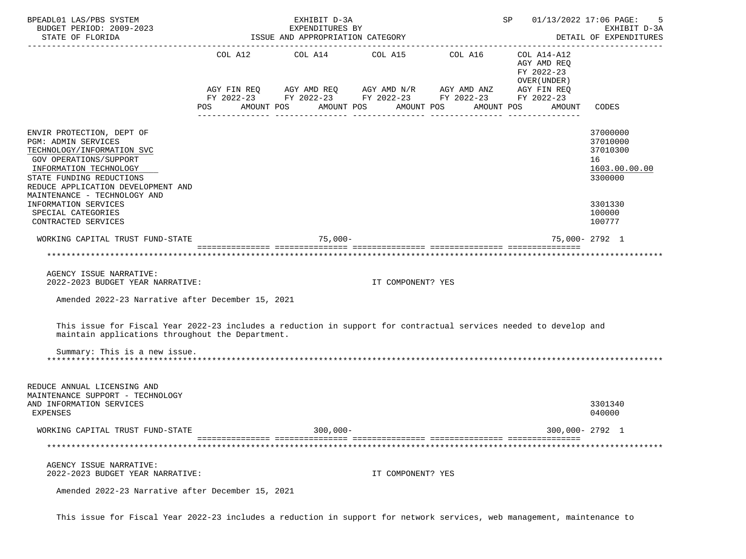| BPEADL01 LAS/PBS SYSTEM<br>BUDGET PERIOD: 2009-2023<br>STATE OF FLORIDA                                                                                                                                                                                                                                          |     | EXHIBIT D-3A<br>EXPENDITURES BY<br>ISSUE AND APPROPRIATION CATEGORY | SP 01/13/2022 17:06 PAGE: | 5<br>EXHIBIT D-3A<br>DETAIL OF EXPENDITURES                                                                                         |                                                                                  |                                                                                                   |
|------------------------------------------------------------------------------------------------------------------------------------------------------------------------------------------------------------------------------------------------------------------------------------------------------------------|-----|---------------------------------------------------------------------|---------------------------|-------------------------------------------------------------------------------------------------------------------------------------|----------------------------------------------------------------------------------|---------------------------------------------------------------------------------------------------|
|                                                                                                                                                                                                                                                                                                                  | POS | COL A12 COL A14 COL A15 COL A16<br>AMOUNT POS                       | AMOUNT POS                | AGY FIN REQ AGY AMD REQ AGY AMD N/R AGY AMD ANZ AGY FIN REQ<br>FY 2022-23 FY 2022-23 FY 2022-23 FY 2022-23 FY 2022-23<br>AMOUNT POS | COL A14-A12<br>AGY AMD REQ<br>FY 2022-23<br>OVER (UNDER)<br>AMOUNT POS<br>AMOUNT | CODES                                                                                             |
| ENVIR PROTECTION, DEPT OF<br>PGM: ADMIN SERVICES<br>TECHNOLOGY/INFORMATION SVC<br><b>GOV OPERATIONS/SUPPORT</b><br>INFORMATION TECHNOLOGY<br>STATE FUNDING REDUCTIONS<br>REDUCE APPLICATION DEVELOPMENT AND<br>MAINTENANCE - TECHNOLOGY AND<br>INFORMATION SERVICES<br>SPECIAL CATEGORIES<br>CONTRACTED SERVICES |     |                                                                     |                           |                                                                                                                                     |                                                                                  | 37000000<br>37010000<br>37010300<br>16<br>1603.00.00.00<br>3300000<br>3301330<br>100000<br>100777 |
| WORKING CAPITAL TRUST FUND-STATE                                                                                                                                                                                                                                                                                 |     | $75,000-$                                                           |                           |                                                                                                                                     |                                                                                  | 75,000-2792 1                                                                                     |
| AGENCY ISSUE NARRATIVE:<br>2022-2023 BUDGET YEAR NARRATIVE:<br>Amended 2022-23 Narrative after December 15, 2021                                                                                                                                                                                                 |     |                                                                     | IT COMPONENT? YES         |                                                                                                                                     |                                                                                  |                                                                                                   |
| This issue for Fiscal Year 2022-23 includes a reduction in support for contractual services needed to develop and<br>maintain applications throughout the Department.<br>Summary: This is a new issue.                                                                                                           |     |                                                                     |                           |                                                                                                                                     |                                                                                  |                                                                                                   |
|                                                                                                                                                                                                                                                                                                                  |     |                                                                     |                           |                                                                                                                                     |                                                                                  |                                                                                                   |
| REDUCE ANNUAL LICENSING AND<br>MAINTENANCE SUPPORT - TECHNOLOGY<br>AND INFORMATION SERVICES<br>EXPENSES                                                                                                                                                                                                          |     |                                                                     |                           |                                                                                                                                     |                                                                                  | 3301340<br>040000                                                                                 |
| WORKING CAPITAL TRUST FUND-STATE                                                                                                                                                                                                                                                                                 |     | $300,000 -$                                                         |                           |                                                                                                                                     |                                                                                  | 300,000-2792 1                                                                                    |
|                                                                                                                                                                                                                                                                                                                  |     |                                                                     |                           |                                                                                                                                     |                                                                                  |                                                                                                   |
| AGENCY ISSUE NARRATIVE:<br>2022-2023 BUDGET YEAR NARRATIVE:                                                                                                                                                                                                                                                      |     |                                                                     | IT COMPONENT? YES         |                                                                                                                                     |                                                                                  |                                                                                                   |
| Amended 2022-23 Narrative after December 15, 2021                                                                                                                                                                                                                                                                |     |                                                                     |                           |                                                                                                                                     |                                                                                  |                                                                                                   |

This issue for Fiscal Year 2022-23 includes a reduction in support for network services, web management, maintenance to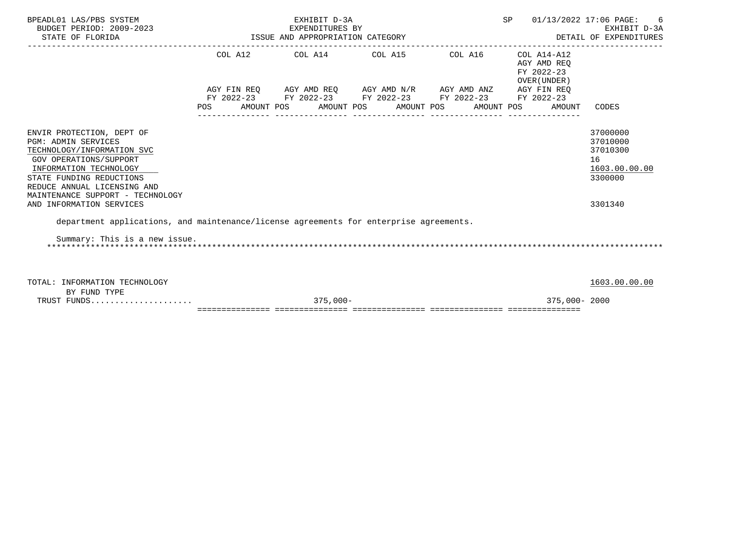| BPEADL01 LAS/PBS SYSTEM<br>BUDGET PERIOD: 2009-2023<br>STATE OF FLORIDA                                                                   |            | EXHIBIT D-3A<br>EXPENDITURES BY<br>EXPENDITORED DI<br>ISSUE AND APPROPRIATION CATEGORY                                                                     | SP 01/13/2022 17:06 PAGE:<br>DETAIL OF EXPENDITURES | 6<br>EXHIBIT D-3A                         |                                                         |
|-------------------------------------------------------------------------------------------------------------------------------------------|------------|------------------------------------------------------------------------------------------------------------------------------------------------------------|-----------------------------------------------------|-------------------------------------------|---------------------------------------------------------|
|                                                                                                                                           |            | $COL A12$ $COL A14$ $COL A15$ $COL A16$ $COL A14-A12$                                                                                                      |                                                     | AGY AMD REO<br>FY 2022-23<br>OVER (UNDER) |                                                         |
|                                                                                                                                           |            | $\verb AGY\text{ FIN REQ} \qquad \verb AGY\text{ AMD REQ} \qquad \verb AGY\text{ AMD N/R} \qquad \verb AGY\text{ AMD ANZ} \qquad \verb AGY\text{ FIN REQ}$ |                                                     |                                           |                                                         |
|                                                                                                                                           | <b>POS</b> | FY 2022-23 FY 2022-23 FY 2022-23 FY 2022-23 FY 2022-23<br>AMOUNT POS AMOUNT POS AMOUNT POS AMOUNT POS                                                      |                                                     | AMOUNT                                    | CODES                                                   |
| ENVIR PROTECTION, DEPT OF<br><b>PGM: ADMIN SERVICES</b><br>TECHNOLOGY/INFORMATION SVC<br>GOV OPERATIONS/SUPPORT<br>INFORMATION TECHNOLOGY |            |                                                                                                                                                            |                                                     |                                           | 37000000<br>37010000<br>37010300<br>16<br>1603.00.00.00 |
| STATE FUNDING REDUCTIONS<br>REDUCE ANNUAL LICENSING AND<br>MAINTENANCE SUPPORT - TECHNOLOGY<br>AND INFORMATION SERVICES                   |            |                                                                                                                                                            |                                                     |                                           | 3300000<br>3301340                                      |
| department applications, and maintenance/license agreements for enterprise agreements.                                                    |            |                                                                                                                                                            |                                                     |                                           |                                                         |
| Summary: This is a new issue.                                                                                                             |            |                                                                                                                                                            |                                                     |                                           |                                                         |
| TOTAL: INFORMATION TECHNOLOGY<br>BY FUND TYPE                                                                                             |            |                                                                                                                                                            |                                                     |                                           | 1603.00.00.00                                           |
| TRUST FUNDS                                                                                                                               |            | $375,000-$                                                                                                                                                 |                                                     | 375,000-2000                              |                                                         |

=============== =============== =============== =============== ===============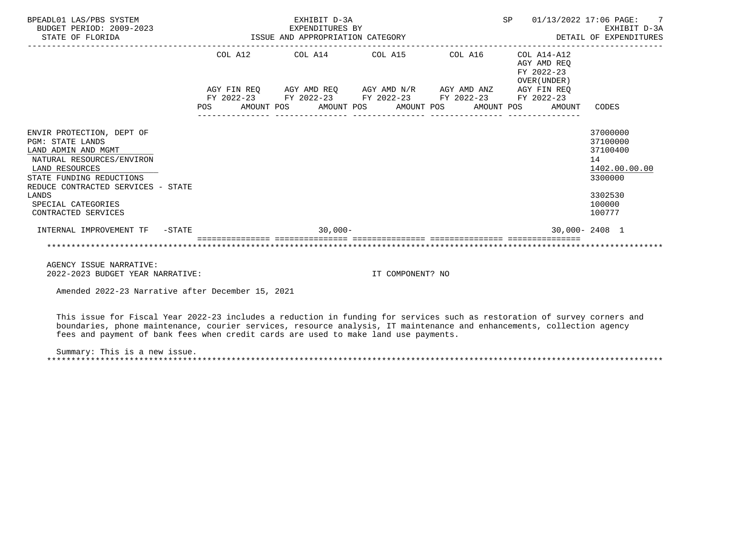| BPEADL01 LAS/PBS SYSTEM<br>BUDGET PERIOD: 2009-2023<br>STATE OF FLORIDA                                                                                                                      |     |  | EXHIBIT D-3A<br>EXPENDITURES BY<br>ISSUE AND APPROPRIATION CATEGORY                                                                                                                  |  |  | SP |                                                          | 01/13/2022 17:06 PAGE: 7<br>EXHIBIT D-3A<br>DETAIL OF EXPENDITURES |
|----------------------------------------------------------------------------------------------------------------------------------------------------------------------------------------------|-----|--|--------------------------------------------------------------------------------------------------------------------------------------------------------------------------------------|--|--|----|----------------------------------------------------------|--------------------------------------------------------------------|
|                                                                                                                                                                                              |     |  | COL A12 COL A14 COL A15 COL A16                                                                                                                                                      |  |  |    | COL A14-A12<br>AGY AMD REO<br>FY 2022-23<br>OVER (UNDER) |                                                                    |
|                                                                                                                                                                                              | POS |  | AGY FIN REQ AGY AMD REQ AGY AMD N/R AGY AMD ANZ AGY FIN REQ<br>FY 2022-23 FY 2022-23 FY 2022-23 FY 2022-23 FY 2022-23<br>AMOUNT POS       AMOUNT POS      AMOUNT POS      AMOUNT POS |  |  |    | AMOUNT                                                   | CODES                                                              |
| ENVIR PROTECTION, DEPT OF<br><b>PGM: STATE LANDS</b><br>LAND ADMIN AND MGMT<br>NATURAL RESOURCES/ENVIRON<br>LAND RESOURCES<br>STATE FUNDING REDUCTIONS<br>REDUCE CONTRACTED SERVICES - STATE |     |  |                                                                                                                                                                                      |  |  |    |                                                          | 37000000<br>37100000<br>37100400<br>14<br>1402.00.00.00<br>3300000 |
| LANDS<br>SPECIAL CATEGORIES<br>CONTRACTED SERVICES                                                                                                                                           |     |  |                                                                                                                                                                                      |  |  |    |                                                          | 3302530<br>100000<br>100777                                        |
| INTERNAL IMPROVEMENT TF -STATE                                                                                                                                                               |     |  | $30,000 -$                                                                                                                                                                           |  |  |    |                                                          | $30.000 - 2408$ 1                                                  |
| ACENCY TOCHE MARRATILE.                                                                                                                                                                      |     |  |                                                                                                                                                                                      |  |  |    |                                                          |                                                                    |

 AGENCY ISSUE NARRATIVE: 2022-2023 BUDGET YEAR NARRATIVE: IT COMPONENT? NO

Amended 2022-23 Narrative after December 15, 2021

 This issue for Fiscal Year 2022-23 includes a reduction in funding for services such as restoration of survey corners and boundaries, phone maintenance, courier services, resource analysis, IT maintenance and enhancements, collection agency fees and payment of bank fees when credit cards are used to make land use payments.

 Summary: This is a new issue. \*\*\*\*\*\*\*\*\*\*\*\*\*\*\*\*\*\*\*\*\*\*\*\*\*\*\*\*\*\*\*\*\*\*\*\*\*\*\*\*\*\*\*\*\*\*\*\*\*\*\*\*\*\*\*\*\*\*\*\*\*\*\*\*\*\*\*\*\*\*\*\*\*\*\*\*\*\*\*\*\*\*\*\*\*\*\*\*\*\*\*\*\*\*\*\*\*\*\*\*\*\*\*\*\*\*\*\*\*\*\*\*\*\*\*\*\*\*\*\*\*\*\*\*\*\*\*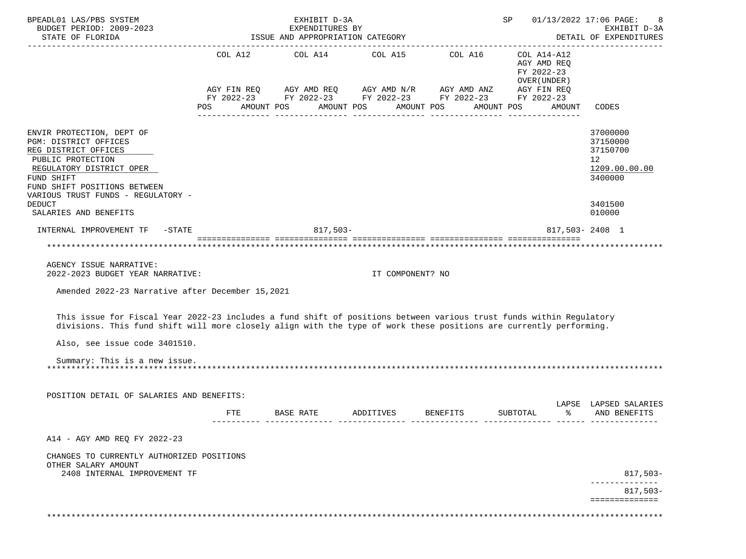| BPEADL01 LAS/PBS SYSTEM<br>BUDGET PERIOD: 2009-2023<br>STATE OF FLORIDA                                                                                                                                                                                                    | ISSUE AND APPROPRIATION CATEGORY                                                                                          | SP                                                                                                                                  |                       | 01/13/2022 17:06 PAGE:<br>8<br>EXHIBIT D-3A<br>DETAIL OF EXPENDITURES |                                                         |                                                                                                                |                                                                                 |
|----------------------------------------------------------------------------------------------------------------------------------------------------------------------------------------------------------------------------------------------------------------------------|---------------------------------------------------------------------------------------------------------------------------|-------------------------------------------------------------------------------------------------------------------------------------|-----------------------|-----------------------------------------------------------------------|---------------------------------------------------------|----------------------------------------------------------------------------------------------------------------|---------------------------------------------------------------------------------|
|                                                                                                                                                                                                                                                                            | COL A12<br>POS FOR THE POST OF THE POST OF THE POST OF THE POST OF THE POST OF THE POST OF THE POST OF THE POST OF THE PO | AGY FIN REQ AGY AMD REQ AGY AMD N/R AGY AMD ANZ AGY FIN REQ<br>FY 2022-23 FY 2022-23 FY 2022-23 FY 2022-23 FY 2022-23<br>AMOUNT POS | AMOUNT POS AMOUNT POS | COL A14 COL A15 COL A16 COL A14-A12                                   | AGY AMD REQ<br>FY 2022-23<br>OVER (UNDER)<br>AMOUNT POS | AMOUNT                                                                                                         | CODES                                                                           |
| ENVIR PROTECTION, DEPT OF<br>PGM: DISTRICT OFFICES<br>REG DISTRICT OFFICES<br>PUBLIC PROTECTION<br>REGULATORY DISTRICT OPER<br>FUND SHIFT<br>FUND SHIFT POSITIONS BETWEEN<br>VARIOUS TRUST FUNDS - REGULATORY -                                                            |                                                                                                                           |                                                                                                                                     |                       |                                                                       |                                                         |                                                                                                                | 37000000<br>37150000<br>37150700<br>12 <sup>°</sup><br>1209.00.00.00<br>3400000 |
| <b>DEDUCT</b><br>SALARIES AND BENEFITS                                                                                                                                                                                                                                     |                                                                                                                           |                                                                                                                                     |                       |                                                                       |                                                         |                                                                                                                | 3401500<br>010000                                                               |
| INTERNAL IMPROVEMENT TF -STATE                                                                                                                                                                                                                                             |                                                                                                                           | $817,503-$                                                                                                                          |                       |                                                                       |                                                         |                                                                                                                | 817,503-2408 1                                                                  |
|                                                                                                                                                                                                                                                                            |                                                                                                                           |                                                                                                                                     |                       |                                                                       |                                                         |                                                                                                                |                                                                                 |
| AGENCY ISSUE NARRATIVE:<br>2022-2023 BUDGET YEAR NARRATIVE:                                                                                                                                                                                                                |                                                                                                                           |                                                                                                                                     | IT COMPONENT? NO      |                                                                       |                                                         |                                                                                                                |                                                                                 |
| Amended 2022-23 Narrative after December 15,2021                                                                                                                                                                                                                           |                                                                                                                           |                                                                                                                                     |                       |                                                                       |                                                         |                                                                                                                |                                                                                 |
| This issue for Fiscal Year 2022-23 includes a fund shift of positions between various trust funds within Regulatory<br>divisions. This fund shift will more closely align with the type of work these positions are currently performing.<br>Also, see issue code 3401510. |                                                                                                                           |                                                                                                                                     |                       |                                                                       |                                                         |                                                                                                                |                                                                                 |
| Summary: This is a new issue.                                                                                                                                                                                                                                              |                                                                                                                           |                                                                                                                                     |                       |                                                                       |                                                         |                                                                                                                |                                                                                 |
| POSITION DETAIL OF SALARIES AND BENEFITS:                                                                                                                                                                                                                                  |                                                                                                                           |                                                                                                                                     |                       |                                                                       |                                                         |                                                                                                                |                                                                                 |
|                                                                                                                                                                                                                                                                            | <b>FTE</b>                                                                                                                | BASE RATE                                                                                                                           | ADDITIVES             | BENEFITS                                                              | SUBTOTAL                                                | ော် အောက် အောက် အောက် အောက် အောက် အောက် အောက် အောက် အောက် အောက် အောက် အောက် အောက် အောက် အောက် အောက် အောက် အောက | LAPSE LAPSED SALARIES<br>AND BENEFITS                                           |
| A14 - AGY AMD REQ FY 2022-23                                                                                                                                                                                                                                               |                                                                                                                           |                                                                                                                                     |                       |                                                                       |                                                         |                                                                                                                |                                                                                 |
| CHANGES TO CURRENTLY AUTHORIZED POSITIONS<br>OTHER SALARY AMOUNT<br>2408 INTERNAL IMPROVEMENT TF                                                                                                                                                                           |                                                                                                                           |                                                                                                                                     |                       |                                                                       |                                                         |                                                                                                                |                                                                                 |
|                                                                                                                                                                                                                                                                            |                                                                                                                           |                                                                                                                                     |                       |                                                                       |                                                         |                                                                                                                | 817,503-                                                                        |
|                                                                                                                                                                                                                                                                            |                                                                                                                           |                                                                                                                                     |                       |                                                                       |                                                         |                                                                                                                | $817,503-$<br>==============                                                    |
|                                                                                                                                                                                                                                                                            |                                                                                                                           |                                                                                                                                     |                       |                                                                       |                                                         |                                                                                                                |                                                                                 |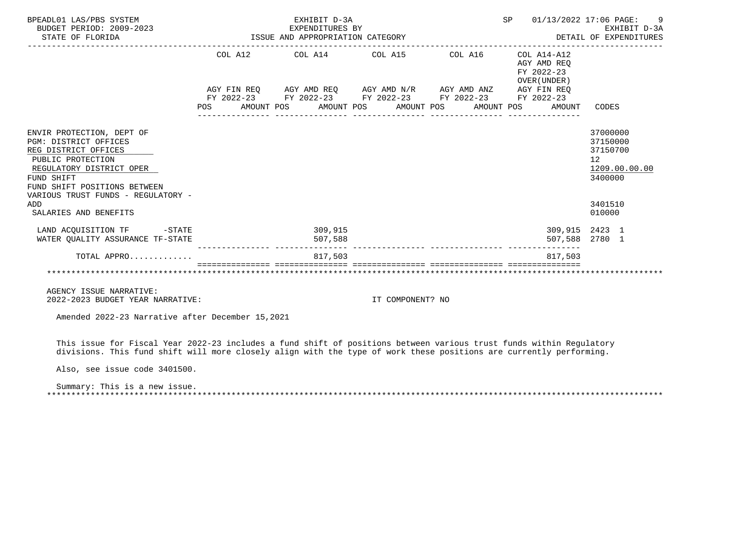| BPEADL01 LAS/PBS SYSTEM<br>BUDGET PERIOD: 2009-2023<br>STATE OF FLORIDA<br>STATE OF FLORIDA                                                                                                                            | EXHIBIT D-3A                                                | SP 01/13/2022 17:06 PAGE: 9 |                                                              |                                                                                            |
|------------------------------------------------------------------------------------------------------------------------------------------------------------------------------------------------------------------------|-------------------------------------------------------------|-----------------------------|--------------------------------------------------------------|--------------------------------------------------------------------------------------------|
|                                                                                                                                                                                                                        | COL A12 COL A14 COL A15 COL A16 COL A14-A12                 |                             | AGY AMD REO<br>FY 2022-23<br>OVER (UNDER)                    |                                                                                            |
|                                                                                                                                                                                                                        | AGY FIN REQ AGY AMD REQ AGY AMD N/R AGY AMD ANZ AGY FIN REQ |                             |                                                              |                                                                                            |
|                                                                                                                                                                                                                        | FY 2022-23 FY 2022-23 FY 2022-23 FY 2022-23 FY 2022-23      |                             | POS AMOUNT POS AMOUNT POS AMOUNT POS AMOUNT POS AMOUNT CODES |                                                                                            |
| ENVIR PROTECTION, DEPT OF<br>PGM: DISTRICT OFFICES<br>REG DISTRICT OFFICES<br>PUBLIC PROTECTION<br>REGULATORY DISTRICT OPER<br>FUND SHIFT<br>FUND SHIFT POSITIONS BETWEEN<br>VARIOUS TRUST FUNDS - REGULATORY -<br>ADD |                                                             |                             |                                                              | 37000000<br>37150000<br>37150700<br>12 <sup>°</sup><br>1209.00.00.00<br>3400000<br>3401510 |
| SALARIES AND BENEFITS                                                                                                                                                                                                  |                                                             |                             |                                                              | 010000                                                                                     |
| LAND ACQUISITION TF -STATE<br>WATER OUALITY ASSURANCE TF-STATE                                                                                                                                                         | 309,915<br>507,588                                          |                             |                                                              | 309,915 2423 1<br>507,588 2780 1                                                           |
| TOTAL APPRO                                                                                                                                                                                                            | 817.503                                                     |                             | 817.503                                                      |                                                                                            |
|                                                                                                                                                                                                                        |                                                             |                             |                                                              |                                                                                            |

 AGENCY ISSUE NARRATIVE: 2022-2023 BUDGET YEAR NARRATIVE: IT COMPONENT? NO

Amended 2022-23 Narrative after December 15,2021

 This issue for Fiscal Year 2022-23 includes a fund shift of positions between various trust funds within Regulatory divisions. This fund shift will more closely align with the type of work these positions are currently performing.

Also, see issue code 3401500.

 Summary: This is a new issue. \*\*\*\*\*\*\*\*\*\*\*\*\*\*\*\*\*\*\*\*\*\*\*\*\*\*\*\*\*\*\*\*\*\*\*\*\*\*\*\*\*\*\*\*\*\*\*\*\*\*\*\*\*\*\*\*\*\*\*\*\*\*\*\*\*\*\*\*\*\*\*\*\*\*\*\*\*\*\*\*\*\*\*\*\*\*\*\*\*\*\*\*\*\*\*\*\*\*\*\*\*\*\*\*\*\*\*\*\*\*\*\*\*\*\*\*\*\*\*\*\*\*\*\*\*\*\*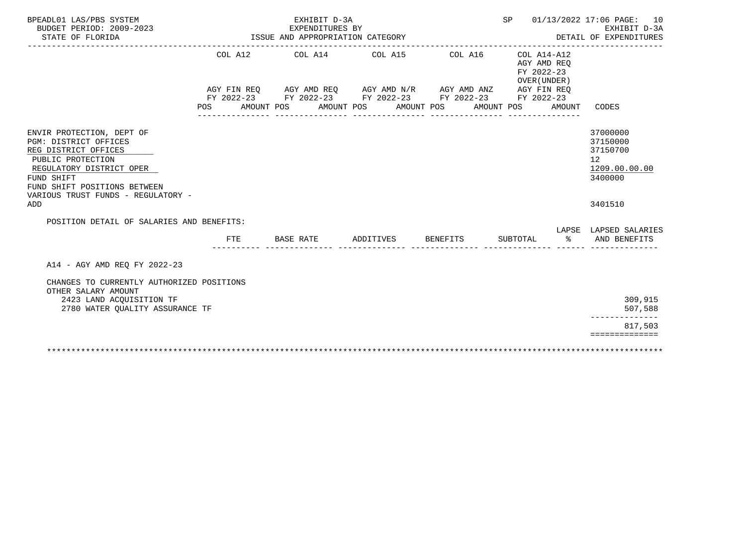| BPEADL01 LAS/PBS SYSTEM<br>BUDGET PERIOD: 2009-2023<br>STATE OF FLORIDA                                                                                                                                         |            |           | EXHIBIT D-3A<br>EXPENDITURES BY | ISSUE AND APPROPRIATION CATEGORY |                                                                                                                                                                                                         |          |                                                                    | SP 01/13/2022 17:06 PAGE: 10<br>EXHIBIT D-3A<br>DETAIL OF EXPENDITURES          |
|-----------------------------------------------------------------------------------------------------------------------------------------------------------------------------------------------------------------|------------|-----------|---------------------------------|----------------------------------|---------------------------------------------------------------------------------------------------------------------------------------------------------------------------------------------------------|----------|--------------------------------------------------------------------|---------------------------------------------------------------------------------|
|                                                                                                                                                                                                                 | POS        |           |                                 |                                  | COL A12 COL A14 COL A15 COL A16<br>AGY FIN REQ AGY AMD REQ AGY AMD N/R AGY AMD ANZ AGY FIN REQ<br>FY 2022-23 FY 2022-23 FY 2022-23 FY 2022-23 FY 2022-23<br>AMOUNT POS AMOUNT POS AMOUNT POS AMOUNT POS |          | COL A14-A12<br>AGY AMD REO<br>FY 2022-23<br>OVER (UNDER)<br>AMOUNT | CODES                                                                           |
| ENVIR PROTECTION, DEPT OF<br>PGM: DISTRICT OFFICES<br>REG DISTRICT OFFICES<br>PUBLIC PROTECTION<br>REGULATORY DISTRICT OPER<br>FUND SHIFT<br>FUND SHIFT POSITIONS BETWEEN<br>VARIOUS TRUST FUNDS - REGULATORY - |            |           |                                 |                                  |                                                                                                                                                                                                         |          |                                                                    | 37000000<br>37150000<br>37150700<br>12 <sup>°</sup><br>1209.00.00.00<br>3400000 |
| ADD                                                                                                                                                                                                             |            |           |                                 |                                  |                                                                                                                                                                                                         |          |                                                                    | 3401510                                                                         |
| POSITION DETAIL OF SALARIES AND BENEFITS:                                                                                                                                                                       | <b>FTE</b> | BASE RATE |                                 |                                  | ADDITIVES BENEFITS                                                                                                                                                                                      | SUBTOTAL |                                                                    | LAPSE LAPSED SALARIES<br>% AND BENEFITS                                         |
| A14 - AGY AMD REO FY 2022-23                                                                                                                                                                                    |            |           |                                 |                                  |                                                                                                                                                                                                         |          |                                                                    |                                                                                 |
| CHANGES TO CURRENTLY AUTHORIZED POSITIONS<br>OTHER SALARY AMOUNT<br>2423 LAND ACQUISITION TF<br>2780 WATER OUALITY ASSURANCE TF                                                                                 |            |           |                                 |                                  |                                                                                                                                                                                                         |          |                                                                    | 309,915<br>507,588                                                              |
|                                                                                                                                                                                                                 |            |           |                                 |                                  |                                                                                                                                                                                                         |          |                                                                    | ______________<br>817,503<br>==============                                     |
|                                                                                                                                                                                                                 |            |           |                                 |                                  |                                                                                                                                                                                                         |          |                                                                    |                                                                                 |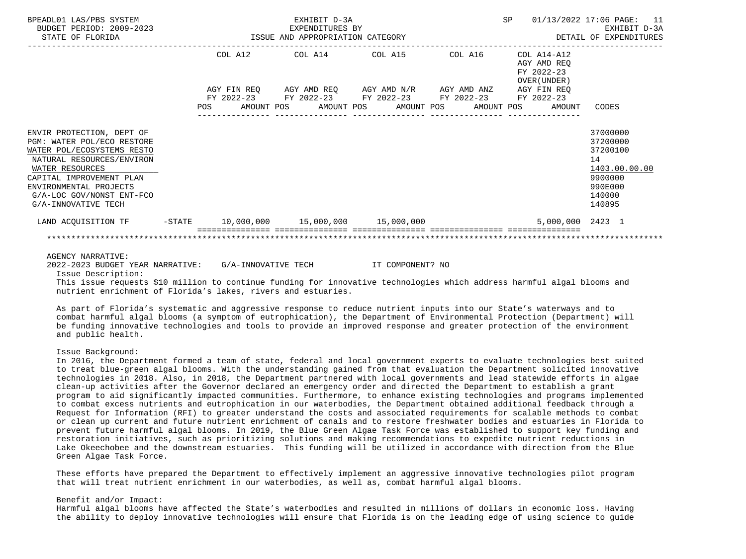| BPEADL01 LAS/PBS SYSTEM<br>BUDGET PERIOD: 2009-2023<br>STATE OF FLORIDA                                                                                                                                                                         | EXHIBIT D-3A<br>EXPENDITURES BY<br>ISSUE AND APPROPRIATION CATEGORY |         |  |  |  |                                                                                                                                                                      |  |            | <b>SP</b> |                                           | 01/13/2022 17:06 PAGE: 11<br>EXHIBIT D-3A<br>DETAIL OF EXPENDITURES                               |
|-------------------------------------------------------------------------------------------------------------------------------------------------------------------------------------------------------------------------------------------------|---------------------------------------------------------------------|---------|--|--|--|----------------------------------------------------------------------------------------------------------------------------------------------------------------------|--|------------|-----------|-------------------------------------------|---------------------------------------------------------------------------------------------------|
|                                                                                                                                                                                                                                                 |                                                                     | COL A12 |  |  |  | $COL A14$ $COL A15$ $COL A16$ $COL A14-A12$<br>AGY FIN REQ AGY AMD REQ AGY AMD N/R AGY AMD ANZ AGY FIN REQ<br>FY 2022-23 FY 2022-23 FY 2022-23 FY 2022-23 FY 2022-23 |  |            |           | AGY AMD REO<br>FY 2022-23<br>OVER (UNDER) |                                                                                                   |
|                                                                                                                                                                                                                                                 | <b>POS</b>                                                          |         |  |  |  | AMOUNT POS AMOUNT POS AMOUNT POS                                                                                                                                     |  | AMOUNT POS |           | AMOUNT                                    | CODES                                                                                             |
| ENVIR PROTECTION, DEPT OF<br>PGM: WATER POL/ECO RESTORE<br>WATER POL/ECOSYSTEMS RESTO<br>NATURAL RESOURCES/ENVIRON<br>WATER RESOURCES<br>CAPITAL IMPROVEMENT PLAN<br>ENVIRONMENTAL PROJECTS<br>G/A-LOC GOV/NONST ENT-FCO<br>G/A-INNOVATIVE TECH |                                                                     |         |  |  |  |                                                                                                                                                                      |  |            |           |                                           | 37000000<br>37200000<br>37200100<br>14<br>1403.00.00.00<br>9900000<br>990E000<br>140000<br>140895 |
| LAND ACOUISITION TF $-$ STATE $10,000,000$ $15,000,000$ $15,000,000$                                                                                                                                                                            |                                                                     |         |  |  |  |                                                                                                                                                                      |  |            |           | 5,000,000 2423 1                          |                                                                                                   |
|                                                                                                                                                                                                                                                 |                                                                     |         |  |  |  |                                                                                                                                                                      |  |            |           |                                           |                                                                                                   |

AGENCY NARRATIVE:

2022-2023 BUDGET YEAR NARRATIVE: G/A-INNOVATIVE TECH IT COMPONENT? NO

Issue Description:

 This issue requests \$10 million to continue funding for innovative technologies which address harmful algal blooms and nutrient enrichment of Florida's lakes, rivers and estuaries.

 As part of Florida's systematic and aggressive response to reduce nutrient inputs into our State's waterways and to combat harmful algal blooms (a symptom of eutrophication), the Department of Environmental Protection (Department) will be funding innovative technologies and tools to provide an improved response and greater protection of the environment and public health.

# Issue Background:

 In 2016, the Department formed a team of state, federal and local government experts to evaluate technologies best suited to treat blue-green algal blooms. With the understanding gained from that evaluation the Department solicited innovative technologies in 2018. Also, in 2018, the Department partnered with local governments and lead statewide efforts in algae clean-up activities after the Governor declared an emergency order and directed the Department to establish a grant program to aid significantly impacted communities. Furthermore, to enhance existing technologies and programs implemented to combat excess nutrients and eutrophication in our waterbodies, the Department obtained additional feedback through a Request for Information (RFI) to greater understand the costs and associated requirements for scalable methods to combat or clean up current and future nutrient enrichment of canals and to restore freshwater bodies and estuaries in Florida to prevent future harmful algal blooms. In 2019, the Blue Green Algae Task Force was established to support key funding and restoration initiatives, such as prioritizing solutions and making recommendations to expedite nutrient reductions in Lake Okeechobee and the downstream estuaries. This funding will be utilized in accordance with direction from the Blue Green Algae Task Force.

 These efforts have prepared the Department to effectively implement an aggressive innovative technologies pilot program that will treat nutrient enrichment in our waterbodies, as well as, combat harmful algal blooms.

### Benefit and/or Impact:

 Harmful algal blooms have affected the State's waterbodies and resulted in millions of dollars in economic loss. Having the ability to deploy innovative technologies will ensure that Florida is on the leading edge of using science to guide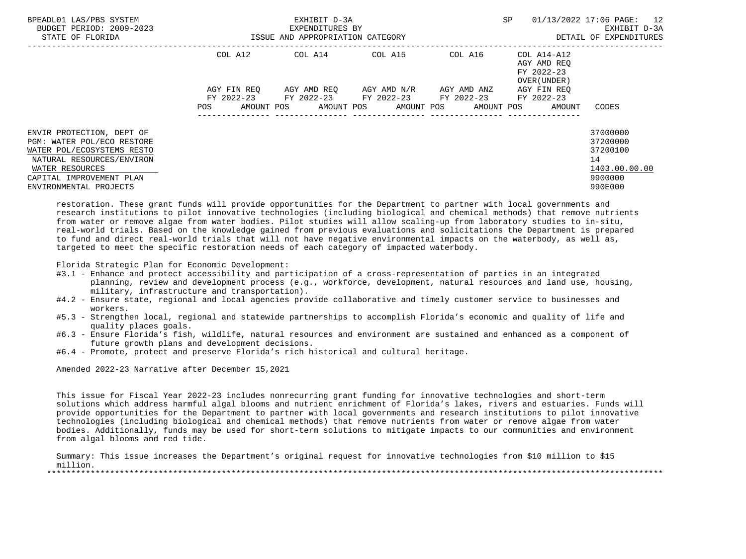| BPEADL01 LAS/PBS SYSTEM<br>BUDGET PERIOD: 2009-2023<br>STATE OF FLORIDA                                                                                                                     |                    | EXHIBIT D-3A<br>EXPENDITURES BY<br>ISSUE AND APPROPRIATION CATEGORY | SP                                  | 01/13/2022 17:06 PAGE: 12<br>EXHIBIT D-3A<br>DETAIL OF EXPENDITURES |                                                          |                                                                               |
|---------------------------------------------------------------------------------------------------------------------------------------------------------------------------------------------|--------------------|---------------------------------------------------------------------|-------------------------------------|---------------------------------------------------------------------|----------------------------------------------------------|-------------------------------------------------------------------------------|
|                                                                                                                                                                                             | COL A12            | COL A14 COL A15                                                     |                                     | COL A16                                                             | COL A14-A12<br>AGY AMD REO<br>FY 2022-23<br>OVER (UNDER) |                                                                               |
|                                                                                                                                                                                             | AGY FIN REO        | FY 2022-23 FY 2022-23 FY 2022-23 FY 2022-23                         | AGY AMD REO AGY AMD N/R AGY AMD ANZ |                                                                     | AGY FIN REO<br>FY 2022-23                                |                                                                               |
|                                                                                                                                                                                             | AMOUNT POS<br>POS. |                                                                     | AMOUNT POS AMOUNT POS               |                                                                     | AMOUNT POS<br>AMOUNT                                     | CODES                                                                         |
| ENVIR PROTECTION, DEPT OF<br>PGM: WATER POL/ECO RESTORE<br>WATER POL/ECOSYSTEMS RESTO<br>NATURAL RESOURCES/ENVIRON<br>WATER RESOURCES<br>CAPITAL IMPROVEMENT PLAN<br>ENVIRONMENTAL PROJECTS |                    |                                                                     |                                     |                                                                     |                                                          | 37000000<br>37200000<br>37200100<br>14<br>1403.00.00.00<br>9900000<br>990E000 |

 restoration. These grant funds will provide opportunities for the Department to partner with local governments and research institutions to pilot innovative technologies (including biological and chemical methods) that remove nutrients from water or remove algae from water bodies. Pilot studies will allow scaling-up from laboratory studies to in-situ, real-world trials. Based on the knowledge gained from previous evaluations and solicitations the Department is prepared to fund and direct real-world trials that will not have negative environmental impacts on the waterbody, as well as, targeted to meet the specific restoration needs of each category of impacted waterbody.

Florida Strategic Plan for Economic Development:

- #3.1 Enhance and protect accessibility and participation of a cross-representation of parties in an integrated planning, review and development process (e.g., workforce, development, natural resources and land use, housing, military, infrastructure and transportation).
- #4.2 Ensure state, regional and local agencies provide collaborative and timely customer service to businesses and workers.
- #5.3 Strengthen local, regional and statewide partnerships to accomplish Florida's economic and quality of life and quality places goals.
- #6.3 Ensure Florida's fish, wildlife, natural resources and environment are sustained and enhanced as a component of future growth plans and development decisions.
- #6.4 Promote, protect and preserve Florida's rich historical and cultural heritage.

Amended 2022-23 Narrative after December 15,2021

 This issue for Fiscal Year 2022-23 includes nonrecurring grant funding for innovative technologies and short-term solutions which address harmful algal blooms and nutrient enrichment of Florida's lakes, rivers and estuaries. Funds will provide opportunities for the Department to partner with local governments and research institutions to pilot innovative technologies (including biological and chemical methods) that remove nutrients from water or remove algae from water bodies. Additionally, funds may be used for short-term solutions to mitigate impacts to our communities and environment from algal blooms and red tide.

 Summary: This issue increases the Department's original request for innovative technologies from \$10 million to \$15 million. \*\*\*\*\*\*\*\*\*\*\*\*\*\*\*\*\*\*\*\*\*\*\*\*\*\*\*\*\*\*\*\*\*\*\*\*\*\*\*\*\*\*\*\*\*\*\*\*\*\*\*\*\*\*\*\*\*\*\*\*\*\*\*\*\*\*\*\*\*\*\*\*\*\*\*\*\*\*\*\*\*\*\*\*\*\*\*\*\*\*\*\*\*\*\*\*\*\*\*\*\*\*\*\*\*\*\*\*\*\*\*\*\*\*\*\*\*\*\*\*\*\*\*\*\*\*\*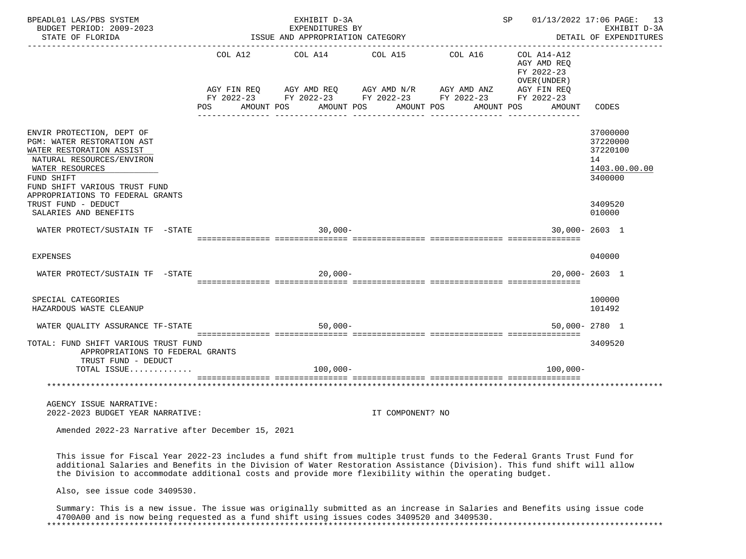| BPEADL01 LAS/PBS SYSTEM<br>BUDGET PERIOD: 2009-2023                                                                                                                                                                                                                                                                                                          |     |            | EXHIBIT D-3A<br>EXPENDITURES BY                                                                           |            |                  |            | SP and the set of the set of the set of the set of the set of the set of the set of the set of the set of the s |                                                          |                                                   | 01/13/2022 17:06 PAGE: 13<br>EXHIBIT D-3A |
|--------------------------------------------------------------------------------------------------------------------------------------------------------------------------------------------------------------------------------------------------------------------------------------------------------------------------------------------------------------|-----|------------|-----------------------------------------------------------------------------------------------------------|------------|------------------|------------|-----------------------------------------------------------------------------------------------------------------|----------------------------------------------------------|---------------------------------------------------|-------------------------------------------|
| STATE OF FLORIDA                                                                                                                                                                                                                                                                                                                                             |     |            | ISSUE AND APPROPRIATION CATEGORY                                                                          |            |                  |            |                                                                                                                 |                                                          |                                                   | DETAIL OF EXPENDITURES                    |
|                                                                                                                                                                                                                                                                                                                                                              |     |            | COL A12 COL A14 COL A15                                                                                   |            |                  | COL A16    |                                                                                                                 | COL A14-A12<br>AGY AMD REQ<br>FY 2022-23<br>OVER (UNDER) |                                                   |                                           |
|                                                                                                                                                                                                                                                                                                                                                              |     |            | AGY FIN REQ AGY AMD REQ AGY AMD N/R AGY AMD ANZ<br>FY 2022-23 FY 2022-23 FY 2022-23 FY 2022-23 FY 2022-23 |            |                  |            |                                                                                                                 | AGY FIN REQ                                              |                                                   |                                           |
|                                                                                                                                                                                                                                                                                                                                                              | POS | AMOUNT POS |                                                                                                           | AMOUNT POS | AMOUNT POS       | AMOUNT POS |                                                                                                                 | AMOUNT                                                   | CODES                                             |                                           |
| ENVIR PROTECTION, DEPT OF<br>PGM: WATER RESTORATION AST<br>WATER RESTORATION ASSIST<br>NATURAL RESOURCES/ENVIRON<br>WATER RESOURCES<br>FUND SHIFT<br>FUND SHIFT VARIOUS TRUST FUND                                                                                                                                                                           |     |            |                                                                                                           |            |                  |            |                                                                                                                 |                                                          | 37000000<br>37220000<br>37220100<br>14<br>3400000 | 1403.00.00.00                             |
| APPROPRIATIONS TO FEDERAL GRANTS<br>TRUST FUND - DEDUCT<br>SALARIES AND BENEFITS                                                                                                                                                                                                                                                                             |     |            |                                                                                                           |            |                  |            |                                                                                                                 |                                                          | 3409520<br>010000                                 |                                           |
| WATER PROTECT/SUSTAIN TF -STATE                                                                                                                                                                                                                                                                                                                              |     |            | $30.000 -$                                                                                                |            |                  |            |                                                                                                                 | $30.000 - 2603$ 1                                        |                                                   |                                           |
| <b>EXPENSES</b>                                                                                                                                                                                                                                                                                                                                              |     |            |                                                                                                           |            |                  |            |                                                                                                                 |                                                          | 040000                                            |                                           |
| WATER PROTECT/SUSTAIN TF -STATE                                                                                                                                                                                                                                                                                                                              |     |            | $20.000 -$                                                                                                |            |                  |            |                                                                                                                 | $20.000 - 2603$ 1                                        |                                                   |                                           |
| SPECIAL CATEGORIES<br>HAZARDOUS WASTE CLEANUP                                                                                                                                                                                                                                                                                                                |     |            |                                                                                                           |            |                  |            |                                                                                                                 |                                                          | 100000<br>101492                                  |                                           |
| WATER QUALITY ASSURANCE TF-STATE                                                                                                                                                                                                                                                                                                                             |     |            | $50,000 -$                                                                                                |            |                  |            |                                                                                                                 | 50,000-2780 1                                            |                                                   |                                           |
| TOTAL: FUND SHIFT VARIOUS TRUST FUND<br>APPROPRIATIONS TO FEDERAL GRANTS<br>TRUST FUND - DEDUCT                                                                                                                                                                                                                                                              |     |            |                                                                                                           |            |                  |            |                                                                                                                 |                                                          | 3409520                                           |                                           |
| TOTAL ISSUE                                                                                                                                                                                                                                                                                                                                                  |     |            | $100,000 -$                                                                                               |            |                  |            |                                                                                                                 | $100,000 -$                                              |                                                   |                                           |
|                                                                                                                                                                                                                                                                                                                                                              |     |            |                                                                                                           |            |                  |            |                                                                                                                 |                                                          |                                                   |                                           |
| AGENCY ISSUE NARRATIVE:<br>2022-2023 BUDGET YEAR NARRATIVE:                                                                                                                                                                                                                                                                                                  |     |            |                                                                                                           |            | IT COMPONENT? NO |            |                                                                                                                 |                                                          |                                                   |                                           |
| Amended 2022-23 Narrative after December 15, 2021                                                                                                                                                                                                                                                                                                            |     |            |                                                                                                           |            |                  |            |                                                                                                                 |                                                          |                                                   |                                           |
| This issue for Fiscal Year 2022-23 includes a fund shift from multiple trust funds to the Federal Grants Trust Fund for<br>additional Salaries and Benefits in the Division of Water Restoration Assistance (Division). This fund shift will allow<br>the Division to accommodate additional costs and provide more flexibility within the operating budget. |     |            |                                                                                                           |            |                  |            |                                                                                                                 |                                                          |                                                   |                                           |
| Also, see issue code 3409530.                                                                                                                                                                                                                                                                                                                                |     |            |                                                                                                           |            |                  |            |                                                                                                                 |                                                          |                                                   |                                           |
| Summary: This is a new issue. The issue was originally submitted as an increase in Salaries and Benefits using issue code<br>4700A00 and is now being requested as a fund shift using issues codes 3409520 and 3409530.                                                                                                                                      |     |            |                                                                                                           |            |                  |            |                                                                                                                 |                                                          |                                                   |                                           |

\*\*\*\*\*\*\*\*\*\*\*\*\*\*\*\*\*\*\*\*\*\*\*\*\*\*\*\*\*\*\*\*\*\*\*\*\*\*\*\*\*\*\*\*\*\*\*\*\*\*\*\*\*\*\*\*\*\*\*\*\*\*\*\*\*\*\*\*\*\*\*\*\*\*\*\*\*\*\*\*\*\*\*\*\*\*\*\*\*\*\*\*\*\*\*\*\*\*\*\*\*\*\*\*\*\*\*\*\*\*\*\*\*\*\*\*\*\*\*\*\*\*\*\*\*\*\*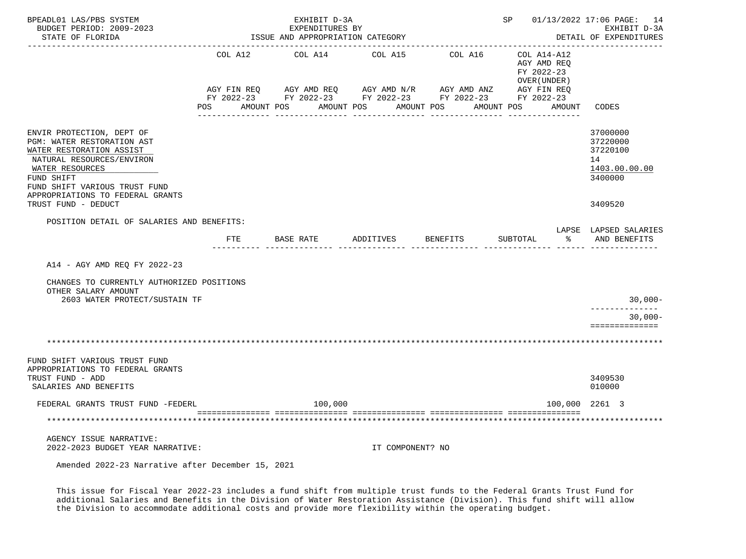| BPEADL01 LAS/PBS SYSTEM<br>BUDGET PERIOD: 2009-2023<br>STATE OF FLORIDA                                                                                                            |            | EXHIBIT D-3A<br>EXPENDITURES BY<br>ISSUE AND APPROPRIATION CATEGORY |                  |                                                                                                              | SP 01/13/2022 17:06 PAGE: 14                              | EXHIBIT D-3A<br>DETAIL OF EXPENDITURES                             |
|------------------------------------------------------------------------------------------------------------------------------------------------------------------------------------|------------|---------------------------------------------------------------------|------------------|--------------------------------------------------------------------------------------------------------------|-----------------------------------------------------------|--------------------------------------------------------------------|
|                                                                                                                                                                                    | COL A12    | COL A14 COL A15                                                     |                  | COL A16                                                                                                      | COL A14-A12<br>AGY AMD REQ<br>FY 2022-23<br>OVER (UNDER ) |                                                                    |
|                                                                                                                                                                                    | <b>POS</b> | AMOUNT POS AMOUNT POS AMOUNT POS                                    |                  | AGY FIN REQ AGY AMD REQ AGY AMD N/R AGY AMD ANZ AGY FIN REQ FY 2022-23 FY 2022-23 FY 2022-23<br>------------ | AMOUNT POS<br>AMOUNT                                      | CODES                                                              |
| ENVIR PROTECTION, DEPT OF<br>PGM: WATER RESTORATION AST<br>WATER RESTORATION ASSIST<br>NATURAL RESOURCES/ENVIRON<br>WATER RESOURCES<br>FUND SHIFT<br>FUND SHIFT VARIOUS TRUST FUND |            |                                                                     |                  |                                                                                                              |                                                           | 37000000<br>37220000<br>37220100<br>14<br>1403.00.00.00<br>3400000 |
| APPROPRIATIONS TO FEDERAL GRANTS<br>TRUST FUND - DEDUCT                                                                                                                            |            |                                                                     |                  |                                                                                                              |                                                           | 3409520                                                            |
| POSITION DETAIL OF SALARIES AND BENEFITS:                                                                                                                                          | ETE        |                                                                     |                  |                                                                                                              | SUBTOTAL                                                  | LAPSE LAPSED SALARIES<br>% AND BENEFITS                            |
| A14 - AGY AMD REQ FY 2022-23                                                                                                                                                       |            |                                                                     |                  |                                                                                                              |                                                           |                                                                    |
| CHANGES TO CURRENTLY AUTHORIZED POSITIONS<br>OTHER SALARY AMOUNT                                                                                                                   |            |                                                                     |                  |                                                                                                              |                                                           |                                                                    |
| 2603 WATER PROTECT/SUSTAIN TF                                                                                                                                                      |            |                                                                     |                  |                                                                                                              |                                                           | $30,000-$<br>--------------                                        |
|                                                                                                                                                                                    |            |                                                                     |                  |                                                                                                              |                                                           | $30,000 -$<br>==============                                       |
|                                                                                                                                                                                    |            |                                                                     |                  |                                                                                                              |                                                           |                                                                    |
| FUND SHIFT VARIOUS TRUST FUND<br>APPROPRIATIONS TO FEDERAL GRANTS<br>TRUST FUND - ADD<br>SALARIES AND BENEFITS                                                                     |            |                                                                     |                  |                                                                                                              |                                                           | 3409530<br>010000                                                  |
| FEDERAL GRANTS TRUST FUND -FEDERL                                                                                                                                                  |            | 100,000                                                             |                  |                                                                                                              | 100,000 2261 3                                            |                                                                    |
| ***********************************                                                                                                                                                |            |                                                                     |                  |                                                                                                              |                                                           |                                                                    |
| AGENCY ISSUE NARRATIVE:<br>2022-2023 BUDGET YEAR NARRATIVE:                                                                                                                        |            |                                                                     | IT COMPONENT? NO |                                                                                                              |                                                           |                                                                    |
| Amended 2022-23 Narrative after December 15, 2021                                                                                                                                  |            |                                                                     |                  |                                                                                                              |                                                           |                                                                    |

 This issue for Fiscal Year 2022-23 includes a fund shift from multiple trust funds to the Federal Grants Trust Fund for additional Salaries and Benefits in the Division of Water Restoration Assistance (Division). This fund shift will allow the Division to accommodate additional costs and provide more flexibility within the operating budget.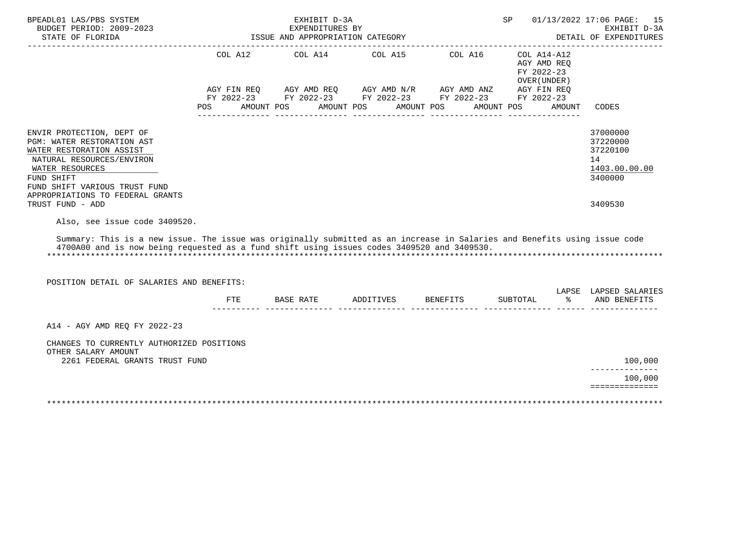| BPEADL01 LAS/PBS SYSTEM<br>BUDGET PERIOD: 2009-2023                                                                                                                                                                     |            | EXHIBIT D-3A<br>EXPENDITURES BY                                                                                                                    |            |                       | SP         |                                                                                       | 01/13/2022 17:06 PAGE:<br>15<br>EXHIBIT D-3A                       |
|-------------------------------------------------------------------------------------------------------------------------------------------------------------------------------------------------------------------------|------------|----------------------------------------------------------------------------------------------------------------------------------------------------|------------|-----------------------|------------|---------------------------------------------------------------------------------------|--------------------------------------------------------------------|
| STATE OF FLORIDA                                                                                                                                                                                                        |            | ISSUE AND APPROPRIATION CATEGORY                                                                                                                   |            |                       |            |                                                                                       | DETAIL OF EXPENDITURES                                             |
|                                                                                                                                                                                                                         | POS FOR    | COL A12 COL A14 COL A15<br>AGY FIN REQ AGY AMD REQ AGY AMD N/R AGY AMD ANZ<br>FY 2022-23 FY 2022-23 FY 2022-23 FY 2022-23 FY 2022-23<br>AMOUNT POS | AMOUNT POS | COL A16<br>AMOUNT POS | AMOUNT POS | $COL A14 - A12$<br>AGY AMD REO<br>FY 2022-23<br>OVER (UNDER)<br>AGY FIN REQ<br>AMOUNT | CODES                                                              |
| ENVIR PROTECTION, DEPT OF<br>PGM: WATER RESTORATION AST<br>WATER RESTORATION ASSIST<br>NATURAL RESOURCES/ENVIRON<br>WATER RESOURCES<br>FUND SHIFT<br>FUND SHIFT VARIOUS TRUST FUND<br>APPROPRIATIONS TO FEDERAL GRANTS  |            |                                                                                                                                                    |            |                       |            |                                                                                       | 37000000<br>37220000<br>37220100<br>14<br>1403.00.00.00<br>3400000 |
| TRUST FUND - ADD<br>Also, see issue code 3409520.                                                                                                                                                                       |            |                                                                                                                                                    |            |                       |            |                                                                                       | 3409530                                                            |
| Summary: This is a new issue. The issue was originally submitted as an increase in Salaries and Benefits using issue code<br>4700A00 and is now being requested as a fund shift using issues codes 3409520 and 3409530. |            |                                                                                                                                                    |            |                       |            |                                                                                       |                                                                    |
| POSITION DETAIL OF SALARIES AND BENEFITS:                                                                                                                                                                               |            |                                                                                                                                                    |            |                       |            |                                                                                       | LAPSE LAPSED SALARIES                                              |
|                                                                                                                                                                                                                         | <b>FTE</b> | BASE RATE                                                                                                                                          | ADDITIVES  | BENEFITS              | SUBTOTAL   | $\frac{8}{6}$                                                                         | AND BENEFITS                                                       |
| A14 - AGY AMD REO FY 2022-23                                                                                                                                                                                            |            |                                                                                                                                                    |            |                       |            |                                                                                       |                                                                    |
| CHANGES TO CURRENTLY AUTHORIZED POSITIONS<br>OTHER SALARY AMOUNT<br>2261 FEDERAL GRANTS TRUST FUND                                                                                                                      |            |                                                                                                                                                    |            |                       |            |                                                                                       | 100,000                                                            |
|                                                                                                                                                                                                                         |            |                                                                                                                                                    |            |                       |            |                                                                                       | ______________<br>100,000<br>==============                        |
|                                                                                                                                                                                                                         |            |                                                                                                                                                    |            |                       |            |                                                                                       |                                                                    |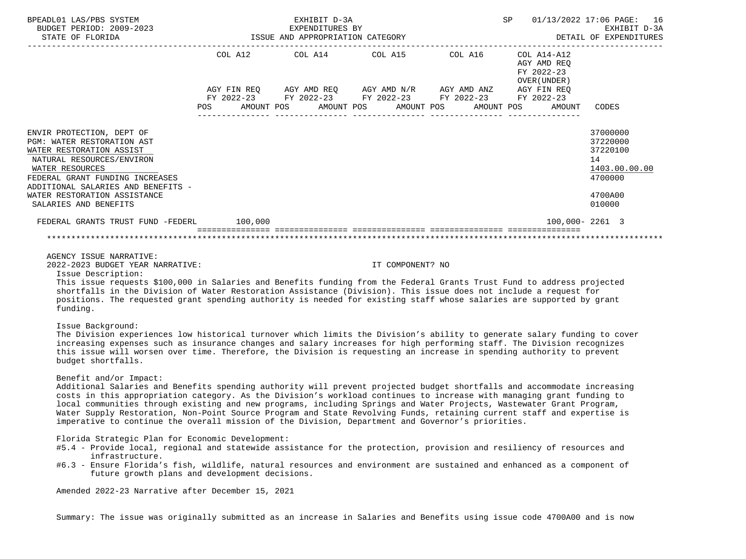| BPEADL01 LAS/PBS SYSTEM<br>BUDGET PERIOD: 2009-2023<br>STATE OF FLORIDA                                                                                                                                                                                               |                          | EXHIBIT D-3A<br>EXPENDITURES BY<br>ISSUE AND APPROPRIATION CATEGORY         |                                                |            | 01/13/2022 17:06 PAGE:<br>SP                             | 16<br>EXHIBIT D-3A<br>DETAIL OF EXPENDITURES                                            |
|-----------------------------------------------------------------------------------------------------------------------------------------------------------------------------------------------------------------------------------------------------------------------|--------------------------|-----------------------------------------------------------------------------|------------------------------------------------|------------|----------------------------------------------------------|-----------------------------------------------------------------------------------------|
|                                                                                                                                                                                                                                                                       | COL A12                  | COL A14 COL A15                                                             |                                                | COL A16    | COL A14-A12<br>AGY AMD REO<br>FY 2022-23<br>OVER (UNDER) |                                                                                         |
|                                                                                                                                                                                                                                                                       | FY 2022-23<br><b>POS</b> | AGY FIN REQ AGY AMD REQ AGY AMD N/R AGY AMD ANZ<br>AMOUNT POS<br>AMOUNT POS | FY 2022-23 FY 2022-23 FY 2022-23<br>AMOUNT POS | AMOUNT POS | AGY FIN REO<br>FY 2022-23<br>AMOUNT                      | CODES                                                                                   |
| ENVIR PROTECTION, DEPT OF<br>PGM: WATER RESTORATION AST<br>WATER RESTORATION ASSIST<br>NATURAL RESOURCES/ENVIRON<br>WATER RESOURCES<br>FEDERAL GRANT FUNDING INCREASES<br>ADDITIONAL SALARIES AND BENEFITS -<br>WATER RESTORATION ASSISTANCE<br>SALARIES AND BENEFITS |                          |                                                                             |                                                |            |                                                          | 37000000<br>37220000<br>37220100<br>14<br>1403.00.00.00<br>4700000<br>4700A00<br>010000 |
| FEDERAL GRANTS TRUST FUND -FEDERL                                                                                                                                                                                                                                     | 100,000                  |                                                                             |                                                |            | $100.000 - 2261$ 3                                       |                                                                                         |
|                                                                                                                                                                                                                                                                       |                          |                                                                             |                                                |            |                                                          |                                                                                         |

AGENCY ISSUE NARRATIVE:

2022-2023 BUDGET YEAR NARRATIVE: IT COMPONENT? NO

Issue Description:

 This issue requests \$100,000 in Salaries and Benefits funding from the Federal Grants Trust Fund to address projected shortfalls in the Division of Water Restoration Assistance (Division). This issue does not include a request for positions. The requested grant spending authority is needed for existing staff whose salaries are supported by grant funding.

### Issue Background:

 The Division experiences low historical turnover which limits the Division's ability to generate salary funding to cover increasing expenses such as insurance changes and salary increases for high performing staff. The Division recognizes this issue will worsen over time. Therefore, the Division is requesting an increase in spending authority to prevent budget shortfalls.

### Benefit and/or Impact:

 Additional Salaries and Benefits spending authority will prevent projected budget shortfalls and accommodate increasing costs in this appropriation category. As the Division's workload continues to increase with managing grant funding to local communities through existing and new programs, including Springs and Water Projects, Wastewater Grant Program, Water Supply Restoration, Non-Point Source Program and State Revolving Funds, retaining current staff and expertise is imperative to continue the overall mission of the Division, Department and Governor's priorities.

#### Florida Strategic Plan for Economic Development:

- #5.4 Provide local, regional and statewide assistance for the protection, provision and resiliency of resources and infrastructure.
- #6.3 Ensure Florida's fish, wildlife, natural resources and environment are sustained and enhanced as a component of future growth plans and development decisions.

Amended 2022-23 Narrative after December 15, 2021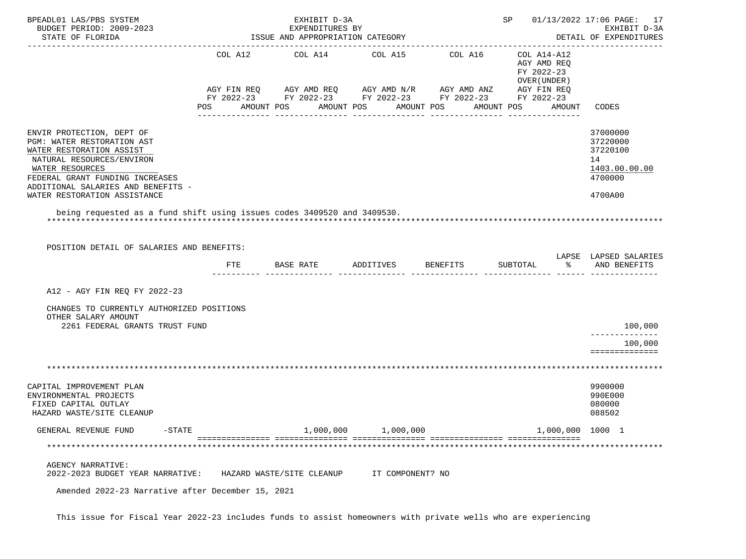| BPEADL01 LAS/PBS SYSTEM<br>BUDGET PERIOD: 2009-2023<br>STATE OF FLORIDA                                                                                                                                                                                                                                                 | ISSUE AND APPROPRIATION CATEGORY | SP 01/13/2022 17:06 PAGE: 17     | EXHIBIT D-3A<br>DETAIL OF EXPENDITURES |                                                                                                                                    |                                                                                                 |                                                                               |
|-------------------------------------------------------------------------------------------------------------------------------------------------------------------------------------------------------------------------------------------------------------------------------------------------------------------------|----------------------------------|----------------------------------|----------------------------------------|------------------------------------------------------------------------------------------------------------------------------------|-------------------------------------------------------------------------------------------------|-------------------------------------------------------------------------------|
|                                                                                                                                                                                                                                                                                                                         | COL A12<br>POS                   | COL A14<br>AMOUNT POS AMOUNT POS | COL A15                                | COL A16<br>AGY FIN REQ AGY AMD REQ AGY AMD N/R AGY AMD ANZ<br>FY 2022-23 FY 2022-23 FY 2022-23 FY 2022-23 FY 2022-23<br>AMOUNT POS | COL A14-A12<br>AGY AMD REQ<br>FY 2022-23<br>OVER (UNDER)<br>AGY FIN REQ<br>AMOUNT POS<br>AMOUNT | CODES                                                                         |
| ENVIR PROTECTION, DEPT OF<br>PGM: WATER RESTORATION AST<br>WATER RESTORATION ASSIST<br>NATURAL RESOURCES/ENVIRON<br>WATER RESOURCES<br>FEDERAL GRANT FUNDING INCREASES<br>ADDITIONAL SALARIES AND BENEFITS -<br>WATER RESTORATION ASSISTANCE<br>being requested as a fund shift using issues codes 3409520 and 3409530. |                                  |                                  |                                        |                                                                                                                                    |                                                                                                 | 37000000<br>37220000<br>37220100<br>14<br>1403.00.00.00<br>4700000<br>4700A00 |
| POSITION DETAIL OF SALARIES AND BENEFITS:                                                                                                                                                                                                                                                                               | FTE                              | BASE RATE                        | ADDITIVES                              | <b>BENEFITS</b>                                                                                                                    | SUBTOTAL                                                                                        | LAPSE LAPSED SALARIES<br>AND BENEFITS                                         |
| A12 - AGY FIN REQ FY 2022-23<br>CHANGES TO CURRENTLY AUTHORIZED POSITIONS<br>OTHER SALARY AMOUNT<br>2261 FEDERAL GRANTS TRUST FUND                                                                                                                                                                                      |                                  |                                  |                                        |                                                                                                                                    |                                                                                                 | 100,000                                                                       |
|                                                                                                                                                                                                                                                                                                                         |                                  |                                  |                                        |                                                                                                                                    |                                                                                                 | 100,000<br>==============                                                     |
| CAPITAL IMPROVEMENT PLAN<br>ENVIRONMENTAL PROJECTS<br>FIXED CAPITAL OUTLAY<br>HAZARD WASTE/SITE CLEANUP                                                                                                                                                                                                                 |                                  |                                  |                                        |                                                                                                                                    |                                                                                                 | 9900000<br>990E000<br>080000<br>088502                                        |
| GENERAL REVENUE FUND<br>$-$ STATE                                                                                                                                                                                                                                                                                       |                                  | 1,000,000                        | 1,000,000                              |                                                                                                                                    | 1,000,000 1000 1                                                                                |                                                                               |
|                                                                                                                                                                                                                                                                                                                         |                                  |                                  |                                        |                                                                                                                                    |                                                                                                 |                                                                               |
| AGENCY NARRATIVE:<br>2022-2023 BUDGET YEAR NARRATIVE:<br>Amended 2022-23 Narrative after December 15, 2021                                                                                                                                                                                                              |                                  | HAZARD WASTE/SITE CLEANUP        | IT COMPONENT? NO                       |                                                                                                                                    |                                                                                                 |                                                                               |

This issue for Fiscal Year 2022-23 includes funds to assist homeowners with private wells who are experiencing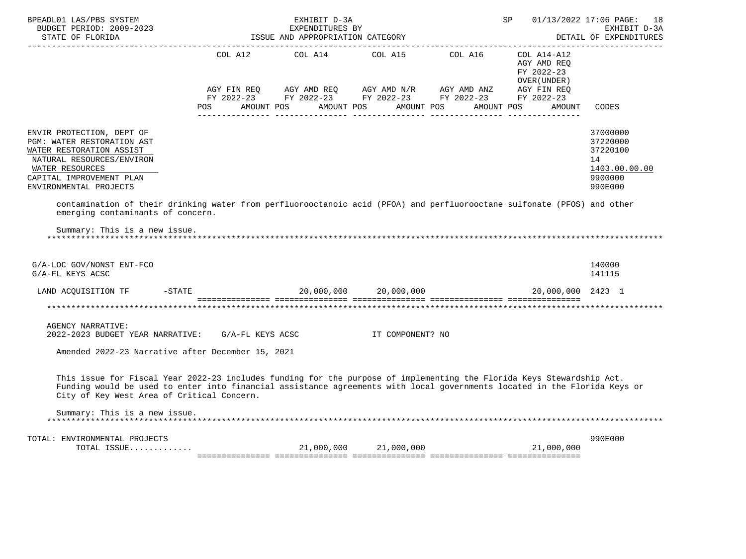| BPEADL01 LAS/PBS SYSTEM<br>EXPENDITURES BY<br>BUDGET PERIOD: 2009-2023<br>STATE OF FLORIDA STATE OF STATE OF STATE OF STATE OF STATE OF STATE OF STATE OF STATE OF STATE OF STATE OF STATE OF STATE OF STATE OF STATE OF STATE OF STATE OF STATE OF STATE OF ST<br>______________________        |                                                 | EXHIBIT D-3A                                                                                 |  | SP                                         | 01/13/2022 17:06 PAGE: 18<br>EXHIBIT D-3A<br>DETAIL OF EXPENDITURES           |
|--------------------------------------------------------------------------------------------------------------------------------------------------------------------------------------------------------------------------------------------------------------------------------------------------|-------------------------------------------------|----------------------------------------------------------------------------------------------|--|--------------------------------------------|-------------------------------------------------------------------------------|
|                                                                                                                                                                                                                                                                                                  |                                                 | COL A12 $COL$ A14 $COL$ A15 $COL$ A16 $COL$ A14-A12                                          |  | AGY AMD REO<br>FY 2022-23<br>OVER (UNDER ) |                                                                               |
|                                                                                                                                                                                                                                                                                                  | POS AMOUNT POS AMOUNT POS AMOUNT POS AMOUNT POS | AGY FIN REQ AGY AMD REQ AGY AMD N/R AGY AMD ANZ AGY FIN REQ FY 2022-23 FY 2022-23 FY 2022-23 |  | AMOUNT                                     | CODES                                                                         |
| ENVIR PROTECTION, DEPT OF<br>PGM: WATER RESTORATION AST<br>WATER RESTORATION ASSIST<br>NATURAL RESOURCES/ENVIRON<br>WATER RESOURCES<br>CAPITAL IMPROVEMENT PLAN<br>ENVIRONMENTAL PROJECTS                                                                                                        |                                                 |                                                                                              |  |                                            | 37000000<br>37220000<br>37220100<br>14<br>1403.00.00.00<br>9900000<br>990E000 |
| contamination of their drinking water from perfluorooctanoic acid (PFOA) and perfluorooctane sulfonate (PFOS) and other<br>emerging contaminants of concern.                                                                                                                                     |                                                 |                                                                                              |  |                                            |                                                                               |
| Summary: This is a new issue.                                                                                                                                                                                                                                                                    |                                                 |                                                                                              |  |                                            |                                                                               |
| G/A-LOC GOV/NONST ENT-FCO<br>G/A-FL KEYS ACSC                                                                                                                                                                                                                                                    |                                                 |                                                                                              |  |                                            | 140000<br>141115                                                              |
| LAND ACQUISITION TF -STATE - 20,000,000 20,000,000                                                                                                                                                                                                                                               |                                                 |                                                                                              |  | 20,000,000 2423 1                          |                                                                               |
|                                                                                                                                                                                                                                                                                                  |                                                 |                                                                                              |  |                                            |                                                                               |
| <b>AGENCY NARRATIVE:</b><br>2022-2023 BUDGET YEAR NARRATIVE: G/A-FL KEYS ACSC TT COMPONENT? NO                                                                                                                                                                                                   |                                                 |                                                                                              |  |                                            |                                                                               |
| Amended 2022-23 Narrative after December 15, 2021                                                                                                                                                                                                                                                |                                                 |                                                                                              |  |                                            |                                                                               |
| This issue for Fiscal Year 2022-23 includes funding for the purpose of implementing the Florida Keys Stewardship Act.<br>Funding would be used to enter into financial assistance agreements with local governments located in the Florida Keys or<br>City of Key West Area of Critical Concern. |                                                 |                                                                                              |  |                                            |                                                                               |
| Summary: This is a new issue.                                                                                                                                                                                                                                                                    |                                                 |                                                                                              |  |                                            |                                                                               |
| TOTAL: ENVIRONMENTAL PROJECTS<br>TOTAL ISSUE                                                                                                                                                                                                                                                     |                                                 | $21,000,000$ $21,000,000$                                                                    |  | 21,000,000                                 | 990E000                                                                       |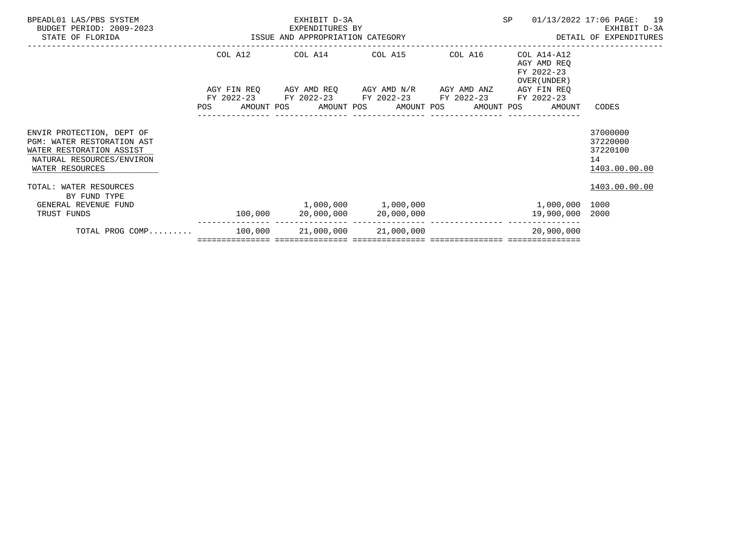| BPEADL01 LAS/PBS SYSTEM<br>BUDGET PERIOD: 2009-2023<br>STATE OF FLORIDA                                                             | EXPENDITURES BY<br>ISSUE AND APPROPRIATION CATEGORY | EXHIBIT D-3A<br>EXPENDITURES BY                                                    | SP | 01/13/2022 17:06 PAGE: 19<br>EXHIBIT D-3A<br>DETAIL OF EXPENDITURES     |                                                         |  |
|-------------------------------------------------------------------------------------------------------------------------------------|-----------------------------------------------------|------------------------------------------------------------------------------------|----|-------------------------------------------------------------------------|---------------------------------------------------------|--|
|                                                                                                                                     |                                                     | COL A12 COL A14 COL A15 COL A16<br>AGY FIN REQ AGY AMD REQ AGY AMD N/R AGY AMD ANZ |    | COL A14-A12<br>AGY AMD REO<br>FY 2022-23<br>OVER (UNDER)<br>AGY FIN REO |                                                         |  |
|                                                                                                                                     |                                                     | FY 2022-23 FY 2022-23 FY 2022-23 FY 2022-23 FY 2022-23                             |    | POS AMOUNT POS AMOUNT POS AMOUNT POS AMOUNT POS AMOUNT                  | CODES                                                   |  |
| ENVIR PROTECTION, DEPT OF<br>PGM: WATER RESTORATION AST<br>WATER RESTORATION ASSIST<br>NATURAL RESOURCES/ENVIRON<br>WATER RESOURCES |                                                     |                                                                                    |    |                                                                         | 37000000<br>37220000<br>37220100<br>14<br>1403.00.00.00 |  |
| TOTAL: WATER RESOURCES<br>BY FUND TYPE                                                                                              |                                                     |                                                                                    |    |                                                                         | 1403.00.00.00                                           |  |
| GENERAL REVENUE FUND<br>TRUST FUNDS                                                                                                 |                                                     | $1,000,000$ $1,000,000$<br>$100,000$ 20,000,000 20,000,000                         |    | 1,000,000 1000<br>19,900,000 2000                                       |                                                         |  |
| TOTAL PROG COMP 100,000 21,000,000 21,000,000                                                                                       |                                                     |                                                                                    |    | 20,900,000                                                              |                                                         |  |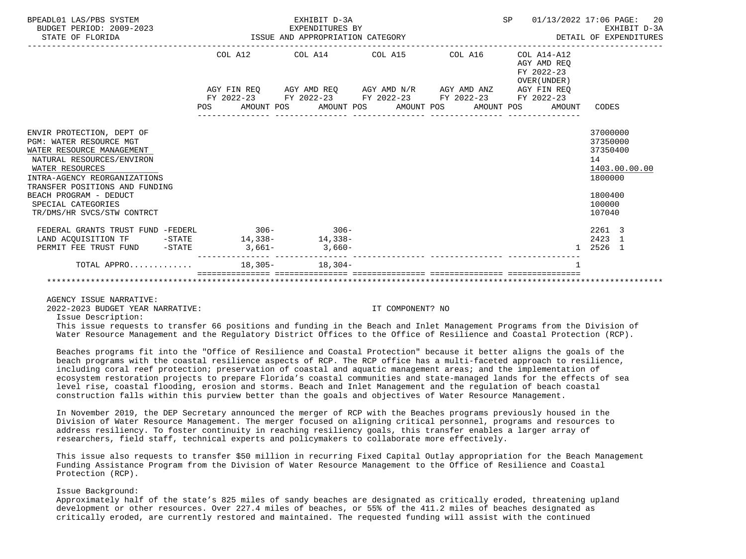| BPEADL01 LAS/PBS SYSTEM<br>BUDGET PERIOD: 2009-2023<br>STATE OF FLORIDA | SP<br>EXHIBIT D-3A<br>EXPENDITURES BY<br>EXPENDITURES BY<br>ISSUE AND APPROPRIATION CATEGORY<br>DETAIL OF EXPENDITURES<br>-----------------------------<br>------------------------------------- |  |  |                                                             |  |                                        |  |  |  | 01/13/2022 17:06 PAGE: 20<br>EXHIBIT D-3A                   |               |
|-------------------------------------------------------------------------|--------------------------------------------------------------------------------------------------------------------------------------------------------------------------------------------------|--|--|-------------------------------------------------------------|--|----------------------------------------|--|--|--|-------------------------------------------------------------|---------------|
|                                                                         |                                                                                                                                                                                                  |  |  |                                                             |  | COL A12 COL A14 COL A15 COL A16        |  |  |  | $COL A14- A12$<br>AGY AMD REO<br>FY 2022-23<br>OVER (UNDER) |               |
|                                                                         |                                                                                                                                                                                                  |  |  | AGY FIN REQ AGY AMD REQ AGY AMD N/R AGY AMD ANZ AGY FIN REQ |  |                                        |  |  |  |                                                             |               |
|                                                                         |                                                                                                                                                                                                  |  |  | FY 2022-23 FY 2022-23 FY 2022-23 FY 2022-23 FY 2022-23      |  |                                        |  |  |  |                                                             |               |
|                                                                         | POS                                                                                                                                                                                              |  |  | ---------------                                             |  | ______________________________________ |  |  |  | AMOUNT POS AMOUNT POS AMOUNT POS AMOUNT POS AMOUNT          | CODES         |
| ENVIR PROTECTION, DEPT OF                                               |                                                                                                                                                                                                  |  |  |                                                             |  |                                        |  |  |  |                                                             | 37000000      |
| PGM: WATER RESOURCE MGT                                                 |                                                                                                                                                                                                  |  |  |                                                             |  |                                        |  |  |  |                                                             | 37350000      |
| WATER RESOURCE MANAGEMENT                                               |                                                                                                                                                                                                  |  |  |                                                             |  |                                        |  |  |  |                                                             | 37350400      |
| NATURAL RESOURCES/ENVIRON                                               |                                                                                                                                                                                                  |  |  |                                                             |  |                                        |  |  |  |                                                             | 14            |
| WATER RESOURCES                                                         |                                                                                                                                                                                                  |  |  |                                                             |  |                                        |  |  |  |                                                             | 1403.00.00.00 |
| INTRA-AGENCY REORGANIZATIONS<br>TRANSFER POSITIONS AND FUNDING          |                                                                                                                                                                                                  |  |  |                                                             |  |                                        |  |  |  |                                                             | 1800000       |
| BEACH PROGRAM - DEDUCT                                                  |                                                                                                                                                                                                  |  |  |                                                             |  |                                        |  |  |  |                                                             | 1800400       |
| SPECIAL CATEGORIES                                                      |                                                                                                                                                                                                  |  |  |                                                             |  |                                        |  |  |  |                                                             | 100000        |
| TR/DMS/HR SVCS/STW CONTRCT                                              |                                                                                                                                                                                                  |  |  |                                                             |  |                                        |  |  |  |                                                             | 107040        |
| FEDERAL GRANTS TRUST FUND -FEDERL 306-306-306-                          |                                                                                                                                                                                                  |  |  |                                                             |  |                                        |  |  |  |                                                             | 2261 3        |
| LAND ACQUISITION TF -STATE 14,338- 14,338-                              |                                                                                                                                                                                                  |  |  |                                                             |  |                                        |  |  |  |                                                             | 2423 1        |
| PERMIT FEE TRUST FUND -STATE 3,661-<br>3,660-                           |                                                                                                                                                                                                  |  |  |                                                             |  |                                        |  |  |  | $\overline{1}$                                              | 2526 1        |
| TOTAL APPRO 18,305- 18,304-                                             |                                                                                                                                                                                                  |  |  |                                                             |  |                                        |  |  |  |                                                             |               |
|                                                                         |                                                                                                                                                                                                  |  |  |                                                             |  |                                        |  |  |  |                                                             |               |

AGENCY ISSUE NARRATIVE:

2022-2023 BUDGET YEAR NARRATIVE: IT COMPONENT? NO

Issue Description:

 This issue requests to transfer 66 positions and funding in the Beach and Inlet Management Programs from the Division of Water Resource Management and the Regulatory District Offices to the Office of Resilience and Coastal Protection (RCP).

 Beaches programs fit into the "Office of Resilience and Coastal Protection" because it better aligns the goals of the beach programs with the coastal resilience aspects of RCP. The RCP office has a multi-faceted approach to resilience, including coral reef protection; preservation of coastal and aquatic management areas; and the implementation of ecosystem restoration projects to prepare Florida's coastal communities and state-managed lands for the effects of sea level rise, coastal flooding, erosion and storms. Beach and Inlet Management and the regulation of beach coastal construction falls within this purview better than the goals and objectives of Water Resource Management.

 In November 2019, the DEP Secretary announced the merger of RCP with the Beaches programs previously housed in the Division of Water Resource Management. The merger focused on aligning critical personnel, programs and resources to address resiliency. To foster continuity in reaching resiliency goals, this transfer enables a larger array of researchers, field staff, technical experts and policymakers to collaborate more effectively.

 This issue also requests to transfer \$50 million in recurring Fixed Capital Outlay appropriation for the Beach Management Funding Assistance Program from the Division of Water Resource Management to the Office of Resilience and Coastal Protection (RCP).

# Issue Background:

 Approximately half of the state's 825 miles of sandy beaches are designated as critically eroded, threatening upland development or other resources. Over 227.4 miles of beaches, or 55% of the 411.2 miles of beaches designated as critically eroded, are currently restored and maintained. The requested funding will assist with the continued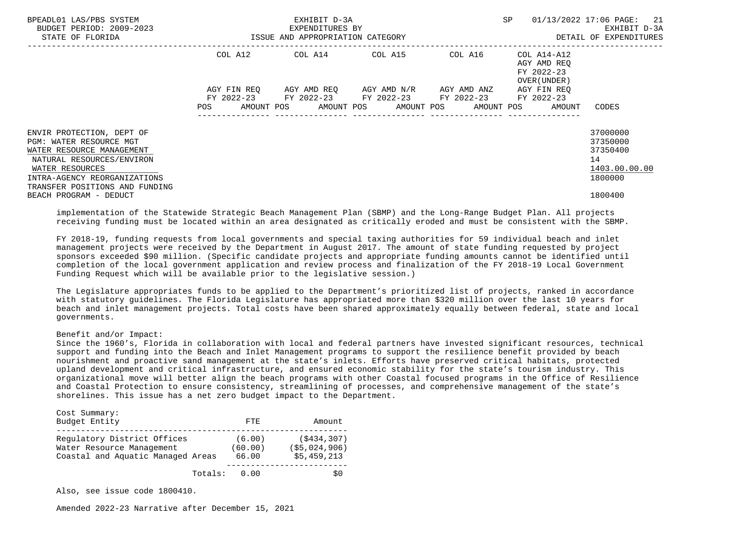| BPEADL01 LAS/PBS SYSTEM<br>BUDGET PERIOD: 2009-2023<br>STATE OF FLORIDA                                                                                                                             | ISSUE AND APPROPRIATION CATEGORY | EXHIBIT D-3A<br>EXPENDITURES BY                        | <b>SP</b> | $01/13/2022$ 17:06 PAGE: 21<br>EXHIBIT D-3A<br>DETAIL OF EXPENDITURES   |                                                                    |
|-----------------------------------------------------------------------------------------------------------------------------------------------------------------------------------------------------|----------------------------------|--------------------------------------------------------|-----------|-------------------------------------------------------------------------|--------------------------------------------------------------------|
|                                                                                                                                                                                                     |                                  | COL A12 COL A14 COL A15                                | COL A16   | COL A14-A12<br>AGY AMD REO<br>FY 2022-23<br>OVER (UNDER)                |                                                                    |
|                                                                                                                                                                                                     | <b>POS</b>                       | FY 2022-23 FY 2022-23 FY 2022-23 FY 2022-23 FY 2022-23 |           | AGY FIN REO<br>AMOUNT POS AMOUNT POS AMOUNT POS AMOUNT POS AMOUNT CODES |                                                                    |
| ENVIR PROTECTION, DEPT OF<br>PGM: WATER RESOURCE MGT<br>WATER RESOURCE MANAGEMENT<br>NATURAL RESOURCES/ENVIRON<br>WATER RESOURCES<br>INTRA-AGENCY REORGANIZATIONS<br>TRANSFER POSITIONS AND FUNDING |                                  |                                                        |           |                                                                         | 37000000<br>37350000<br>37350400<br>14<br>1403.00.00.00<br>1800000 |
| BEACH PROGRAM - DEDUCT                                                                                                                                                                              |                                  |                                                        |           |                                                                         | 1800400                                                            |

 implementation of the Statewide Strategic Beach Management Plan (SBMP) and the Long-Range Budget Plan. All projects receiving funding must be located within an area designated as critically eroded and must be consistent with the SBMP.

 FY 2018-19, funding requests from local governments and special taxing authorities for 59 individual beach and inlet management projects were received by the Department in August 2017. The amount of state funding requested by project sponsors exceeded \$90 million. (Specific candidate projects and appropriate funding amounts cannot be identified until completion of the local government application and review process and finalization of the FY 2018-19 Local Government Funding Request which will be available prior to the legislative session.)

 The Legislature appropriates funds to be applied to the Department's prioritized list of projects, ranked in accordance with statutory guidelines. The Florida Legislature has appropriated more than \$320 million over the last 10 years for beach and inlet management projects. Total costs have been shared approximately equally between federal, state and local governments.

# Benefit and/or Impact:

 Since the 1960's, Florida in collaboration with local and federal partners have invested significant resources, technical support and funding into the Beach and Inlet Management programs to support the resilience benefit provided by beach nourishment and proactive sand management at the state's inlets. Efforts have preserved critical habitats, protected upland development and critical infrastructure, and ensured economic stability for the state's tourism industry. This organizational move will better align the beach programs with other Coastal focused programs in the Office of Resilience and Coastal Protection to ensure consistency, streamlining of processes, and comprehensive management of the state's shorelines. This issue has a net zero budget impact to the Department.

| Cost Summary:<br>Budget Entity                                                                |         | FTE.                       | Amount                                     |
|-----------------------------------------------------------------------------------------------|---------|----------------------------|--------------------------------------------|
|                                                                                               |         |                            |                                            |
| Requlatory District Offices<br>Water Resource Management<br>Coastal and Aquatic Managed Areas |         | (6.00)<br>(60.00)<br>66.00 | (S434, 307)<br>(S5.024.906)<br>\$5.459.213 |
|                                                                                               | Totals: | 0 OO                       | S0                                         |

Also, see issue code 1800410.

Amended 2022-23 Narrative after December 15, 2021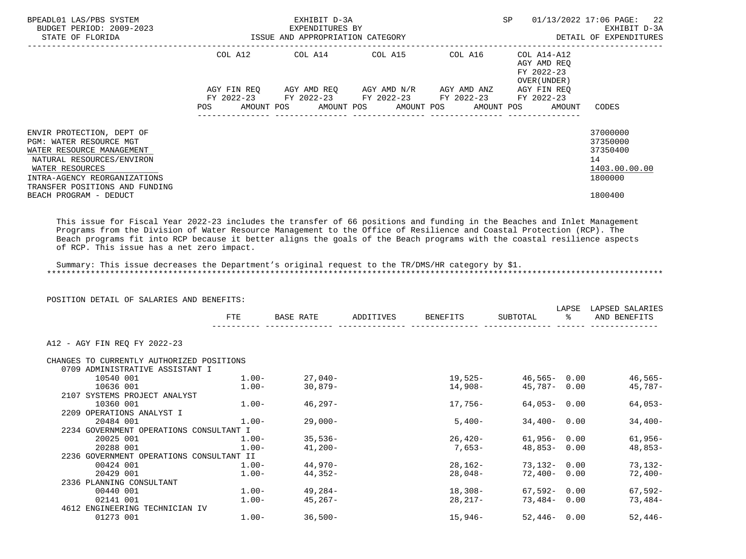| BPEADL01 LAS/PBS SYSTEM<br>BUDGET PERIOD: 2009-2023                                                                                                                                                                                                                                                                                                                                                                                                                                                                             |     |            |           | EXHIBIT D-3A<br>EXPENDITURES BY             |                                                                                    |          |            | SP       |                                                                         | 01/13/2022 17:06 PAGE:<br>22<br>EXHIBIT D-3A                       |
|---------------------------------------------------------------------------------------------------------------------------------------------------------------------------------------------------------------------------------------------------------------------------------------------------------------------------------------------------------------------------------------------------------------------------------------------------------------------------------------------------------------------------------|-----|------------|-----------|---------------------------------------------|------------------------------------------------------------------------------------|----------|------------|----------|-------------------------------------------------------------------------|--------------------------------------------------------------------|
| STATE OF FLORIDA                                                                                                                                                                                                                                                                                                                                                                                                                                                                                                                |     |            |           | ISSUE AND APPROPRIATION CATEGORY            |                                                                                    |          |            |          |                                                                         | DETAIL OF EXPENDITURES                                             |
|                                                                                                                                                                                                                                                                                                                                                                                                                                                                                                                                 |     |            |           |                                             | COL A12 COL A14 COL A15 COL A16<br>AGY FIN REQ AGY AMD REQ AGY AMD N/R AGY AMD ANZ |          |            |          | COL A14-A12<br>AGY AMD REO<br>FY 2022-23<br>OVER (UNDER)<br>AGY FIN REO |                                                                    |
|                                                                                                                                                                                                                                                                                                                                                                                                                                                                                                                                 | POS | AMOUNT POS |           | FY 2022-23 FY 2022-23 FY 2022-23 FY 2022-23 | AMOUNT POS AMOUNT POS                                                              |          | AMOUNT POS |          | FY 2022-23<br>AMOUNT                                                    | CODES                                                              |
|                                                                                                                                                                                                                                                                                                                                                                                                                                                                                                                                 |     |            |           |                                             |                                                                                    |          |            |          |                                                                         |                                                                    |
| ENVIR PROTECTION, DEPT OF<br><b>PGM: WATER RESOURCE MGT</b><br>WATER RESOURCE MANAGEMENT<br>NATURAL RESOURCES/ENVIRON<br>WATER RESOURCES<br>INTRA-AGENCY REORGANIZATIONS                                                                                                                                                                                                                                                                                                                                                        |     |            |           |                                             |                                                                                    |          |            |          |                                                                         | 37000000<br>37350000<br>37350400<br>14<br>1403.00.00.00<br>1800000 |
| TRANSFER POSITIONS AND FUNDING<br>BEACH PROGRAM - DEDUCT                                                                                                                                                                                                                                                                                                                                                                                                                                                                        |     |            |           |                                             |                                                                                    |          |            |          |                                                                         | 1800400                                                            |
| This issue for Fiscal Year 2022-23 includes the transfer of 66 positions and funding in the Beaches and Inlet Management<br>Programs from the Division of Water Resource Management to the Office of Resilience and Coastal Protection (RCP). The<br>Beach programs fit into RCP because it better aligns the goals of the Beach programs with the coastal resilience aspects<br>of RCP. This issue has a net zero impact.<br>Summary: This issue decreases the Department's original request to the TR/DMS/HR category by \$1. |     |            |           |                                             |                                                                                    |          |            |          |                                                                         |                                                                    |
|                                                                                                                                                                                                                                                                                                                                                                                                                                                                                                                                 |     |            |           |                                             |                                                                                    |          |            |          |                                                                         |                                                                    |
| POSITION DETAIL OF SALARIES AND BENEFITS:                                                                                                                                                                                                                                                                                                                                                                                                                                                                                       |     |            |           |                                             |                                                                                    |          |            |          |                                                                         |                                                                    |
|                                                                                                                                                                                                                                                                                                                                                                                                                                                                                                                                 |     | FTE        | BASE RATE |                                             | ADDITIVES                                                                          | BENEFITS |            | SUBTOTAL | န္                                                                      | LAPSE LAPSED SALARIES<br>AND BENEFITS                              |
| A12 - AGY FIN REO FY 2022-23                                                                                                                                                                                                                                                                                                                                                                                                                                                                                                    |     |            |           |                                             |                                                                                    |          |            |          |                                                                         |                                                                    |

| 10540 001                 | $1.00 -$  | 27.040-                                                                                                                                                                                                                               | 19,525-   | 46,565- 0.00    | $46,565-$ |
|---------------------------|-----------|---------------------------------------------------------------------------------------------------------------------------------------------------------------------------------------------------------------------------------------|-----------|-----------------|-----------|
| 10636 001                 | $1.00 -$  | 30,879-                                                                                                                                                                                                                               | 14,908-   | 45,787- 0.00    | 45,787-   |
|                           |           |                                                                                                                                                                                                                                       |           |                 |           |
| 10360 001                 | $1.00 -$  | $46.297 -$                                                                                                                                                                                                                            | $17.756-$ | $64.053 - 0.00$ | 64,053-   |
| 2209 OPERATIONS ANALYST I |           |                                                                                                                                                                                                                                       |           |                 |           |
| 20484 001                 | $1.00-$   | 29,000-                                                                                                                                                                                                                               | $5,400-$  | $34,400 - 0.00$ | $34,400-$ |
|                           |           |                                                                                                                                                                                                                                       |           |                 |           |
| 20025 001                 | $1.00 -$  | $35.536-$                                                                                                                                                                                                                             | 26,420-   | 61,956- 0.00    | $61,956-$ |
| 20288 001                 | $1.00 -$  | 41,200-                                                                                                                                                                                                                               | 7,653-    | $48,853 - 0.00$ | 48,853-   |
|                           |           |                                                                                                                                                                                                                                       |           |                 |           |
| 00424 001                 | $1.00-$   | 44,970-                                                                                                                                                                                                                               | 28,162-   | 73,132- 0.00    | 73,132-   |
| 20429 001                 | $1.00 -$  | 44,352-                                                                                                                                                                                                                               | 28,048-   | $72,400 - 0.00$ | 72,400-   |
| 2336 PLANNING CONSULTANT  |           |                                                                                                                                                                                                                                       |           |                 |           |
| 00440 001                 | $1.00 -$  | 49,284-                                                                                                                                                                                                                               | 18,308-   | 67,592-0.00     | 67,592-   |
| 02141 001                 | $1.00 -$  | 45,267-                                                                                                                                                                                                                               | $28.217-$ | 73.484-0.00     | 73,484-   |
|                           |           |                                                                                                                                                                                                                                       |           |                 |           |
|                           | $1.00 -$  | $36,500-$                                                                                                                                                                                                                             | $15,946-$ | $52,446 - 0.00$ | $52,446-$ |
|                           | 01273 001 | CHANGES TO CURRENTLY AUTHORIZED POSITIONS<br>0709 ADMINISTRATIVE ASSISTANT I<br>2107 SYSTEMS PROJECT ANALYST<br>2234 GOVERNMENT OPERATIONS CONSULTANT I<br>2236 GOVERNMENT OPERATIONS CONSULTANT II<br>4612 ENGINEERING TECHNICIAN IV |           |                 |           |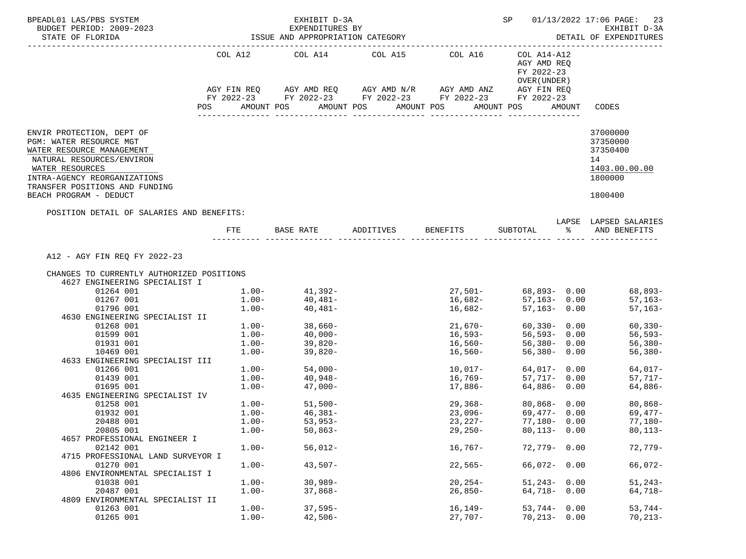| BPEADL01 LAS/PBS SYSTEM<br>BUDGET PERIOD: 2009-2023                                                                               |              | EXHIBIT D-3A<br>EXPENDITURES BY  |                       |                                                                                                                       |                                                            | SP 01/13/2022 17:06 PAGE: 23<br>EXHIBIT D-3A            |
|-----------------------------------------------------------------------------------------------------------------------------------|--------------|----------------------------------|-----------------------|-----------------------------------------------------------------------------------------------------------------------|------------------------------------------------------------|---------------------------------------------------------|
| STATE OF FLORIDA                                                                                                                  |              | ISSUE AND APPROPRIATION CATEGORY |                       |                                                                                                                       |                                                            | DETAIL OF EXPENDITURES                                  |
|                                                                                                                                   |              | COL A12 COL A14 COL A15 COL A16  |                       | AGY FIN REQ AGY AMD REQ AGY AMD N/R AGY AMD ANZ AGY FIN REQ<br>FY 2022-23 FY 2022-23 FY 2022-23 FY 2022-23 FY 2022-23 | COL A14-A12<br>AGY AMD REO<br>FY 2022-23<br>OVER ( UNDER ) |                                                         |
|                                                                                                                                   | POS          | AMOUNT POS                       | AMOUNT POS AMOUNT POS |                                                                                                                       | AMOUNT POS<br>AMOUNT                                       | CODES                                                   |
| ENVIR PROTECTION, DEPT OF<br>PGM: WATER RESOURCE MGT<br>WATER RESOURCE MANAGEMENT<br>NATURAL RESOURCES/ENVIRON<br>WATER RESOURCES |              |                                  |                       |                                                                                                                       |                                                            | 37000000<br>37350000<br>37350400<br>14<br>1403.00.00.00 |
| INTRA-AGENCY REORGANIZATIONS<br>TRANSFER POSITIONS AND FUNDING<br>BEACH PROGRAM - DEDUCT                                          |              |                                  |                       |                                                                                                                       |                                                            | 1800000<br>1800400                                      |
| POSITION DETAIL OF SALARIES AND BENEFITS:                                                                                         |              |                                  |                       |                                                                                                                       |                                                            | LAPSE LAPSED SALARIES                                   |
|                                                                                                                                   | FTE          |                                  |                       | BASE RATE ADDITIVES BENEFITS                                                                                          | SUBTOTAL %                                                 | AND BENEFITS                                            |
| A12 - AGY FIN REQ FY 2022-23                                                                                                      |              |                                  |                       |                                                                                                                       |                                                            |                                                         |
| CHANGES TO CURRENTLY AUTHORIZED POSITIONS<br>4627 ENGINEERING SPECIALIST I                                                        |              |                                  |                       |                                                                                                                       |                                                            |                                                         |
| 01264 001                                                                                                                         |              | $1.00 - 41,392 -$                |                       |                                                                                                                       |                                                            | 68,893-                                                 |
| 01267 001                                                                                                                         |              | $1.00 - 40,481 -$                |                       |                                                                                                                       |                                                            | $57,163-$                                               |
| 01796 001                                                                                                                         |              | $1.00 - 40,481 -$                |                       | 16,682-                                                                                                               | 57,163- 0.00                                               | $57,163-$                                               |
| 4630 ENGINEERING SPECIALIST II                                                                                                    |              |                                  |                       |                                                                                                                       |                                                            |                                                         |
| 01268 001                                                                                                                         |              | $1.00 - 38,660 -$                |                       | $21,670-$                                                                                                             | $60,330 - 0.00$                                            | $60, 330 -$                                             |
| 01599 001                                                                                                                         |              | $1.00 40,000-$<br>$1.00 39,820-$ |                       | 16,593–<br>16,560–                                                                                                    | 0.00 –393 –<br>56,380 – 0.00                               | 56,593-                                                 |
| 01931 001                                                                                                                         |              |                                  |                       |                                                                                                                       |                                                            | $56,380-$                                               |
| 10469 001                                                                                                                         | $1\ldots00-$ | $39,820-$                        |                       | 16,560-                                                                                                               | 56,380- 0.00                                               | $56,380-$                                               |
| 4633 ENGINEERING SPECIALIST III                                                                                                   |              |                                  |                       |                                                                                                                       |                                                            |                                                         |
| 01266 001                                                                                                                         |              | $1.00 - 54,000 -$                |                       | 10,017-                                                                                                               | 64,017- 0.00                                               | $64,017-$                                               |
| 01439 001                                                                                                                         |              | $1.00 40,948-$<br>$1.00 47,000-$ |                       |                                                                                                                       |                                                            | 57,717-                                                 |
| 01695 001<br>4635 ENGINEERING SPECIALIST IV                                                                                       |              |                                  |                       |                                                                                                                       |                                                            | 64,886-                                                 |
| 01258 001                                                                                                                         |              | $1.00 - 51,500 -$                |                       |                                                                                                                       | 29,368- 80,868- 0.00                                       | 80,868-                                                 |
| 01932 001                                                                                                                         |              | $1.00 - 46,381 -$                |                       |                                                                                                                       |                                                            | $23,096-$ 69,477- 0.00 69,477-                          |
| 20488 001                                                                                                                         | $1.00 -$     | $53,953-$                        |                       | $23,227-$                                                                                                             | 77,180- 0.00                                               | 77,180-                                                 |
| 20805 001                                                                                                                         | $1.00-$      | $50,863-$                        |                       | $29,250-$                                                                                                             | $80,113 - 0.00$                                            | $80, 113 -$                                             |
| 4657 PROFESSIONAL ENGINEER I                                                                                                      |              |                                  |                       |                                                                                                                       |                                                            |                                                         |
| 02142 001<br>4715 PROFESSIONAL LAND SURVEYOR I                                                                                    | $1.00-$      | $56,012-$                        |                       | $16,767-$                                                                                                             | $72,779 - 0.00$                                            | 72,779-                                                 |
| 01270 001                                                                                                                         | $1.00-$      | $43,507-$                        |                       | $22,565-$                                                                                                             | $66,072 - 0.00$                                            | 66,072-                                                 |
| 4806 ENVIRONMENTAL SPECIALIST I                                                                                                   |              |                                  |                       |                                                                                                                       |                                                            |                                                         |
| 01038 001                                                                                                                         | $1.00-$      | $30,989-$                        |                       | $20, 254 -$                                                                                                           | $51,243 - 0.00$                                            | $51, 243 -$                                             |
| 20487 001                                                                                                                         | $1.00-$      | $37,868-$                        |                       | $26,850-$                                                                                                             | 64,718- 0.00                                               | 64,718-                                                 |
| 4809 ENVIRONMENTAL SPECIALIST II                                                                                                  |              |                                  |                       |                                                                                                                       |                                                            |                                                         |
| 01263 001                                                                                                                         | $1.00-$      | $37,595-$                        |                       | $16, 149-$                                                                                                            | $53,744 - 0.00$                                            | $53,744-$                                               |
| 01265 001                                                                                                                         | $1.00-$      | $42,506-$                        |                       | $27,707-$                                                                                                             | $70,213 - 0.00$                                            | $70, 213 -$                                             |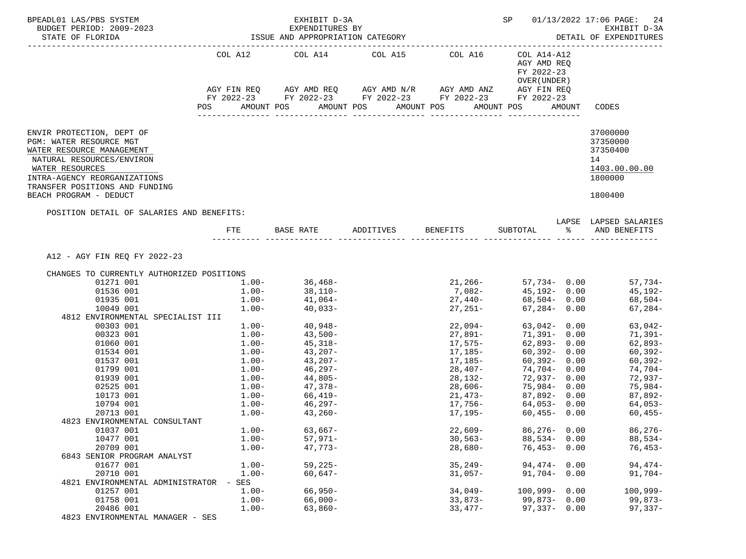| BPEADL01 LAS/PBS SYSTEM<br>BUDGET PERIOD: 2009-2023                                                                                                                                                                           |                   | EXHIBIT D-3A<br>EXPENDITURES BY                                                                |                       |                        |                                                            | SP 01/13/2022 17:06 PAGE: 24<br>EXHIBIT D-3A                                  |
|-------------------------------------------------------------------------------------------------------------------------------------------------------------------------------------------------------------------------------|-------------------|------------------------------------------------------------------------------------------------|-----------------------|------------------------|------------------------------------------------------------|-------------------------------------------------------------------------------|
| STATE OF FLORIDA                                                                                                                                                                                                              |                   | ISSUE AND APPROPRIATION CATEGORY                                                               |                       |                        |                                                            | DETAIL OF EXPENDITURES                                                        |
| ______________________                                                                                                                                                                                                        |                   | COL A12 COL A14 COL A15 COL A16<br>AGY FIN REQ AGY AMD REQ AGY AMD N/R AGY AMD ANZ AGY FIN REQ |                       |                        | COL A14-A12<br>AGY AMD REQ<br>FY 2022-23<br>OVER ( UNDER ) |                                                                               |
|                                                                                                                                                                                                                               |                   | FY 2022-23 FY 2022-23 FY 2022-23 FY 2022-23 FY 2022-23                                         |                       |                        |                                                            |                                                                               |
|                                                                                                                                                                                                                               | <b>POS</b>        | AMOUNT POS                                                                                     | AMOUNT POS AMOUNT POS |                        | AMOUNT POS                                                 | AMOUNT CODES                                                                  |
| ENVIR PROTECTION, DEPT OF<br>PGM: WATER RESOURCE MGT<br>WATER RESOURCE MANAGEMENT<br>NATURAL RESOURCES/ENVIRON<br>WATER RESOURCES<br>INTRA-AGENCY REORGANIZATIONS<br>TRANSFER POSITIONS AND FUNDING<br>BEACH PROGRAM - DEDUCT |                   |                                                                                                |                       |                        |                                                            | 37000000<br>37350000<br>37350400<br>14<br>1403.00.00.00<br>1800000<br>1800400 |
| POSITION DETAIL OF SALARIES AND BENEFITS:                                                                                                                                                                                     |                   |                                                                                                |                       |                        |                                                            |                                                                               |
|                                                                                                                                                                                                                               |                   | FTE BASE RATE ADDITIVES BENEFITS SUBTOTAL $\frac{1}{2}$ and benefits                           |                       |                        |                                                            | LAPSE LAPSED SALARIES                                                         |
| A12 - AGY FIN REQ FY 2022-23                                                                                                                                                                                                  |                   |                                                                                                |                       |                        |                                                            |                                                                               |
| CHANGES TO CURRENTLY AUTHORIZED POSITIONS                                                                                                                                                                                     |                   |                                                                                                |                       |                        |                                                            |                                                                               |
| 01271 001                                                                                                                                                                                                                     |                   | $1.00-$ 36,468-<br>1.00- 38,110-                                                               |                       |                        |                                                            | 21,266- 57,734- 0.00 57,734-<br>7,082- 45,192- 0.00 45,192-                   |
| 01536 001                                                                                                                                                                                                                     | $1.00 - 41,064 -$ |                                                                                                |                       | $27,440-$ 68,504- 0.00 |                                                            |                                                                               |
| 01935 001                                                                                                                                                                                                                     | $1.00 -$          | $40,033-$                                                                                      |                       |                        |                                                            | 68,504-                                                                       |
| 10049 001<br>4812 ENVIRONMENTAL SPECIALIST III                                                                                                                                                                                |                   |                                                                                                |                       | $27,251-$              | $67,284 - 0.00$                                            | 67,284-                                                                       |
| 00303 001                                                                                                                                                                                                                     |                   |                                                                                                |                       |                        |                                                            | 63,042-                                                                       |
| 00323 001                                                                                                                                                                                                                     |                   | $1.00 40,948-$<br>$1.00 43,500-$<br>$1.00 45,318-$                                             |                       |                        | $22,094 - 63,042 - 0.00$<br>71,391- 0.00                   | 71,391–                                                                       |
| 01060 001                                                                                                                                                                                                                     |                   |                                                                                                |                       | 27,891–<br>17,575–     | 62,893-0.00                                                | 62,893-                                                                       |
| 01534 001                                                                                                                                                                                                                     |                   |                                                                                                |                       |                        |                                                            | 60,392-                                                                       |
| 01537 001                                                                                                                                                                                                                     |                   | $1.00 - 43,207 - 1.00 - 43,207 -$                                                              |                       | $17,185-$<br>17,185-   | 60,392- 0.00<br>60,392- 0.00                               | 60,392-                                                                       |
| 01799 001                                                                                                                                                                                                                     |                   | $1.00-$<br>$1.00-$<br>$44,805-$<br>$1.00-$<br>$47,378-$                                        |                       | $28,407-$              | 74,704- 0.00                                               | 74,704-                                                                       |
| 01939 001                                                                                                                                                                                                                     |                   |                                                                                                |                       | 28,132-                | 72,937- 0.00                                               | 72,937-                                                                       |
| 02525 001                                                                                                                                                                                                                     |                   |                                                                                                |                       | $28,606-$              | 72,937- 0.00<br>75,984- 0.00                               | 75,984-                                                                       |
| 10173 001                                                                                                                                                                                                                     |                   | $1.00 - 66,419 - 1.00 - 46,297 -$                                                              |                       |                        |                                                            |                                                                               |
| 10794 001                                                                                                                                                                                                                     |                   |                                                                                                |                       |                        |                                                            |                                                                               |
| 20713 001                                                                                                                                                                                                                     | $1.00 - 43,260 -$ |                                                                                                |                       |                        |                                                            | $17,195-$ 60,455- 0.00 60,455-                                                |
| 4823 ENVIRONMENTAL CONSULTANT                                                                                                                                                                                                 |                   |                                                                                                |                       |                        |                                                            |                                                                               |
| 01037 001                                                                                                                                                                                                                     | $1.00-$           | $63,667-$                                                                                      |                       | $22,609-$              | $86,276 - 0.00$                                            | $86,276-$                                                                     |
| 10477 001                                                                                                                                                                                                                     | $1.00 -$          | $57,971-$                                                                                      |                       | $30,563-$              | $88,534 - 0.00$                                            | $88,534-$                                                                     |
| 20709 001                                                                                                                                                                                                                     | $1.00-$           | $47,773-$                                                                                      |                       | $28,680-$              | $76,453 - 0.00$                                            | $76,453-$                                                                     |
| 6843 SENIOR PROGRAM ANALYST                                                                                                                                                                                                   |                   |                                                                                                |                       |                        |                                                            |                                                                               |
| 01677 001                                                                                                                                                                                                                     | $1.00-$           | $59,225-$                                                                                      |                       | $35,249-$              | $94,474 - 0.00$                                            | $94,474-$                                                                     |
| 20710 001                                                                                                                                                                                                                     | $1.00-$           | $60,647-$                                                                                      |                       | $31,057-$              | $91,704 - 0.00$                                            | 91,704-                                                                       |
| 4821 ENVIRONMENTAL ADMINISTRATOR                                                                                                                                                                                              | - SES             |                                                                                                |                       |                        |                                                            |                                                                               |
| 01257 001                                                                                                                                                                                                                     | $1.00 -$          | $66,950-$                                                                                      |                       | $34,049-$              | $100,999 - 0.00$                                           | $100,999-$                                                                    |
| 01758 001                                                                                                                                                                                                                     | $1.00-$           | $66,000 -$                                                                                     |                       | $33,873-$              | $99,873 - 0.00$                                            | $99,873-$                                                                     |
| 20486 001<br>4823 ENVIRONMENTAL MANAGER - SES                                                                                                                                                                                 | $1.00-$           | $63,860-$                                                                                      |                       | $33,477-$              | $97,337 - 0.00$                                            | $97,337-$                                                                     |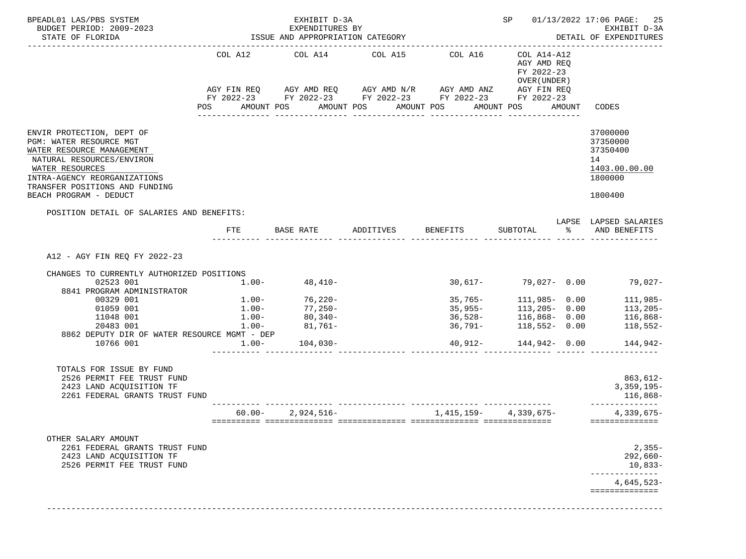| BUDGET PERIOD: 2009-2023<br>STATE OF FLORIDA                                                                                                                                                                                          |                                                                                                                           | EXPENDITURES BY                                                                       |                                                                                                                                                                                        |                        |                                                                                                                                                     | EXHIBIT D-3A                                                                  |
|---------------------------------------------------------------------------------------------------------------------------------------------------------------------------------------------------------------------------------------|---------------------------------------------------------------------------------------------------------------------------|---------------------------------------------------------------------------------------|----------------------------------------------------------------------------------------------------------------------------------------------------------------------------------------|------------------------|-----------------------------------------------------------------------------------------------------------------------------------------------------|-------------------------------------------------------------------------------|
|                                                                                                                                                                                                                                       |                                                                                                                           | ISSUE AND APPROPRIATION CATEGORY                                                      |                                                                                                                                                                                        |                        |                                                                                                                                                     | DETAIL OF EXPENDITURES                                                        |
|                                                                                                                                                                                                                                       | COL A12<br>POS FOR THE POST OF THE STATE STATE STATE STATE STATE STATE STATE STATE STATE STATE STATE STATE STATE STATE ST | COL A14                                                                               | COL A15<br>AGY FIN REQ AGY AMD REQ AGY AMD N/R AGY AMD ANZ AGY FIN REQ<br>FY 2022-23 FY 2022-23 FY 2022-23 FY 2022-23 FY 2022-23<br>AMOUNT POS AMOUNT POS AMOUNT POS AMOUNT POS AMOUNT | COL A16                | COL A14-A12<br>AGY AMD REQ<br>FY 2022-23<br>OVER (UNDER)                                                                                            | CODES                                                                         |
| ENVIR PROTECTION, DEPT OF<br>PGM: WATER RESOURCE MGT<br>WATER RESOURCE MANAGEMENT<br>NATURAL RESOURCES/ENVIRON<br>WATER RESOURCES<br>INTRA-AGENCY REORGANIZATIONS<br>TRANSFER POSITIONS AND FUNDING<br>BEACH PROGRAM - DEDUCT         |                                                                                                                           |                                                                                       |                                                                                                                                                                                        |                        |                                                                                                                                                     | 37000000<br>37350000<br>37350400<br>14<br>1403.00.00.00<br>1800000<br>1800400 |
| POSITION DETAIL OF SALARIES AND BENEFITS:                                                                                                                                                                                             | FTE                                                                                                                       | BASE RATE                                                                             | ADDITIVES BENEFITS                                                                                                                                                                     |                        | SUBTOTAL                                                                                                                                            | LAPSE LAPSED SALARIES<br>% AND BENEFITS                                       |
| A12 - AGY FIN REQ FY 2022-23<br>CHANGES TO CURRENTLY AUTHORIZED POSITIONS<br>02523 001<br>8841 PROGRAM ADMINISTRATOR<br>00329 001<br>01059 001<br>11048 001<br>20483 001<br>8862 DEPUTY DIR OF WATER RESOURCE MGMT - DEP<br>10766 001 | $1.00-$<br>$1.00-$<br>$1.00 -$<br>$1.00 -$                                                                                | $48,410-$<br>$1.00 - 76,220 -$<br>77,250-<br>80,340-<br>$1.00 - 81,761 -$<br>104,030- |                                                                                                                                                                                        | $35,765-$              | $30,617 - 79,027 - 0.00$<br>111,985- 0.00<br>35,955-<br>36,528-<br>36,791-<br>36,791-<br>118,552-<br>30.00<br>116,868-0.00<br>40,912- 144,942- 0.00 | $79,027-$<br>111,985-<br>$113,205-$<br>116,868-<br>$118,552-$<br>144,942-     |
| TOTALS FOR ISSUE BY FUND<br>2526 PERMIT FEE TRUST FUND<br>2423 LAND ACOUISITION TF<br>2261 FEDERAL GRANTS TRUST FUND                                                                                                                  |                                                                                                                           |                                                                                       |                                                                                                                                                                                        |                        |                                                                                                                                                     | 863,612-<br>$3,359,195-$<br>116,868-<br>______________                        |
|                                                                                                                                                                                                                                       |                                                                                                                           | $60.00 - 2,924,516 -$                                                                 |                                                                                                                                                                                        | $1,415,159-4,339,675-$ |                                                                                                                                                     | 4,339,675-<br>==============                                                  |
| OTHER SALARY AMOUNT<br>2261 FEDERAL GRANTS TRUST FUND<br>2423 LAND ACQUISITION TF<br>2526 PERMIT FEE TRUST FUND                                                                                                                       |                                                                                                                           |                                                                                       |                                                                                                                                                                                        |                        |                                                                                                                                                     | $2,355-$<br>$292,660-$<br>$10,833-$<br>------------<br>$4,645,523-$           |
|                                                                                                                                                                                                                                       |                                                                                                                           |                                                                                       |                                                                                                                                                                                        |                        |                                                                                                                                                     | ==============                                                                |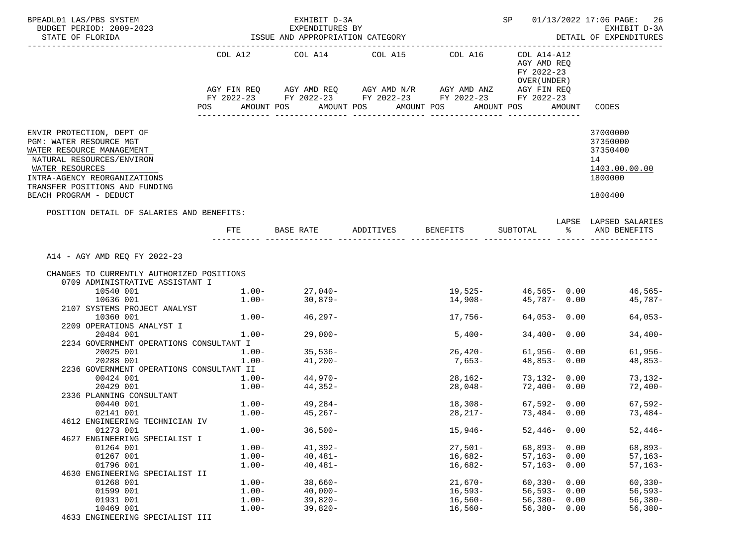| BPEADL01 LAS/PBS SYSTEM<br>BUDGET PERIOD: 2009-2023                                                                                                                                                                           |                                        | EXHIBIT D-3A<br>EXPENDITURES BY               |                       |                                                                                                                       | <b>SP</b>                                                               |        | 01/13/2022 17:06 PAGE: 26<br>EXHIBIT D-3A                                     |
|-------------------------------------------------------------------------------------------------------------------------------------------------------------------------------------------------------------------------------|----------------------------------------|-----------------------------------------------|-----------------------|-----------------------------------------------------------------------------------------------------------------------|-------------------------------------------------------------------------|--------|-------------------------------------------------------------------------------|
| STATE OF FLORIDA                                                                                                                                                                                                              |                                        | ISSUE AND APPROPRIATION CATEGORY              |                       |                                                                                                                       |                                                                         |        | DETAIL OF EXPENDITURES                                                        |
|                                                                                                                                                                                                                               | POS                                    | COL A12 COL A14 COL A15 COL A16<br>AMOUNT POS | AMOUNT POS AMOUNT POS | AGY FIN REQ AGY AMD REQ AGY AMD N/R AGY AMD ANZ AGY FIN REQ<br>FY 2022-23 FY 2022-23 FY 2022-23 FY 2022-23 FY 2022-23 | COL A14-A12<br>AGY AMD REQ<br>FY 2022-23<br>OVER (UNDER )<br>AMOUNT POS | AMOUNT | CODES                                                                         |
| ENVIR PROTECTION, DEPT OF<br>PGM: WATER RESOURCE MGT<br>WATER RESOURCE MANAGEMENT<br>NATURAL RESOURCES/ENVIRON<br>WATER RESOURCES<br>INTRA-AGENCY REORGANIZATIONS<br>TRANSFER POSITIONS AND FUNDING<br>BEACH PROGRAM - DEDUCT |                                        |                                               |                       |                                                                                                                       |                                                                         |        | 37000000<br>37350000<br>37350400<br>14<br>1403.00.00.00<br>1800000<br>1800400 |
| POSITION DETAIL OF SALARIES AND BENEFITS:                                                                                                                                                                                     | FTE                                    |                                               |                       | BASE RATE ADDITIVES BENEFITS                                                                                          |                                                                         |        | LAPSE LAPSED SALARIES<br>SUBTOTAL % AND BENEFITS                              |
| A14 - AGY AMD REQ FY 2022-23                                                                                                                                                                                                  |                                        |                                               |                       |                                                                                                                       |                                                                         |        |                                                                               |
| CHANGES TO CURRENTLY AUTHORIZED POSITIONS                                                                                                                                                                                     |                                        |                                               |                       |                                                                                                                       |                                                                         |        |                                                                               |
| 0709 ADMINISTRATIVE ASSISTANT I                                                                                                                                                                                               |                                        |                                               |                       |                                                                                                                       |                                                                         |        |                                                                               |
| 10540 001                                                                                                                                                                                                                     |                                        | $1.00 - 27,040 -$<br>$1.00 - 30,879 -$        |                       | $19,525 - 46,565 - 0.00$                                                                                              | $14,908 45,787-$ 0.00                                                   |        | 46,565-<br>45,787-                                                            |
| 10636 001<br>2107 SYSTEMS PROJECT ANALYST                                                                                                                                                                                     |                                        |                                               |                       |                                                                                                                       |                                                                         |        |                                                                               |
| 10360 001                                                                                                                                                                                                                     |                                        | $1.00 - 46,297 -$                             |                       | 17,756-                                                                                                               | $64,053 - 0.00$                                                         |        | $64,053-$                                                                     |
| 2209 OPERATIONS ANALYST I                                                                                                                                                                                                     |                                        |                                               |                       |                                                                                                                       |                                                                         |        |                                                                               |
| 20484 001                                                                                                                                                                                                                     | $1.00-$                                | 29,000-                                       |                       | $5,400-$                                                                                                              | $34,400 - 0.00$                                                         |        | $34,400-$                                                                     |
| 2234 GOVERNMENT OPERATIONS CONSULTANT I                                                                                                                                                                                       |                                        |                                               |                       |                                                                                                                       |                                                                         |        |                                                                               |
| 20025 001                                                                                                                                                                                                                     | $1.00 - 35,536 -$<br>$1.00 - 41.200 -$ |                                               |                       | $26,420-$                                                                                                             | $61,956 - 0.00$                                                         |        | 61,956-                                                                       |
| 20288 001                                                                                                                                                                                                                     | $1.00-$                                | 41,200-                                       |                       | 7,653-                                                                                                                | $48,853 - 0.00$                                                         |        | 48,853-                                                                       |
| 2236 GOVERNMENT OPERATIONS CONSULTANT II                                                                                                                                                                                      |                                        |                                               |                       |                                                                                                                       |                                                                         |        |                                                                               |
| 00424 001                                                                                                                                                                                                                     | $1.00-$                                | 44,970-<br>44,352-                            |                       | 28,162-<br>28,048-                                                                                                    | 73,132- 0.00                                                            |        | 73,132-                                                                       |
| 20429 001<br>2336 PLANNING CONSULTANT                                                                                                                                                                                         | $1.00 -$                               |                                               |                       |                                                                                                                       | 72,400-0.00                                                             |        | 72,400-                                                                       |
| 00440 001                                                                                                                                                                                                                     |                                        | $1.00 - 49,284 -$                             |                       | 18,308-                                                                                                               | 67,592-0.00                                                             |        | 67,592-                                                                       |
| 02141 001                                                                                                                                                                                                                     | $1.00 - 45,267 -$                      |                                               |                       |                                                                                                                       | $28,217-73,484-0.00$                                                    |        | 73,484-                                                                       |
| 4612 ENGINEERING TECHNICIAN IV                                                                                                                                                                                                |                                        |                                               |                       |                                                                                                                       |                                                                         |        |                                                                               |
| 01273 001                                                                                                                                                                                                                     | $1.00 -$                               | $36,500-$                                     |                       | $15,946-$                                                                                                             | $52,446 - 0.00$                                                         |        | $52,446-$                                                                     |
| 4627 ENGINEERING SPECIALIST I                                                                                                                                                                                                 |                                        |                                               |                       |                                                                                                                       |                                                                         |        |                                                                               |
| 01264 001                                                                                                                                                                                                                     | $1.00 -$                               | $41,392-$                                     |                       | $27,501-$                                                                                                             | $68,893 - 0.00$                                                         |        | $68,893-$                                                                     |
| 01267 001                                                                                                                                                                                                                     | $1.00 -$                               | $40,481-$                                     |                       | $16,682-$                                                                                                             | $57,163-$                                                               | 0.00   | $57,163-$                                                                     |
| 01796 001                                                                                                                                                                                                                     | $1.00 -$                               | $40,481-$                                     |                       | $16,682-$                                                                                                             | $57,163-$                                                               | 0.00   | $57, 163 -$                                                                   |
| 4630 ENGINEERING SPECIALIST II                                                                                                                                                                                                | $1.00-$                                | $38,660-$                                     |                       | $21,670-$                                                                                                             |                                                                         | 0.00   | $60, 330 -$                                                                   |
| 01268 001<br>01599 001                                                                                                                                                                                                        | $1.00-$                                | $40,000-$                                     |                       | $16,593-$                                                                                                             | $60,330-$<br>$56, 593 -$                                                | 0.00   | $56, 593 -$                                                                   |
| 01931 001                                                                                                                                                                                                                     | $1.00-$                                | $39,820-$                                     |                       | $16,560-$                                                                                                             | $56,380-$                                                               | 0.00   | $56,380-$                                                                     |
| 10469 001                                                                                                                                                                                                                     | $1.00-$                                | $39,820-$                                     |                       | $16,560-$                                                                                                             | $56,380 - 0.00$                                                         |        | $56,380-$                                                                     |
| 4633 ENGINEERING SPECIALIST III                                                                                                                                                                                               |                                        |                                               |                       |                                                                                                                       |                                                                         |        |                                                                               |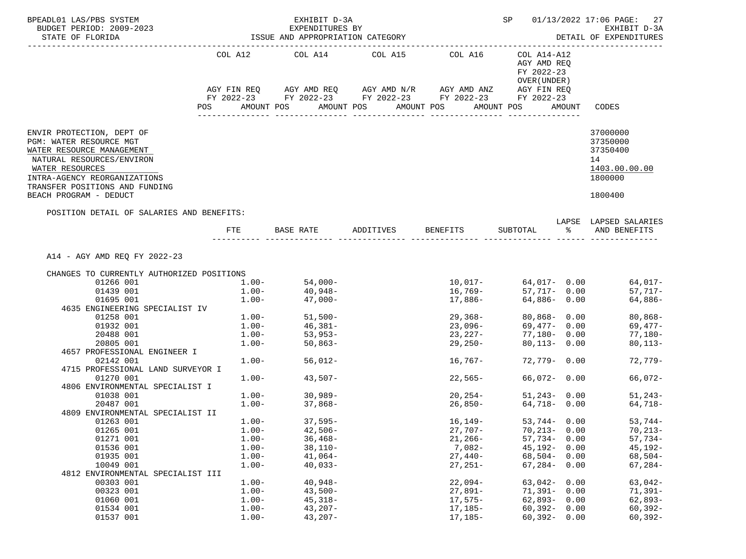| BPEADL01 LAS/PBS SYSTEM                                                                                                           |                  | EXHIBIT D-3A                                                |                       |                                              | SP                                                         |        | 01/13/2022 17:06 PAGE: 27                               |
|-----------------------------------------------------------------------------------------------------------------------------------|------------------|-------------------------------------------------------------|-----------------------|----------------------------------------------|------------------------------------------------------------|--------|---------------------------------------------------------|
| BUDGET PERIOD: 2009-2023<br>STATE OF FLORIDA                                                                                      |                  | EXPENDITURES BY<br>ISSUE AND APPROPRIATION CATEGORY         |                       |                                              |                                                            |        | EXHIBIT D-3A<br>DETAIL OF EXPENDITURES                  |
|                                                                                                                                   |                  |                                                             |                       |                                              |                                                            |        |                                                         |
|                                                                                                                                   |                  | COL A12 COL A14 COL A15 COL A16                             |                       |                                              | COL A14-A12<br>AGY AMD REQ<br>FY 2022-23<br>OVER ( UNDER ) |        |                                                         |
|                                                                                                                                   |                  | AGY FIN REQ AGY AMD REQ AGY AMD N/R AGY AMD ANZ AGY FIN REQ |                       |                                              |                                                            |        |                                                         |
|                                                                                                                                   |                  | FY 2022-23 FY 2022-23 FY 2022-23 FY 2022-23 FY 2022-23      |                       |                                              |                                                            |        |                                                         |
|                                                                                                                                   | POS              | AMOUNT POS                                                  | AMOUNT POS AMOUNT POS |                                              | AMOUNT POS                                                 | AMOUNT | CODES                                                   |
| ENVIR PROTECTION, DEPT OF<br>PGM: WATER RESOURCE MGT<br>WATER RESOURCE MANAGEMENT<br>NATURAL RESOURCES/ENVIRON<br>WATER RESOURCES |                  |                                                             |                       |                                              |                                                            |        | 37000000<br>37350000<br>37350400<br>14<br>1403.00.00.00 |
| INTRA-AGENCY REORGANIZATIONS                                                                                                      |                  |                                                             |                       |                                              |                                                            |        | 1800000                                                 |
| TRANSFER POSITIONS AND FUNDING<br>BEACH PROGRAM - DEDUCT                                                                          |                  |                                                             |                       |                                              |                                                            |        | 1800400                                                 |
| POSITION DETAIL OF SALARIES AND BENEFITS:                                                                                         |                  |                                                             |                       |                                              |                                                            |        |                                                         |
|                                                                                                                                   |                  | FTE BASE RATE ADDITIVES BENEFITS                            |                       |                                              |                                                            |        | LAPSE LAPSED SALARIES<br>SUBTOTAL % AND BENEFITS        |
|                                                                                                                                   |                  |                                                             |                       |                                              |                                                            |        |                                                         |
| A14 - AGY AMD REO FY 2022-23                                                                                                      |                  |                                                             |                       |                                              |                                                            |        |                                                         |
| CHANGES TO CURRENTLY AUTHORIZED POSITIONS                                                                                         |                  |                                                             |                       |                                              |                                                            |        |                                                         |
| 01266 001                                                                                                                         |                  | $1.00 - 54,000 -$                                           |                       |                                              |                                                            |        | 64,017-                                                 |
| 01439 001                                                                                                                         | $1.00 -$         | 40,948-                                                     |                       | 16,769-                                      | 57,717- 0.00                                               |        | 57,717-                                                 |
| 01695 001                                                                                                                         |                  | $1.00 - 47,000 -$                                           |                       | 17,886-                                      | 64,886- 0.00                                               |        | 64,886-                                                 |
| 4635 ENGINEERING SPECIALIST IV                                                                                                    |                  | $1.00 - 51,500 -$                                           |                       |                                              |                                                            |        |                                                         |
| 01258 001                                                                                                                         |                  |                                                             |                       | $29,368-$                                    | $80,868 - 0.00$                                            |        | $80,868-$                                               |
| 01932 001                                                                                                                         |                  | $1.00 - 46,381 - 1.00 - 53,953 -$                           |                       | $23,096-$                                    | 69,477- 0.00                                               |        | 69,477-                                                 |
| 20488 001                                                                                                                         |                  | $1.00 - 50,863 - 50$                                        |                       | 23,227-<br>- <i>ا ۱۵ ، د</i> ء<br>29 , 250 - | 77,180- 0.00<br>$80,113 - 0.00$                            |        | 77,180-                                                 |
| 20805 001                                                                                                                         |                  |                                                             |                       |                                              |                                                            |        | $80, 113 -$                                             |
| 4657 PROFESSIONAL ENGINEER I                                                                                                      | $1.00 -$         | $56,012-$                                                   |                       |                                              | 72,779- 0.00                                               |        | $72,779-$                                               |
| 02142 001<br>4715 PROFESSIONAL LAND SURVEYOR I                                                                                    |                  |                                                             |                       | 16,767-                                      |                                                            |        |                                                         |
| 01270 001                                                                                                                         | $1.00-$          | $43,507-$                                                   |                       | 22,565-                                      | 66,072- 0.00                                               |        | $66,072-$                                               |
| 4806 ENVIRONMENTAL SPECIALIST I                                                                                                   |                  |                                                             |                       |                                              |                                                            |        |                                                         |
| 01038 001                                                                                                                         |                  |                                                             |                       | $20, 254-$                                   | 51,243-0.00                                                |        | 51,243-                                                 |
| 20487 001                                                                                                                         | $1 \, . \, 00 -$ | $1.00 - 30,989 -$<br>37,868-                                |                       | 26,850-                                      | 64,718- 0.00                                               |        | 64,718-                                                 |
| 4809 ENVIRONMENTAL SPECIALIST II                                                                                                  |                  |                                                             |                       |                                              |                                                            |        |                                                         |
| 01263 001                                                                                                                         | $1.00 -$         | $37,595-$                                                   |                       | 16,149-                                      | 53,744- 0.00                                               |        | $53,744-$                                               |
| 01265 001                                                                                                                         | $1.00-$          | $42,506-$                                                   |                       | $27,707-$                                    | $70,213 - 0.00$                                            |        | $70, 213 -$                                             |
| 01271 001                                                                                                                         | $1.00 -$         | $36,468-$                                                   |                       | $21,266-$                                    | $57,734 - 0.00$                                            |        | $57,734-$                                               |
| 01536 001                                                                                                                         | $1.00-$          | $38,110-$                                                   |                       | $7,082-$                                     | $45,192 - 0.00$                                            |        | 45,192-                                                 |
| 01935 001                                                                                                                         | $1.00 -$         | $41,064-$                                                   |                       | $27,440-$                                    | $68,504 - 0.00$                                            |        | $68,504-$                                               |
| 10049 001                                                                                                                         | $1.00-$          | $40,033-$                                                   |                       | $27,251-$                                    | $67,284 - 0.00$                                            |        | $67, 284 -$                                             |
| 4812 ENVIRONMENTAL SPECIALIST III                                                                                                 |                  |                                                             |                       |                                              |                                                            |        |                                                         |
| 00303 001                                                                                                                         | $1.00-$          | $40,948-$                                                   |                       | $22,094-$                                    | $63,042 - 0.00$                                            |        | $63,042-$                                               |
| 00323 001                                                                                                                         | $1.00-$          | $43,500-$                                                   |                       | $27,891-$                                    | $71,391 - 0.00$                                            |        | $71,391-$                                               |
| 01060 001                                                                                                                         | $1.00-$          | $45,318-$                                                   |                       | $17,575-$                                    | $62,893 - 0.00$                                            |        | 62,893-                                                 |
| 01534 001                                                                                                                         | $1.00-$          | $43,207-$                                                   |                       | $17,185-$                                    | $60,392 - 0.00$                                            |        | $60, 392 -$                                             |
| 01537 001                                                                                                                         | $1.00-$          | $43,207-$                                                   |                       | $17,185-$                                    | $60,392 - 0.00$                                            |        | $60, 392 -$                                             |
|                                                                                                                                   |                  |                                                             |                       |                                              |                                                            |        |                                                         |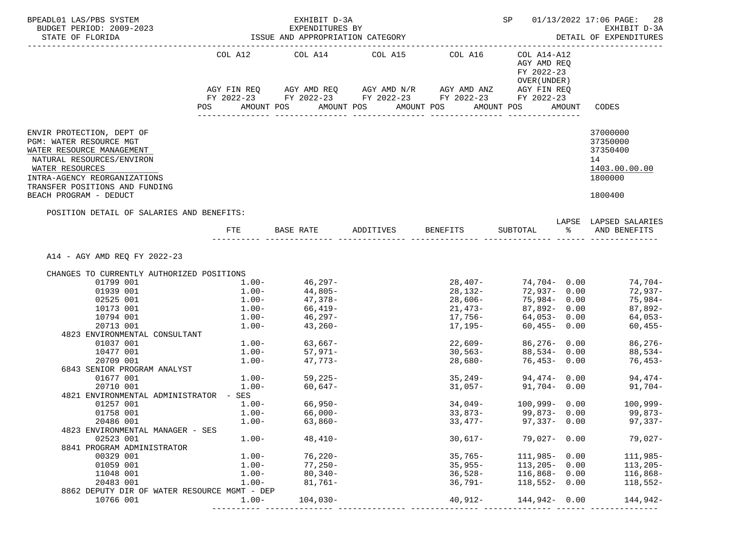| BPEADL01 LAS/PBS SYSTEM<br>BUDGET PERIOD: 2009-2023<br>STATE OF FLORIDA                                                                                                                                                       |                     | EXHIBIT D-3A<br>EXPENDITURES BY<br>ISSUE AND APPROPRIATION CATEGORY |                                                          |                                                                                                                       | <b>SP</b>                                                               | 01/13/2022 17:06 PAGE: 28<br>EXHIBIT D-3A<br>DETAIL OF EXPENDITURES           |
|-------------------------------------------------------------------------------------------------------------------------------------------------------------------------------------------------------------------------------|---------------------|---------------------------------------------------------------------|----------------------------------------------------------|-----------------------------------------------------------------------------------------------------------------------|-------------------------------------------------------------------------|-------------------------------------------------------------------------------|
| ---------------------                                                                                                                                                                                                         | <b>POS</b>          | AMOUNT POS                                                          | COL A12 COL A14 COL A15 COL A16<br>AMOUNT POS AMOUNT POS | AGY FIN REQ AGY AMD REQ AGY AMD N/R AGY AMD ANZ AGY FIN REQ<br>FY 2022-23 FY 2022-23 FY 2022-23 FY 2022-23 FY 2022-23 | COL A14-A12<br>AGY AMD REO<br>FY 2022-23<br>OVER (UNDER )<br>AMOUNT POS | AMOUNT CODES                                                                  |
| ENVIR PROTECTION, DEPT OF<br>PGM: WATER RESOURCE MGT<br>WATER RESOURCE MANAGEMENT<br>NATURAL RESOURCES/ENVIRON<br>WATER RESOURCES<br>INTRA-AGENCY REORGANIZATIONS<br>TRANSFER POSITIONS AND FUNDING<br>BEACH PROGRAM - DEDUCT |                     |                                                                     |                                                          |                                                                                                                       |                                                                         | 37000000<br>37350000<br>37350400<br>14<br>1403.00.00.00<br>1800000<br>1800400 |
| POSITION DETAIL OF SALARIES AND BENEFITS:                                                                                                                                                                                     |                     |                                                                     |                                                          | FTE BASE RATE ADDITIVES BENEFITS SUBTOTAL $\frac{1}{2}$ and benefits                                                  |                                                                         | LAPSE LAPSED SALARIES                                                         |
| A14 - AGY AMD REO FY 2022-23<br>CHANGES TO CURRENTLY AUTHORIZED POSITIONS                                                                                                                                                     |                     |                                                                     |                                                          |                                                                                                                       |                                                                         |                                                                               |
| 01799 001                                                                                                                                                                                                                     |                     | $1.00 - 46,297 -$                                                   |                                                          |                                                                                                                       |                                                                         | 74,704-                                                                       |
| 01939 001                                                                                                                                                                                                                     | $1.00 -$            | 44,805-                                                             |                                                          | 28,132-                                                                                                               | 72,937- 0.00                                                            | 72,937-                                                                       |
| 02525 001                                                                                                                                                                                                                     |                     | $1.00 - 47,378 -$                                                   |                                                          | $28,606 - 75,984 - 0.00$                                                                                              |                                                                         | 75,984-                                                                       |
| 10173 001                                                                                                                                                                                                                     |                     | $1.00-$ 66,419-<br>$1.00-$ 46,297-                                  |                                                          |                                                                                                                       | 87,892- 0.00<br>64,053- 0.00                                            | 87,892-                                                                       |
| 10794 001                                                                                                                                                                                                                     |                     |                                                                     |                                                          | ∠⊥,473-<br>17,756-                                                                                                    |                                                                         | 64,053-                                                                       |
| 20713 001                                                                                                                                                                                                                     |                     | $1.00 - 43,260 -$                                                   |                                                          | 17,195-                                                                                                               | 60,455- 0.00                                                            | $60,455-$                                                                     |
| 4823 ENVIRONMENTAL CONSULTANT                                                                                                                                                                                                 |                     |                                                                     |                                                          |                                                                                                                       |                                                                         |                                                                               |
| 01037 001                                                                                                                                                                                                                     |                     | $1.00 - 63,667 -$                                                   |                                                          | 22,609-                                                                                                               | 86,276- 0.00                                                            | 86,276-                                                                       |
| 10477 001                                                                                                                                                                                                                     |                     | $1.00 - 57,971 -$<br>$1.00 - 47,773 -$                              |                                                          | $30,563-$                                                                                                             | $88,534 - 0.00$                                                         | 88,534-                                                                       |
| 20709 001<br>6843 SENIOR PROGRAM ANALYST                                                                                                                                                                                      |                     |                                                                     |                                                          | 28,680-                                                                                                               | 76,453- 0.00                                                            | 76,453-                                                                       |
| 01677 001                                                                                                                                                                                                                     |                     |                                                                     |                                                          |                                                                                                                       |                                                                         | 94.474-                                                                       |
| 20710 001                                                                                                                                                                                                                     |                     | $1.00 - 59,225 - 1.00 - 60,647 -$                                   |                                                          |                                                                                                                       | $35,249$ $94,474$ $0.00$<br>$31,057$ $91,704$ $0.00$                    | 91,704-                                                                       |
| 4821 ENVIRONMENTAL ADMINISTRATOR - SES                                                                                                                                                                                        |                     |                                                                     |                                                          |                                                                                                                       |                                                                         |                                                                               |
| 01257 001                                                                                                                                                                                                                     |                     | $1.00 - 66,950 -$                                                   |                                                          |                                                                                                                       |                                                                         | $34,049 - 100,999 - 0.00$ 100,999-                                            |
| 01758 001                                                                                                                                                                                                                     | $1.00 - 66,000 -$   |                                                                     |                                                          |                                                                                                                       |                                                                         | $33,873-$ 99,873- 0.00 99,873-                                                |
| 20486 001                                                                                                                                                                                                                     | $1.00 -$            | $63,860-$                                                           |                                                          | $33,477-$                                                                                                             | $97,337 - 0.00$                                                         | 97,337-                                                                       |
| 4823 ENVIRONMENTAL MANAGER - SES                                                                                                                                                                                              |                     |                                                                     |                                                          |                                                                                                                       |                                                                         |                                                                               |
| 02523 001                                                                                                                                                                                                                     | $1.00 -$            | $48,410-$                                                           |                                                          | 30,617-                                                                                                               | $79,027 - 0.00$                                                         | 79,027-                                                                       |
| 8841 PROGRAM ADMINISTRATOR                                                                                                                                                                                                    |                     |                                                                     |                                                          |                                                                                                                       |                                                                         |                                                                               |
| 00329 001                                                                                                                                                                                                                     | $1.00-$             | $76,220-$                                                           |                                                          | $35,765-$                                                                                                             | $111,985 - 0.00$                                                        | $111,985-$                                                                    |
| 01059 001                                                                                                                                                                                                                     | $1.00 -$            | 77,250-                                                             |                                                          | 35,955-                                                                                                               | $113,205 - 0.00$                                                        | $113,205-$                                                                    |
| 11048 001<br>20483 001                                                                                                                                                                                                        | $1.00-$<br>$1.00 -$ | $80,340-$<br>$81,761-$                                              |                                                          | 36,528-<br>$36,791-$                                                                                                  | $116,868 - 0.00$<br>$118,552 - 0.00$                                    | $116,868-$                                                                    |
| 8862 DEPUTY DIR OF WATER RESOURCE MGMT - DEP                                                                                                                                                                                  |                     |                                                                     |                                                          |                                                                                                                       |                                                                         | $118,552-$                                                                    |
| 10766 001                                                                                                                                                                                                                     | $1.00 -$            | $104,030-$                                                          |                                                          |                                                                                                                       | $40,912 - 144,942 - 0.00$                                               | 144,942-                                                                      |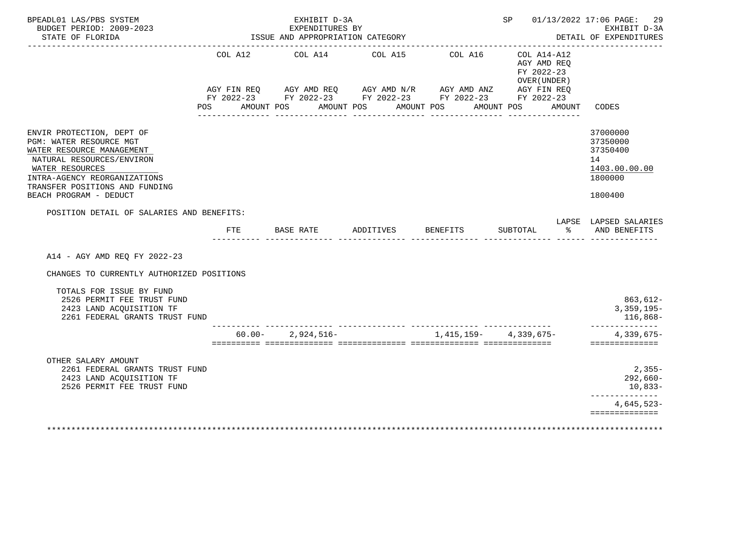| BPEADL01 LAS/PBS SYSTEM<br>BUDGET PERIOD: 2009-2023<br>STATE OF FLORIDA                                                                                                                                                       |                    |            | ISSUE AND APPROPRIATION CATEGORY | EXHIBIT D-3A<br>EXPENDITURES BY |                                       |                                                                                                                      |            |          |                                                                    | SP 01/13/2022 17:06 PAGE: 29<br>EXHIBIT D-3A<br>DETAIL OF EXPENDITURES        |
|-------------------------------------------------------------------------------------------------------------------------------------------------------------------------------------------------------------------------------|--------------------|------------|----------------------------------|---------------------------------|---------------------------------------|----------------------------------------------------------------------------------------------------------------------|------------|----------|--------------------------------------------------------------------|-------------------------------------------------------------------------------|
|                                                                                                                                                                                                                               | AGY FIN REQ<br>POS | AMOUNT POS |                                  | AMOUNT POS                      | COL A12 COL A14 COL A15<br>AMOUNT POS | COL A16<br>AGY AMD REQ AGY AMD N/R AGY AMD ANZ AGY FIN REQ<br>FY 2022-23 FY 2022-23 FY 2022-23 FY 2022-23 FY 2022-23 | AMOUNT POS |          | COL A14-A12<br>AGY AMD REO<br>FY 2022-23<br>OVER (UNDER)<br>AMOUNT | CODES                                                                         |
| ENVIR PROTECTION, DEPT OF<br>PGM: WATER RESOURCE MGT<br>WATER RESOURCE MANAGEMENT<br>NATURAL RESOURCES/ENVIRON<br>WATER RESOURCES<br>INTRA-AGENCY REORGANIZATIONS<br>TRANSFER POSITIONS AND FUNDING<br>BEACH PROGRAM - DEDUCT |                    |            |                                  |                                 |                                       |                                                                                                                      |            |          |                                                                    | 37000000<br>37350000<br>37350400<br>14<br>1403.00.00.00<br>1800000<br>1800400 |
| POSITION DETAIL OF SALARIES AND BENEFITS:                                                                                                                                                                                     |                    |            | FTE BASE RATE                    |                                 |                                       | ADDITIVES BENEFITS                                                                                                   |            | SUBTOTAL | န္က                                                                | LAPSE LAPSED SALARIES<br>AND BENEFITS                                         |
| A14 - AGY AMD REQ FY 2022-23<br>CHANGES TO CURRENTLY AUTHORIZED POSITIONS                                                                                                                                                     |                    |            |                                  |                                 |                                       |                                                                                                                      |            |          |                                                                    |                                                                               |
| TOTALS FOR ISSUE BY FUND<br>2526 PERMIT FEE TRUST FUND<br>2423 LAND ACQUISITION TF<br>2261 FEDERAL GRANTS TRUST FUND                                                                                                          |                    |            |                                  |                                 |                                       |                                                                                                                      |            |          |                                                                    | 863,612-<br>$3,359,195-$<br>116,868-                                          |
|                                                                                                                                                                                                                               |                    |            | $60.00 - 2.924.516 -$            |                                 |                                       | $1,415,159-4,339,675-$                                                                                               |            |          |                                                                    | ---------------<br>4,339,675-<br>==============                               |
| OTHER SALARY AMOUNT<br>2261 FEDERAL GRANTS TRUST FUND<br>2423 LAND ACQUISITION TF<br>2526 PERMIT FEE TRUST FUND                                                                                                               |                    |            |                                  |                                 |                                       |                                                                                                                      |            |          |                                                                    | $2,355-$<br>292,660-<br>10,833-<br>. _ _ _ _ _ _ _ _ _ _ _ _ _ _              |
|                                                                                                                                                                                                                               |                    |            |                                  |                                 |                                       |                                                                                                                      |            |          |                                                                    |                                                                               |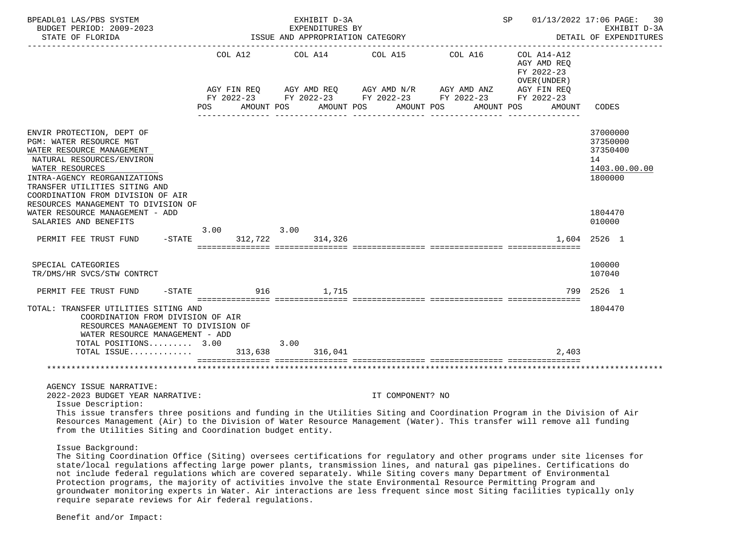| BPEADL01 LAS/PBS SYSTEM<br>BUDGET PERIOD: 2009-2023<br>STATE OF FLORIDA                                                                                                                                                                                                                                                                 |     |                               |      | EXHIBIT D-3A<br>EXPENDITURES BY<br>ISSUE AND APPROPRIATION CATEGORY |         |                  |                                                                                                                         |                                                                                                 | SP 01/13/2022 17:06 PAGE:<br>30<br>EXHIBIT D-3A<br>DETAIL OF EXPENDITURES |
|-----------------------------------------------------------------------------------------------------------------------------------------------------------------------------------------------------------------------------------------------------------------------------------------------------------------------------------------|-----|-------------------------------|------|---------------------------------------------------------------------|---------|------------------|-------------------------------------------------------------------------------------------------------------------------|-------------------------------------------------------------------------------------------------|---------------------------------------------------------------------------|
|                                                                                                                                                                                                                                                                                                                                         | POS | COL A12 COL A14<br>AMOUNT POS |      | AMOUNT POS                                                          | COL A15 | AMOUNT POS       | COL A16<br>AGY FIN REQ AGY AMD REQ AGY AMD N/R AGY AMD ANZ<br>FY 2022-23 FY 2022-23 FY 2022-23 FY 2022-23<br>AMOUNT POS | COL A14-A12<br>AGY AMD REO<br>FY 2022-23<br>OVER (UNDER)<br>AGY FIN REO<br>FY 2022-23<br>AMOUNT | CODES                                                                     |
| ENVIR PROTECTION, DEPT OF<br><b>PGM: WATER RESOURCE MGT</b><br>WATER RESOURCE MANAGEMENT<br>NATURAL RESOURCES/ENVIRON<br>WATER RESOURCES<br>INTRA-AGENCY REORGANIZATIONS<br>TRANSFER UTILITIES SITING AND<br>COORDINATION FROM DIVISION OF AIR                                                                                          |     |                               |      |                                                                     |         |                  |                                                                                                                         |                                                                                                 | 37000000<br>37350000<br>37350400<br>14<br>1403.00.00.00<br>1800000        |
| RESOURCES MANAGEMENT TO DIVISION OF<br>WATER RESOURCE MANAGEMENT - ADD<br>SALARIES AND BENEFITS                                                                                                                                                                                                                                         |     | 3.00                          | 3.00 |                                                                     |         |                  |                                                                                                                         |                                                                                                 | 1804470<br>010000                                                         |
| $-$ STATE<br>PERMIT FEE TRUST FUND                                                                                                                                                                                                                                                                                                      |     | 312,722                       |      | 314,326                                                             |         |                  |                                                                                                                         |                                                                                                 | 1,604 2526 1                                                              |
| SPECIAL CATEGORIES<br>TR/DMS/HR SVCS/STW CONTRCT                                                                                                                                                                                                                                                                                        |     |                               |      |                                                                     |         |                  |                                                                                                                         |                                                                                                 | 100000<br>107040                                                          |
| $-STATE$<br>PERMIT FEE TRUST FUND                                                                                                                                                                                                                                                                                                       |     |                               |      | 916 1,715                                                           |         |                  |                                                                                                                         |                                                                                                 | 799 2526 1                                                                |
| TOTAL: TRANSFER UTILITIES SITING AND<br>COORDINATION FROM DIVISION OF AIR<br>RESOURCES MANAGEMENT TO DIVISION OF<br>WATER RESOURCE MANAGEMENT - ADD<br>TOTAL POSITIONS 3.00                                                                                                                                                             |     |                               | 3.00 |                                                                     |         |                  |                                                                                                                         |                                                                                                 | 1804470                                                                   |
| TOTAL ISSUE                                                                                                                                                                                                                                                                                                                             |     | 313,638                       |      | 316,041                                                             |         |                  |                                                                                                                         | 2.403                                                                                           |                                                                           |
|                                                                                                                                                                                                                                                                                                                                         |     |                               |      |                                                                     |         |                  |                                                                                                                         |                                                                                                 |                                                                           |
| AGENCY ISSUE NARRATIVE:<br>2022-2023 BUDGET YEAR NARRATIVE:<br>Issue Description:<br>This issue transfers three positions and funding in the Utilities Siting and Coordination Program in the Division of Air<br>Resources Management (Air) to the Division of Water Resource Management (Water). This transfer will remove all funding |     |                               |      |                                                                     |         | IT COMPONENT? NO |                                                                                                                         |                                                                                                 |                                                                           |

Issue Background:

from the Utilities Siting and Coordination budget entity.

 The Siting Coordination Office (Siting) oversees certifications for regulatory and other programs under site licenses for state/local regulations affecting large power plants, transmission lines, and natural gas pipelines. Certifications do not include federal regulations which are covered separately. While Siting covers many Department of Environmental Protection programs, the majority of activities involve the state Environmental Resource Permitting Program and groundwater monitoring experts in Water. Air interactions are less frequent since most Siting facilities typically only require separate reviews for Air federal regulations.

Benefit and/or Impact: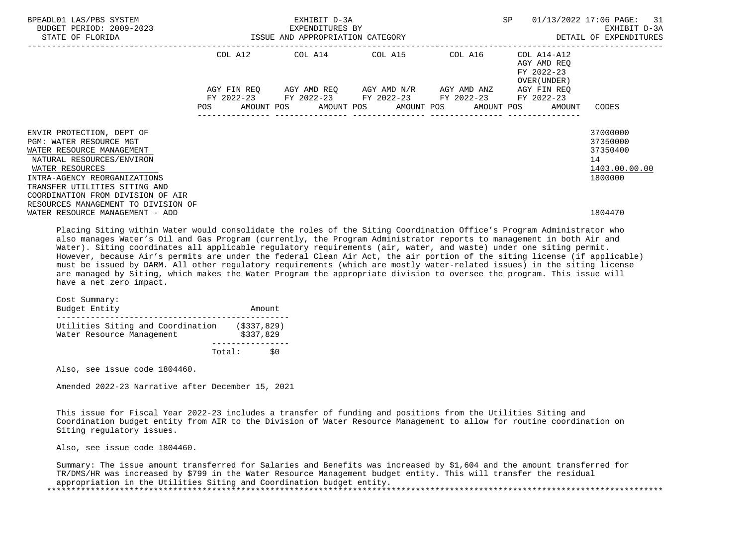| BPEADL01 LAS/PBS SYSTEM<br>BUDGET PERIOD: 2009-2023<br>ISSUE AND APPROPRIATION CATEGORY<br>STATE OF FLORIDA |                          |                           | EXHIBIT D-3A<br>EXPENDITURES BY             |                       |                                                | SP |                                                          | 01/13/2022 17:06 PAGE: 31<br>EXHIBIT D-3A<br>DETAIL OF EXPENDITURES |
|-------------------------------------------------------------------------------------------------------------|--------------------------|---------------------------|---------------------------------------------|-----------------------|------------------------------------------------|----|----------------------------------------------------------|---------------------------------------------------------------------|
|                                                                                                             |                          | COL A12                   |                                             |                       | COL A14 COL A15 COL A16                        |    | COL A14-A12<br>AGY AMD REO<br>FY 2022-23<br>OVER (UNDER) |                                                                     |
|                                                                                                             | FY 2022-23<br><b>POS</b> | AGY FIN REO<br>AMOUNT POS | AGY AMD REO     AGY AMD N/R     AGY AMD ANZ | AMOUNT POS AMOUNT POS | FY 2022-23 FY 2022-23 FY 2022-23<br>AMOUNT POS |    | AGY FIN REO<br>FY 2022-23<br>AMOUNT                      | CODES                                                               |
| ENVIR PROTECTION, DEPT OF<br>PGM: WATER RESOURCE MGT<br>WATER RESOURCE MANAGEMENT                           |                          |                           |                                             |                       |                                                |    |                                                          | 37000000<br>37350000<br>37350400                                    |
| NATURAL RESOURCES/ENVIRON<br>WATER RESOURCES<br>INTRA-AGENCY REORGANIZATIONS                                |                          |                           |                                             |                       |                                                |    |                                                          | 14<br>1403.00.00.00<br>1800000                                      |
| TRANSFER UTILITIES SITING AND<br>COORDINATION FROM DIVISION OF AIR                                          |                          |                           |                                             |                       |                                                |    |                                                          |                                                                     |
| RESOURCES MANAGEMENT TO DIVISION OF<br>WATER RESOURCE MANAGEMENT - ADD                                      |                          |                           |                                             |                       |                                                |    |                                                          | 1804470                                                             |

 Placing Siting within Water would consolidate the roles of the Siting Coordination Office's Program Administrator who also manages Water's Oil and Gas Program (currently, the Program Administrator reports to management in both Air and Water). Siting coordinates all applicable regulatory requirements (air, water, and waste) under one siting permit. However, because Air's permits are under the federal Clean Air Act, the air portion of the siting license (if applicable) must be issued by DARM. All other regulatory requirements (which are mostly water-related issues) in the siting license are managed by Siting, which makes the Water Program the appropriate division to oversee the program. This issue will have a net zero impact.

 Cost Summary: Budget Entity **Amount**  ------------------------------------------------ Utilities Siting and Coordination (\$337,829)<br>Water Resource Management (\$337,829) Water Resource Management ---------------- Total: \$0

Also, see issue code 1804460.

Amended 2022-23 Narrative after December 15, 2021

 This issue for Fiscal Year 2022-23 includes a transfer of funding and positions from the Utilities Siting and Coordination budget entity from AIR to the Division of Water Resource Management to allow for routine coordination on Siting regulatory issues.

Also, see issue code 1804460.

 Summary: The issue amount transferred for Salaries and Benefits was increased by \$1,604 and the amount transferred for TR/DMS/HR was increased by \$799 in the Water Resource Management budget entity. This will transfer the residual appropriation in the Utilities Siting and Coordination budget entity. \*\*\*\*\*\*\*\*\*\*\*\*\*\*\*\*\*\*\*\*\*\*\*\*\*\*\*\*\*\*\*\*\*\*\*\*\*\*\*\*\*\*\*\*\*\*\*\*\*\*\*\*\*\*\*\*\*\*\*\*\*\*\*\*\*\*\*\*\*\*\*\*\*\*\*\*\*\*\*\*\*\*\*\*\*\*\*\*\*\*\*\*\*\*\*\*\*\*\*\*\*\*\*\*\*\*\*\*\*\*\*\*\*\*\*\*\*\*\*\*\*\*\*\*\*\*\*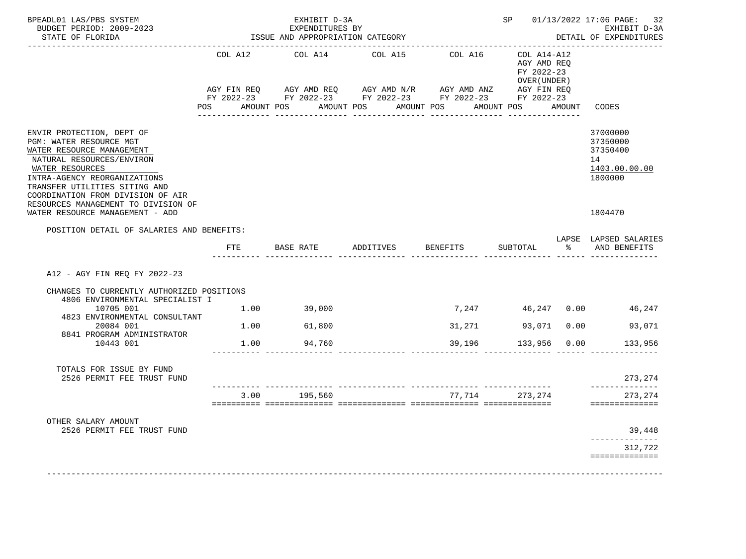| BPEADL01 LAS/PBS SYSTEM<br>BUDGET PERIOD: 2009-2023                                                                                                                                                                                                                            |                       | EXHIBIT D-3A<br>EXPENDITURES BY  |                                                                                                                                                |                                   | SP <sub>2</sub>                                         | 01/13/2022 17:06 PAGE:<br>32<br>EXHIBIT D-3A                       |
|--------------------------------------------------------------------------------------------------------------------------------------------------------------------------------------------------------------------------------------------------------------------------------|-----------------------|----------------------------------|------------------------------------------------------------------------------------------------------------------------------------------------|-----------------------------------|---------------------------------------------------------|--------------------------------------------------------------------|
| STATE OF FLORIDA                                                                                                                                                                                                                                                               |                       | ISSUE AND APPROPRIATION CATEGORY |                                                                                                                                                |                                   |                                                         | DETAIL OF EXPENDITURES                                             |
|                                                                                                                                                                                                                                                                                | COL A12<br><b>POS</b> | COL A14<br>AMOUNT POS            | COL A15<br>AGY FIN REQ AGY AMD REQ AGY AMD N/R AGY AMD ANZ AGY FIN REQ<br>FY 2022-23 FY 2022-23 FY 2022-23 FY 2022-23 FY 2022-23<br>AMOUNT POS | COL A16 COL A14-A12<br>AMOUNT POS | AGY AMD REO<br>FY 2022-23<br>OVER (UNDER)<br>AMOUNT POS | AMOUNT CODES                                                       |
| ENVIR PROTECTION, DEPT OF<br>PGM: WATER RESOURCE MGT<br>WATER RESOURCE MANAGEMENT<br>NATURAL RESOURCES/ENVIRON<br>WATER RESOURCES<br>INTRA-AGENCY REORGANIZATIONS<br>TRANSFER UTILITIES SITING AND<br>COORDINATION FROM DIVISION OF AIR<br>RESOURCES MANAGEMENT TO DIVISION OF |                       |                                  |                                                                                                                                                |                                   |                                                         | 37000000<br>37350000<br>37350400<br>14<br>1403.00.00.00<br>1800000 |
| WATER RESOURCE MANAGEMENT - ADD                                                                                                                                                                                                                                                |                       |                                  |                                                                                                                                                |                                   |                                                         | 1804470                                                            |
| POSITION DETAIL OF SALARIES AND BENEFITS:                                                                                                                                                                                                                                      |                       |                                  |                                                                                                                                                |                                   |                                                         | LAPSE LAPSED SALARIES                                              |
|                                                                                                                                                                                                                                                                                | FTE                   | BASE RATE                        | ADDITIVES                                                                                                                                      | <b>BENEFITS</b>                   | SUBTOTAL                                                | % AND BENEFITS                                                     |
| A12 - AGY FIN REQ FY 2022-23<br>CHANGES TO CURRENTLY AUTHORIZED POSITIONS<br>4806 ENVIRONMENTAL SPECIALIST I                                                                                                                                                                   |                       |                                  |                                                                                                                                                |                                   |                                                         |                                                                    |
| 10705 001<br>4823 ENVIRONMENTAL CONSULTANT                                                                                                                                                                                                                                     | 1.00                  | 39,000                           |                                                                                                                                                |                                   |                                                         | 7,247   46,247   0.00   46,247                                     |
| 20084 001                                                                                                                                                                                                                                                                      |                       | 1.00 61,800                      |                                                                                                                                                |                                   | 31,271 93,071 0.00                                      | 93,071                                                             |
| 8841 PROGRAM ADMINISTRATOR<br>10443 001                                                                                                                                                                                                                                        | 1.00                  | 94,760                           |                                                                                                                                                | 39,196                            | 133,956 0.00                                            | 133,956                                                            |
| TOTALS FOR ISSUE BY FUND<br>2526 PERMIT FEE TRUST FUND                                                                                                                                                                                                                         |                       |                                  |                                                                                                                                                |                                   |                                                         | 273, 274<br>______________                                         |
|                                                                                                                                                                                                                                                                                | 3.00                  | 195,560                          |                                                                                                                                                |                                   | 77,714 273,274                                          | 273, 274<br>==============                                         |
| OTHER SALARY AMOUNT                                                                                                                                                                                                                                                            |                       |                                  |                                                                                                                                                |                                   |                                                         |                                                                    |
| 2526 PERMIT FEE TRUST FUND                                                                                                                                                                                                                                                     |                       |                                  |                                                                                                                                                |                                   |                                                         | 39,448<br>-------------                                            |
|                                                                                                                                                                                                                                                                                |                       |                                  |                                                                                                                                                |                                   |                                                         | 312,722<br>==============                                          |
|                                                                                                                                                                                                                                                                                |                       |                                  |                                                                                                                                                |                                   |                                                         |                                                                    |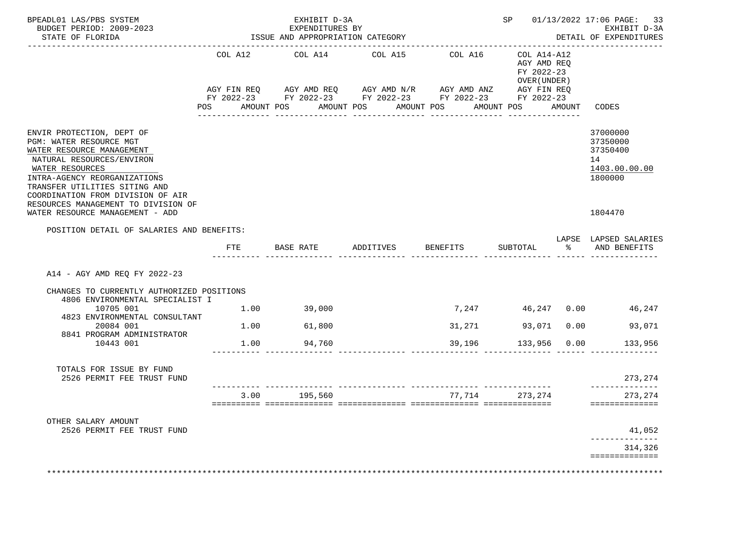| BPEADL01 LAS/PBS SYSTEM<br>BUDGET PERIOD: 2009-2023<br>STATE OF FLORIDA                                                                                                                                                                                                        |         | EXHIBIT D-3A<br>EXPENDITURES BY<br>ISSUE AND APPROPRIATION CATEGORY                                                    |           | ___________________________________ | SP 01/13/2022 17:06 PAGE: 33<br>EXHIBIT D-3A<br>DETAIL OF EXPENDITURES |  |                                                                    |
|--------------------------------------------------------------------------------------------------------------------------------------------------------------------------------------------------------------------------------------------------------------------------------|---------|------------------------------------------------------------------------------------------------------------------------|-----------|-------------------------------------|------------------------------------------------------------------------|--|--------------------------------------------------------------------|
|                                                                                                                                                                                                                                                                                | COL A12 | COL A14<br>AGY FIN REQ AGY AMD REQ AGY AMD N/R AGY AMD ANZ AGY FIN REQ                                                 | COL A15   | COL A16 COL A14-A12                 | AGY AMD REQ<br>FY 2022-23<br>OVER (UNDER)                              |  |                                                                    |
|                                                                                                                                                                                                                                                                                |         | FY 2022-23 FY 2022-23 FY 2022-23 FY 2022-23 FY 2022-23<br>POS AMOUNT POS AMOUNT POS AMOUNT POS AMOUNT POS AMOUNT CODES |           |                                     |                                                                        |  |                                                                    |
| ENVIR PROTECTION, DEPT OF<br>PGM: WATER RESOURCE MGT<br>WATER RESOURCE MANAGEMENT<br>NATURAL RESOURCES/ENVIRON<br>WATER RESOURCES<br>INTRA-AGENCY REORGANIZATIONS<br>TRANSFER UTILITIES SITING AND<br>COORDINATION FROM DIVISION OF AIR<br>RESOURCES MANAGEMENT TO DIVISION OF |         |                                                                                                                        |           |                                     |                                                                        |  | 37000000<br>37350000<br>37350400<br>14<br>1403.00.00.00<br>1800000 |
| WATER RESOURCE MANAGEMENT - ADD                                                                                                                                                                                                                                                |         |                                                                                                                        |           |                                     |                                                                        |  | 1804470                                                            |
| POSITION DETAIL OF SALARIES AND BENEFITS:                                                                                                                                                                                                                                      |         |                                                                                                                        |           |                                     |                                                                        |  | LAPSE LAPSED SALARIES                                              |
|                                                                                                                                                                                                                                                                                | FTE     | BASE RATE                                                                                                              | ADDITIVES | BENEFITS                            | SUBTOTAL                                                               |  | % AND BENEFITS                                                     |
| A14 - AGY AMD REQ FY 2022-23                                                                                                                                                                                                                                                   |         |                                                                                                                        |           |                                     |                                                                        |  |                                                                    |
| CHANGES TO CURRENTLY AUTHORIZED POSITIONS<br>4806 ENVIRONMENTAL SPECIALIST I                                                                                                                                                                                                   |         |                                                                                                                        |           |                                     |                                                                        |  |                                                                    |
| 10705 001<br>4823 ENVIRONMENTAL CONSULTANT                                                                                                                                                                                                                                     |         | $1.00$ 39,000                                                                                                          |           |                                     |                                                                        |  | 7,247   46,247   0.00   46,247                                     |
| 20084 001<br>8841 PROGRAM ADMINISTRATOR                                                                                                                                                                                                                                        |         | 1.00 61,800                                                                                                            |           |                                     | 31,271 93,071 0.00                                                     |  | 93,071                                                             |
| 10443 001                                                                                                                                                                                                                                                                      | 1.00    | 94,760                                                                                                                 |           | 39,196                              | 133,956 0.00                                                           |  | 133,956                                                            |
| TOTALS FOR ISSUE BY FUND<br>2526 PERMIT FEE TRUST FUND                                                                                                                                                                                                                         |         |                                                                                                                        |           |                                     |                                                                        |  | 273,274<br>______________                                          |
|                                                                                                                                                                                                                                                                                |         | 3.00 195,560                                                                                                           |           |                                     | 77,714 273,274                                                         |  | 273,274<br>==============                                          |
| OTHER SALARY AMOUNT                                                                                                                                                                                                                                                            |         |                                                                                                                        |           |                                     |                                                                        |  | 41,052                                                             |
| 2526 PERMIT FEE TRUST FUND                                                                                                                                                                                                                                                     |         |                                                                                                                        |           |                                     |                                                                        |  | ______________                                                     |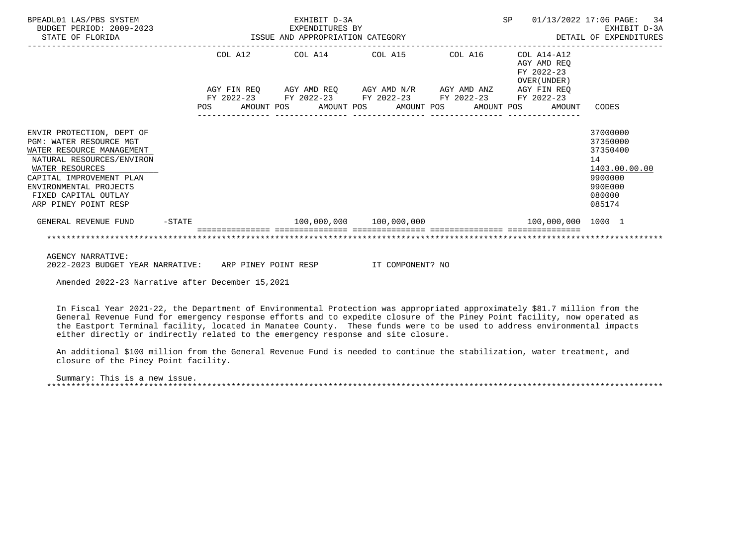| BPEADL01 LAS/PBS SYSTEM<br>BUDGET PERIOD: 2009-2023<br>STATE OF FLORIDA                                                                                                                                                                        |          | SP<br>EXHIBIT D-3A<br>EXPENDITURES BY<br>ISSUE AND APPROPRIATION CATEGORY |         |  |                                                                                                                                               |  |  |  | 01/13/2022 17:06 PAGE: 34<br>EXHIBIT D-3A<br>DETAIL OF EXPENDITURES |                                                          |                                                                                                   |
|------------------------------------------------------------------------------------------------------------------------------------------------------------------------------------------------------------------------------------------------|----------|---------------------------------------------------------------------------|---------|--|-----------------------------------------------------------------------------------------------------------------------------------------------|--|--|--|---------------------------------------------------------------------|----------------------------------------------------------|---------------------------------------------------------------------------------------------------|
|                                                                                                                                                                                                                                                |          |                                                                           | COL A12 |  | COL A14 COL A15                                                                                                                               |  |  |  | COL A16                                                             | COL A14-A12<br>AGY AMD REO<br>FY 2022-23<br>OVER (UNDER) |                                                                                                   |
|                                                                                                                                                                                                                                                |          | POS                                                                       |         |  | AGY FIN REQ 6GY AMD REQ 6GY AMD N/R 6GY AMD ANZ<br>FY 2022-23 FY 2022-23 FY 2022-23 FY 2022-23<br>AMOUNT POS AMOUNT POS AMOUNT POS AMOUNT POS |  |  |  |                                                                     | AGY FIN REO<br>FY 2022-23<br>AMOUNT                      | CODES                                                                                             |
| ENVIR PROTECTION, DEPT OF<br><b>PGM: WATER RESOURCE MGT</b><br>WATER RESOURCE MANAGEMENT<br>NATURAL RESOURCES/ENVIRON<br>WATER RESOURCES<br>CAPITAL IMPROVEMENT PLAN<br>ENVIRONMENTAL PROJECTS<br>FIXED CAPITAL OUTLAY<br>ARP PINEY POINT RESP |          |                                                                           |         |  |                                                                                                                                               |  |  |  |                                                                     |                                                          | 37000000<br>37350000<br>37350400<br>14<br>1403.00.00.00<br>9900000<br>990E000<br>080000<br>085174 |
| GENERAL REVENUE FUND                                                                                                                                                                                                                           | $-STATE$ |                                                                           |         |  | $100,000,000$ $100,000,000$                                                                                                                   |  |  |  |                                                                     | $100,000,000$ $1000$ $1$                                 |                                                                                                   |
|                                                                                                                                                                                                                                                |          |                                                                           |         |  |                                                                                                                                               |  |  |  |                                                                     |                                                          |                                                                                                   |
| <b>AGENCY NARRATIVE:</b>                                                                                                                                                                                                                       |          |                                                                           |         |  |                                                                                                                                               |  |  |  |                                                                     |                                                          |                                                                                                   |

2022-2023 BUDGET YEAR NARRATIVE: ARP PINEY POINT RESP IT COMPONENT? NO

Amended 2022-23 Narrative after December 15,2021

 In Fiscal Year 2021-22, the Department of Environmental Protection was appropriated approximately \$81.7 million from the General Revenue Fund for emergency response efforts and to expedite closure of the Piney Point facility, now operated as the Eastport Terminal facility, located in Manatee County. These funds were to be used to address environmental impacts either directly or indirectly related to the emergency response and site closure.

 An additional \$100 million from the General Revenue Fund is needed to continue the stabilization, water treatment, and closure of the Piney Point facility.

 Summary: This is a new issue. \*\*\*\*\*\*\*\*\*\*\*\*\*\*\*\*\*\*\*\*\*\*\*\*\*\*\*\*\*\*\*\*\*\*\*\*\*\*\*\*\*\*\*\*\*\*\*\*\*\*\*\*\*\*\*\*\*\*\*\*\*\*\*\*\*\*\*\*\*\*\*\*\*\*\*\*\*\*\*\*\*\*\*\*\*\*\*\*\*\*\*\*\*\*\*\*\*\*\*\*\*\*\*\*\*\*\*\*\*\*\*\*\*\*\*\*\*\*\*\*\*\*\*\*\*\*\*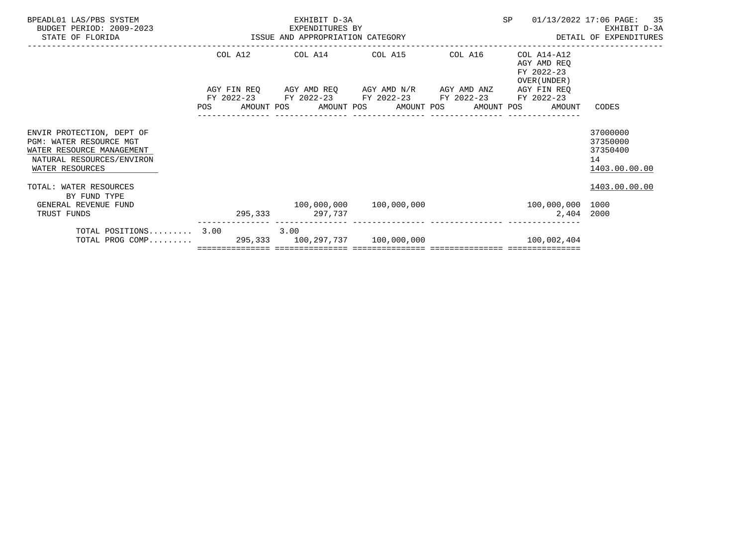| BPEADL01 LAS/PBS SYSTEM<br>BUDGET PERIOD: 2009-2023<br>STATE OF FLORIDA                                                           | EXHIBIT D-3A<br>-2023<br>ISSUE AND APPROPRIATION CATEGORY |                 |      |                 |  |                                                                                                           | SP |  | 01/13/2022 17:06 PAGE: 35<br>EXHIBIT D-3A<br>DETAIL OF EXPENDITURES   |                                                         |
|-----------------------------------------------------------------------------------------------------------------------------------|-----------------------------------------------------------|-----------------|------|-----------------|--|-----------------------------------------------------------------------------------------------------------|----|--|-----------------------------------------------------------------------|---------------------------------------------------------|
|                                                                                                                                   |                                                           |                 |      |                 |  | COL A12 COL A14 COL A15 COL A16                                                                           |    |  | COL A14-A12<br>AGY AMD REO<br>FY 2022-23<br>OVER (UNDER)              |                                                         |
|                                                                                                                                   |                                                           |                 |      |                 |  | AGY FIN REQ AGY AMD REQ AGY AMD N/R AGY AMD ANZ<br>FY 2022-23 FY 2022-23 FY 2022-23 FY 2022-23 FY 2022-23 |    |  | AGY FIN REO<br>POS AMOUNT POS AMOUNT POS AMOUNT POS AMOUNT POS AMOUNT | CODES                                                   |
|                                                                                                                                   |                                                           |                 |      | _______________ |  |                                                                                                           |    |  |                                                                       |                                                         |
| ENVIR PROTECTION, DEPT OF<br>PGM: WATER RESOURCE MGT<br>WATER RESOURCE MANAGEMENT<br>NATURAL RESOURCES/ENVIRON<br>WATER RESOURCES |                                                           |                 |      |                 |  |                                                                                                           |    |  |                                                                       | 37000000<br>37350000<br>37350400<br>14<br>1403.00.00.00 |
| TOTAL: WATER RESOURCES<br>BY FUND TYPE                                                                                            |                                                           |                 |      |                 |  |                                                                                                           |    |  |                                                                       | 1403.00.00.00                                           |
| GENERAL REVENUE FUND<br>TRUST FUNDS                                                                                               |                                                           | 295,333 297,737 |      |                 |  | $100,000,000$ $100,000,000$                                                                               |    |  | $100,000,000$ $1000$<br>2,404 2000                                    |                                                         |
| TOTAL POSITIONS 3.00<br>TOTAL PROG COMP 295,333 100,297,737 100,000,000 100,000 100,002,404                                       |                                                           |                 | 3.00 |                 |  |                                                                                                           |    |  |                                                                       |                                                         |
|                                                                                                                                   |                                                           |                 |      |                 |  |                                                                                                           |    |  |                                                                       |                                                         |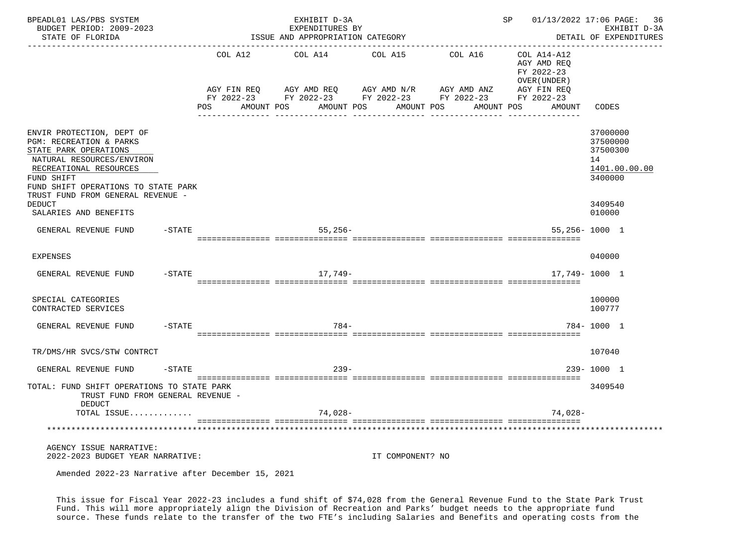| BPEADL01 LAS/PBS SYSTEM<br>BUDGET PERIOD: 2009-2023<br>STATE OF FLORIDA                                                                                                                                                        | ____________________________            | EXHIBIT D-3A<br>EXPENDITURES BY<br>ISSUE AND APPROPRIATION CATEGORY | SP 01/13/2022 17:06 PAGE:<br>----------------------------------- | 36<br>EXHIBIT D-3A<br>DETAIL OF EXPENDITURES                                                |                                                                          |                                                                    |
|--------------------------------------------------------------------------------------------------------------------------------------------------------------------------------------------------------------------------------|-----------------------------------------|---------------------------------------------------------------------|------------------------------------------------------------------|---------------------------------------------------------------------------------------------|--------------------------------------------------------------------------|--------------------------------------------------------------------|
|                                                                                                                                                                                                                                | AGY FIN REO<br><b>POS</b><br>AMOUNT POS | COL A12 COL A14<br>AGY AMD REQ AGY AMD N/R AGY AMD ANZ              | COL A15<br>AMOUNT POS AMOUNT POS                                 | COL A16 COL A14-A12<br>FY 2022-23 FY 2022-23 FY 2022-23 FY 2022-23 FY 2022-23<br>AMOUNT POS | AGY AMD REO<br>FY 2022-23<br>OVER (UNDER)<br>AGY FIN REO<br>AMOUNT CODES |                                                                    |
| ENVIR PROTECTION, DEPT OF<br>PGM: RECREATION & PARKS<br>STATE PARK OPERATIONS<br>NATURAL RESOURCES/ENVIRON<br>RECREATIONAL RESOURCES<br>FUND SHIFT<br>FUND SHIFT OPERATIONS TO STATE PARK<br>TRUST FUND FROM GENERAL REVENUE - |                                         |                                                                     |                                                                  |                                                                                             |                                                                          | 37000000<br>37500000<br>37500300<br>14<br>1401.00.00.00<br>3400000 |
| <b>DEDUCT</b><br>SALARIES AND BENEFITS                                                                                                                                                                                         |                                         |                                                                     |                                                                  |                                                                                             |                                                                          | 3409540<br>010000                                                  |
| GENERAL REVENUE FUND -STATE                                                                                                                                                                                                    |                                         | 55,256-                                                             |                                                                  |                                                                                             |                                                                          | $55,256 - 1000$ 1                                                  |
| <b>EXPENSES</b>                                                                                                                                                                                                                |                                         |                                                                     |                                                                  |                                                                                             |                                                                          | 040000                                                             |
| $-$ STATE<br>GENERAL REVENUE FUND                                                                                                                                                                                              |                                         | 17,749-                                                             |                                                                  |                                                                                             |                                                                          | 17,749-1000 1                                                      |
| SPECIAL CATEGORIES<br>CONTRACTED SERVICES                                                                                                                                                                                      |                                         |                                                                     |                                                                  |                                                                                             |                                                                          | 100000<br>100777                                                   |
| $-$ STATE<br>GENERAL REVENUE FUND                                                                                                                                                                                              |                                         | $784-$                                                              |                                                                  |                                                                                             |                                                                          | 784-1000 1                                                         |
| TR/DMS/HR SVCS/STW CONTRCT                                                                                                                                                                                                     |                                         |                                                                     |                                                                  |                                                                                             |                                                                          | 107040                                                             |
| $-STATE$<br>GENERAL REVENUE FUND                                                                                                                                                                                               |                                         | $239 -$                                                             |                                                                  |                                                                                             |                                                                          | 239-1000 1                                                         |
| TOTAL: FUND SHIFT OPERATIONS TO STATE PARK<br>TRUST FUND FROM GENERAL REVENUE -<br>DEDUCT                                                                                                                                      |                                         |                                                                     |                                                                  |                                                                                             |                                                                          | 3409540                                                            |
| TOTAL ISSUE                                                                                                                                                                                                                    |                                         | 74,028-                                                             |                                                                  |                                                                                             | $74,028-$                                                                |                                                                    |
|                                                                                                                                                                                                                                |                                         |                                                                     |                                                                  |                                                                                             |                                                                          |                                                                    |
| AGENCY ISSUE NARRATIVE:<br>2022-2023 BUDGET YEAR NARRATIVE:<br>Amended 2022-23 Narrative after December 15, 2021                                                                                                               |                                         |                                                                     | IT COMPONENT? NO                                                 |                                                                                             |                                                                          |                                                                    |

 This issue for Fiscal Year 2022-23 includes a fund shift of \$74,028 from the General Revenue Fund to the State Park Trust Fund. This will more appropriately align the Division of Recreation and Parks' budget needs to the appropriate fund source. These funds relate to the transfer of the two FTE's including Salaries and Benefits and operating costs from the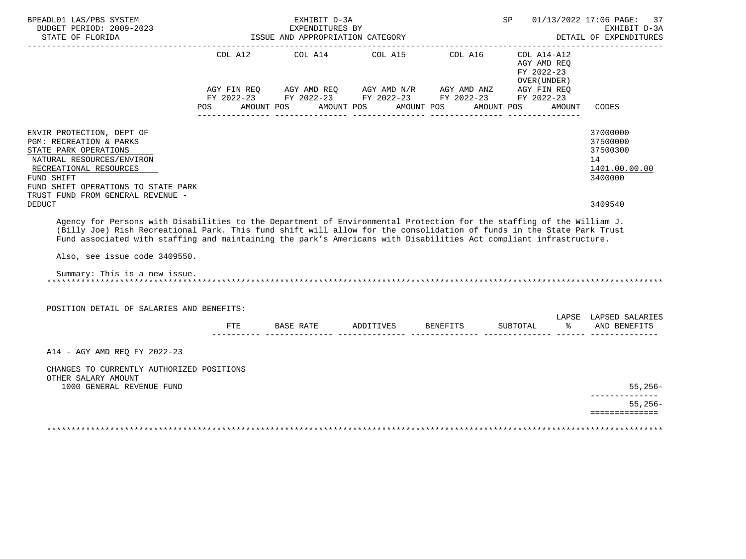| BPEADL01 LAS/PBS SYSTEM<br>BUDGET PERIOD: 2009-2023<br>STATE OF FLORIDA                                                                                                                                                                                                                                                                                                                                                |            | EXHIBIT D-3A<br>EXPENDITURES BY<br>ISSUE AND APPROPRIATION CATEGORY                                                                                         |            |                 | SP 01/13/2022 17:06 PAGE:                                          | 37<br>EXHIBIT D-3A<br>DETAIL OF EXPENDITURES<br>______________     |
|------------------------------------------------------------------------------------------------------------------------------------------------------------------------------------------------------------------------------------------------------------------------------------------------------------------------------------------------------------------------------------------------------------------------|------------|-------------------------------------------------------------------------------------------------------------------------------------------------------------|------------|-----------------|--------------------------------------------------------------------|--------------------------------------------------------------------|
|                                                                                                                                                                                                                                                                                                                                                                                                                        | <b>POS</b> | COL A12 COL A14 COL A15 COL A16<br>AGY FIN REQ AGY AMD REQ AGY AMD N/R AGY AMD ANZ AGY FIN REQ FY 2022-23 FY 2022-23 FY 2022-23<br>AMOUNT POS<br>AMOUNT POS | AMOUNT POS | AMOUNT POS      | COL A14-A12<br>AGY AMD REO<br>FY 2022-23<br>OVER (UNDER)<br>AMOUNT | CODES                                                              |
| ENVIR PROTECTION, DEPT OF<br>PGM: RECREATION & PARKS<br>STATE PARK OPERATIONS<br>NATURAL RESOURCES/ENVIRON<br>RECREATIONAL RESOURCES<br>FUND SHIFT<br>FUND SHIFT OPERATIONS TO STATE PARK<br>TRUST FUND FROM GENERAL REVENUE -                                                                                                                                                                                         |            |                                                                                                                                                             |            |                 |                                                                    | 37000000<br>37500000<br>37500300<br>14<br>1401.00.00.00<br>3400000 |
| <b>DEDUCT</b><br>Agency for Persons with Disabilities to the Department of Environmental Protection for the staffing of the William J.<br>(Billy Joe) Rish Recreational Park. This fund shift will allow for the consolidation of funds in the State Park Trust<br>Fund associated with staffing and maintaining the park's Americans with Disabilities Act compliant infrastructure.<br>Also, see issue code 3409550. |            |                                                                                                                                                             |            |                 |                                                                    | 3409540                                                            |
| Summary: This is a new issue.                                                                                                                                                                                                                                                                                                                                                                                          |            |                                                                                                                                                             |            |                 |                                                                    |                                                                    |
| POSITION DETAIL OF SALARIES AND BENEFITS:                                                                                                                                                                                                                                                                                                                                                                              | FTE.       | BASE RATE                                                                                                                                                   | ADDITIVES  | <b>BENEFITS</b> | ွေ<br>SUBTOTAL                                                     | LAPSE LAPSED SALARIES<br>AND BENEFITS                              |
| A14 - AGY AMD REO FY 2022-23<br>CHANGES TO CURRENTLY AUTHORIZED POSITIONS                                                                                                                                                                                                                                                                                                                                              |            |                                                                                                                                                             |            |                 |                                                                    |                                                                    |
| OTHER SALARY AMOUNT<br>1000 GENERAL REVENUE FUND                                                                                                                                                                                                                                                                                                                                                                       |            |                                                                                                                                                             |            |                 |                                                                    | $55,256-$                                                          |
|                                                                                                                                                                                                                                                                                                                                                                                                                        |            |                                                                                                                                                             |            |                 |                                                                    | $55,256-$<br>==============                                        |
|                                                                                                                                                                                                                                                                                                                                                                                                                        |            |                                                                                                                                                             |            |                 |                                                                    |                                                                    |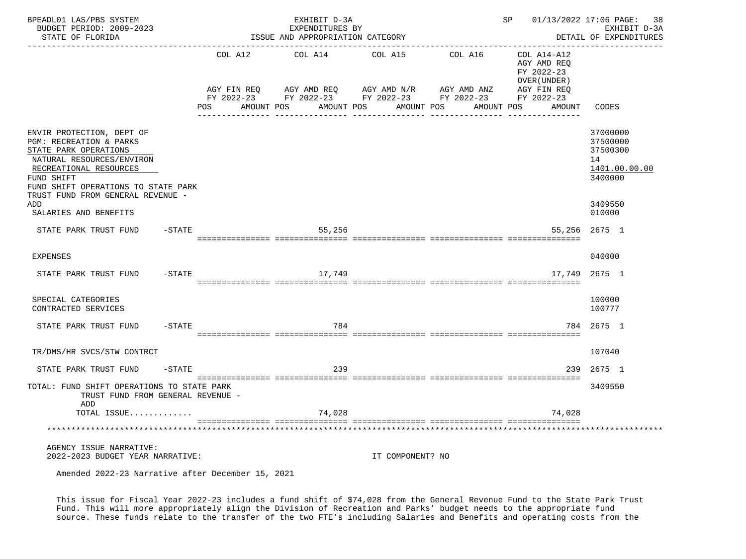| BPEADL01 LAS/PBS SYSTEM<br>BUDGET PERIOD: 2009-2023<br>STATE OF FLORIDA                                                                                                                                                        |                   |                   | EXHIBIT D-3A<br>EXPENDITURES BY<br>ISSUE AND APPROPRIATION CATEGORY                          | SP 01/13/2022 17:06 PAGE: 38 | EXHIBIT D-3A<br>DETAIL OF EXPENDITURES |                                                                         |                                                                    |
|--------------------------------------------------------------------------------------------------------------------------------------------------------------------------------------------------------------------------------|-------------------|-------------------|----------------------------------------------------------------------------------------------|------------------------------|----------------------------------------|-------------------------------------------------------------------------|--------------------------------------------------------------------|
|                                                                                                                                                                                                                                |                   | COL A12           | COL A14                                                                                      | COL A15                      | --------------<br>COL A16              | COL A14-A12<br>AGY AMD REQ<br>FY 2022-23<br>OVER (UNDER)<br>AGY FIN REQ |                                                                    |
|                                                                                                                                                                                                                                |                   | AMOUNT POS<br>POS | AGY FIN REQ AGY AMD REQ AGY AMD N/R AGY AMD ANZ AGY FIN REQ FY 2022-23 FY 2022-23 FY 2022-23 | AMOUNT POS AMOUNT POS        | AMOUNT POS                             | AMOUNT                                                                  | CODES                                                              |
| ENVIR PROTECTION, DEPT OF<br>PGM: RECREATION & PARKS<br>STATE PARK OPERATIONS<br>NATURAL RESOURCES/ENVIRON<br>RECREATIONAL RESOURCES<br>FUND SHIFT<br>FUND SHIFT OPERATIONS TO STATE PARK<br>TRUST FUND FROM GENERAL REVENUE - |                   |                   |                                                                                              |                              |                                        |                                                                         | 37000000<br>37500000<br>37500300<br>14<br>1401.00.00.00<br>3400000 |
| ADD<br>SALARIES AND BENEFITS                                                                                                                                                                                                   |                   |                   |                                                                                              |                              |                                        |                                                                         | 3409550<br>010000                                                  |
| STATE PARK TRUST FUND                                                                                                                                                                                                          | $-STATE$          |                   | 55,256                                                                                       |                              |                                        |                                                                         | 55,256 2675 1                                                      |
| <b>EXPENSES</b>                                                                                                                                                                                                                |                   |                   |                                                                                              |                              |                                        |                                                                         | 040000                                                             |
| STATE PARK TRUST FUND                                                                                                                                                                                                          | -STATE            |                   | 17,749                                                                                       |                              |                                        | 17,749                                                                  | 2675 1                                                             |
| SPECIAL CATEGORIES<br>CONTRACTED SERVICES                                                                                                                                                                                      |                   |                   |                                                                                              |                              |                                        |                                                                         | 100000<br>100777                                                   |
| STATE PARK TRUST FUND                                                                                                                                                                                                          | $-\mathtt{STATE}$ |                   | 784                                                                                          |                              |                                        |                                                                         | 784 2675 1                                                         |
| TR/DMS/HR SVCS/STW CONTRCT                                                                                                                                                                                                     |                   |                   |                                                                                              |                              |                                        |                                                                         | 107040                                                             |
| STATE PARK TRUST FUND                                                                                                                                                                                                          | -STATE            |                   | 239                                                                                          |                              |                                        | 239                                                                     | 2675 1                                                             |
| TOTAL: FUND SHIFT OPERATIONS TO STATE PARK<br>TRUST FUND FROM GENERAL REVENUE -<br>ADD                                                                                                                                         |                   |                   |                                                                                              |                              |                                        |                                                                         | 3409550                                                            |
| TOTAL ISSUE                                                                                                                                                                                                                    |                   |                   | 74,028                                                                                       |                              |                                        | 74,028                                                                  |                                                                    |
|                                                                                                                                                                                                                                |                   |                   |                                                                                              |                              |                                        |                                                                         |                                                                    |
| AGENCY ISSUE NARRATIVE:<br>2022-2023 BUDGET YEAR NARRATIVE:<br>$\sim$ $\sim$ $\sim$ $\sim$ $\sim$ $\sim$                                                                                                                       |                   |                   |                                                                                              | IT COMPONENT? NO             |                                        |                                                                         |                                                                    |

Amended 2022-23 Narrative after December 15, 2021

 This issue for Fiscal Year 2022-23 includes a fund shift of \$74,028 from the General Revenue Fund to the State Park Trust Fund. This will more appropriately align the Division of Recreation and Parks' budget needs to the appropriate fund source. These funds relate to the transfer of the two FTE's including Salaries and Benefits and operating costs from the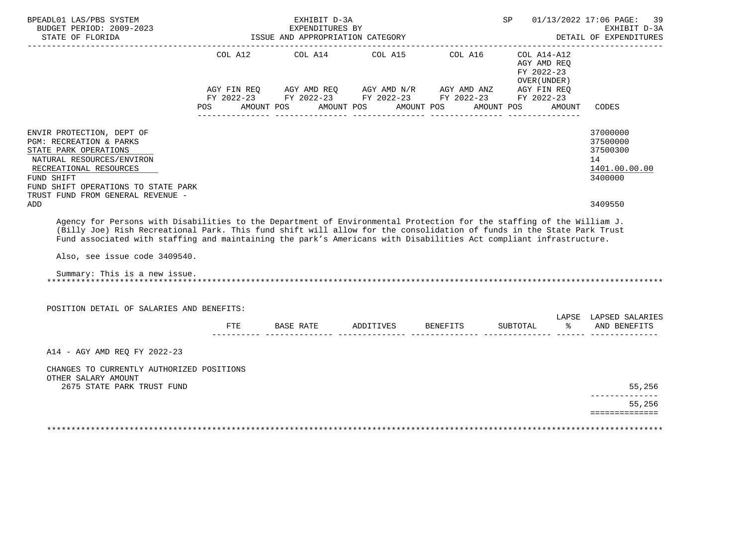| BPEADL01 LAS/PBS SYSTEM<br>BUDGET PERIOD: 2009-2023<br>STATE OF FLORIDA                                                                                                                                                                                                                                                                                                     |     | EXHIBIT D-3A<br>EXPENDITURES BY | ISSUE AND APPROPRIATION CATEGORY |                                                                                                                                                                                                                                                                                                                                                                                                     | SP and the set of the set of the set of the set of the set of the set of the set of the set of the set of the set of the set of the set of the set of the set of the set of the set of the set of the set of the set of the se |        | 01/13/2022 17:06 PAGE:<br>39<br>EXHIBIT D-3A<br>DETAIL OF EXPENDITURES |
|-----------------------------------------------------------------------------------------------------------------------------------------------------------------------------------------------------------------------------------------------------------------------------------------------------------------------------------------------------------------------------|-----|---------------------------------|----------------------------------|-----------------------------------------------------------------------------------------------------------------------------------------------------------------------------------------------------------------------------------------------------------------------------------------------------------------------------------------------------------------------------------------------------|--------------------------------------------------------------------------------------------------------------------------------------------------------------------------------------------------------------------------------|--------|------------------------------------------------------------------------|
|                                                                                                                                                                                                                                                                                                                                                                             | POS | AMOUNT POS                      | AMOUNT POS                       | COL A12 COL A14 COL A15 COL A16<br>$\begin{array}{lllllll} \textsc{AGY} & \textsc{FIN} & \textsc{REG} & \textsc{AGY} & \textsc{AND} & \textsc{NN} \textsc{N} \textsc{N} & \textsc{AGY} & \textsc{AND} & \textsc{NN} & \textsc{NN} & \textsc{NS} \\ \textsc{FY} & 2022-23 & \textsc{FY} & 2022-23 & \textsc{FY} & 2022-23 & \textsc{FY} & 2022-23 & \textsc{FY} & 2022-23 \end{array}$<br>AMOUNT POS | COL A14-A12<br>AGY AMD REO<br>FY 2022-23<br>OVER (UNDER)<br>AMOUNT POS                                                                                                                                                         | AMOUNT | CODES                                                                  |
| ENVIR PROTECTION, DEPT OF<br>PGM: RECREATION & PARKS<br>STATE PARK OPERATIONS<br>NATURAL RESOURCES/ENVIRON<br>RECREATIONAL RESOURCES<br>FUND SHIFT<br>FUND SHIFT OPERATIONS TO STATE PARK<br>TRUST FUND FROM GENERAL REVENUE -                                                                                                                                              |     |                                 |                                  |                                                                                                                                                                                                                                                                                                                                                                                                     |                                                                                                                                                                                                                                |        | 37000000<br>37500000<br>37500300<br>14<br>1401.00.00.00<br>3400000     |
| ADD<br>Agency for Persons with Disabilities to the Department of Environmental Protection for the staffing of the William J.<br>(Billy Joe) Rish Recreational Park. This fund shift will allow for the consolidation of funds in the State Park Trust<br>Fund associated with staffing and maintaining the park's Americans with Disabilities Act compliant infrastructure. |     |                                 |                                  |                                                                                                                                                                                                                                                                                                                                                                                                     |                                                                                                                                                                                                                                |        | 3409550                                                                |
| Also, see issue code 3409540.<br>Summary: This is a new issue.                                                                                                                                                                                                                                                                                                              |     |                                 |                                  |                                                                                                                                                                                                                                                                                                                                                                                                     |                                                                                                                                                                                                                                |        |                                                                        |
| POSITION DETAIL OF SALARIES AND BENEFITS:                                                                                                                                                                                                                                                                                                                                   |     |                                 |                                  |                                                                                                                                                                                                                                                                                                                                                                                                     |                                                                                                                                                                                                                                |        | LAPSE LAPSED SALARIES                                                  |
|                                                                                                                                                                                                                                                                                                                                                                             | FTE | BASE RATE                       | ADDITIVES                        | <b>BENEFITS</b>                                                                                                                                                                                                                                                                                                                                                                                     | SUBTOTAL                                                                                                                                                                                                                       | ႜ      | AND BENEFITS                                                           |
| A14 - AGY AMD REO FY 2022-23                                                                                                                                                                                                                                                                                                                                                |     |                                 |                                  |                                                                                                                                                                                                                                                                                                                                                                                                     |                                                                                                                                                                                                                                |        |                                                                        |
| CHANGES TO CURRENTLY AUTHORIZED POSITIONS<br>OTHER SALARY AMOUNT<br>2675 STATE PARK TRUST FUND                                                                                                                                                                                                                                                                              |     |                                 |                                  |                                                                                                                                                                                                                                                                                                                                                                                                     |                                                                                                                                                                                                                                |        | 55,256                                                                 |
|                                                                                                                                                                                                                                                                                                                                                                             |     |                                 |                                  |                                                                                                                                                                                                                                                                                                                                                                                                     |                                                                                                                                                                                                                                |        | 55,256<br>==============                                               |
|                                                                                                                                                                                                                                                                                                                                                                             |     |                                 |                                  |                                                                                                                                                                                                                                                                                                                                                                                                     |                                                                                                                                                                                                                                |        |                                                                        |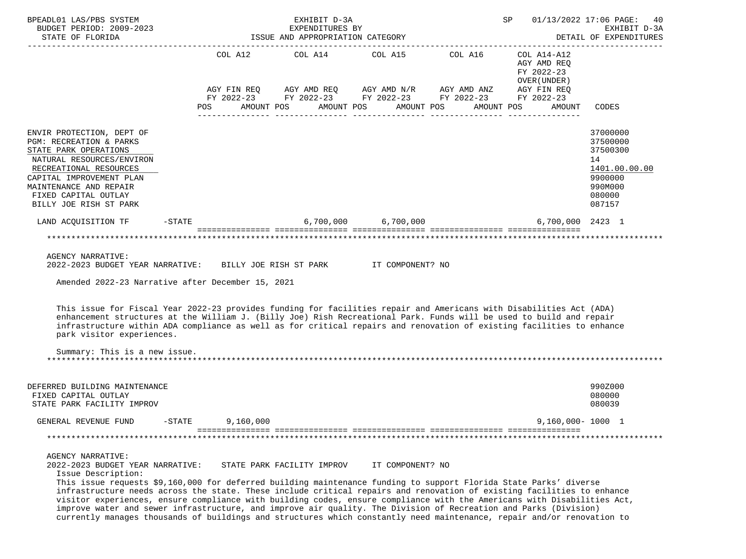| BPEADL01 LAS/PBS SYSTEM                                                                                                                                                                                                                                                                                                                                                                                                                                                                                                                                                                                                                                                                             |                                                     |            |           |            | EXHIBIT D-3A               |            |                                                                                           |            |            | SP                     |                                                                                                                                    | 01/13/2022 17:06 PAGE:<br>40<br>EXHIBIT D-3A                                                      |
|-----------------------------------------------------------------------------------------------------------------------------------------------------------------------------------------------------------------------------------------------------------------------------------------------------------------------------------------------------------------------------------------------------------------------------------------------------------------------------------------------------------------------------------------------------------------------------------------------------------------------------------------------------------------------------------------------------|-----------------------------------------------------|------------|-----------|------------|----------------------------|------------|-------------------------------------------------------------------------------------------|------------|------------|------------------------|------------------------------------------------------------------------------------------------------------------------------------|---------------------------------------------------------------------------------------------------|
| BUDGET PERIOD: 2009-2023<br>STATE OF FLORIDA                                                                                                                                                                                                                                                                                                                                                                                                                                                                                                                                                                                                                                                        | EXPENDITURES BY<br>ISSUE AND APPROPRIATION CATEGORY |            |           |            |                            |            |                                                                                           |            |            | DETAIL OF EXPENDITURES |                                                                                                                                    |                                                                                                   |
|                                                                                                                                                                                                                                                                                                                                                                                                                                                                                                                                                                                                                                                                                                     |                                                     | <b>POS</b> |           | AMOUNT POS |                            | AMOUNT POS | COL A12 COL A14 COL A15 COL A16<br>FY 2022-23 FY 2022-23 FY 2022-23 FY 2022-23 FY 2022-23 | AMOUNT POS | AMOUNT POS |                        | COL A14-A12<br>AGY AMD REO<br>FY 2022-23<br>OVER (UNDER )<br>AGY FIN REQ AGY AMD REQ AGY AMD N/R AGY AMD ANZ AGY FIN REQ<br>AMOUNT | CODES                                                                                             |
|                                                                                                                                                                                                                                                                                                                                                                                                                                                                                                                                                                                                                                                                                                     |                                                     |            |           |            |                            |            |                                                                                           |            |            |                        |                                                                                                                                    |                                                                                                   |
| ENVIR PROTECTION, DEPT OF<br>PGM: RECREATION & PARKS<br>STATE PARK OPERATIONS<br>NATURAL RESOURCES/ENVIRON<br>RECREATIONAL RESOURCES<br>CAPITAL IMPROVEMENT PLAN<br>MAINTENANCE AND REPAIR<br>FIXED CAPITAL OUTLAY<br>BILLY JOE RISH ST PARK                                                                                                                                                                                                                                                                                                                                                                                                                                                        |                                                     |            |           |            |                            |            |                                                                                           |            |            |                        |                                                                                                                                    | 37000000<br>37500000<br>37500300<br>14<br>1401.00.00.00<br>9900000<br>990M000<br>080000<br>087157 |
| LAND ACOUISITION TF                                                                                                                                                                                                                                                                                                                                                                                                                                                                                                                                                                                                                                                                                 | $-$ STATE                                           |            |           |            |                            |            | $6,700,000$ $6,700,000$                                                                   |            |            |                        | 6,700,000 2423 1                                                                                                                   |                                                                                                   |
|                                                                                                                                                                                                                                                                                                                                                                                                                                                                                                                                                                                                                                                                                                     |                                                     |            |           |            |                            |            |                                                                                           |            |            |                        |                                                                                                                                    |                                                                                                   |
| 2022-2023 BUDGET YEAR NARRATIVE: BILLY JOE RISH ST PARK TT COMPONENT? NO<br>Amended 2022-23 Narrative after December 15, 2021<br>This issue for Fiscal Year 2022-23 provides funding for facilities repair and Americans with Disabilities Act (ADA)<br>enhancement structures at the William J. (Billy Joe) Rish Recreational Park. Funds will be used to build and repair<br>infrastructure within ADA compliance as well as for critical repairs and renovation of existing facilities to enhance<br>park visitor experiences.<br>Summary: This is a new issue.                                                                                                                                  |                                                     |            |           |            |                            |            |                                                                                           |            |            |                        |                                                                                                                                    |                                                                                                   |
| DEFERRED BUILDING MAINTENANCE                                                                                                                                                                                                                                                                                                                                                                                                                                                                                                                                                                                                                                                                       |                                                     |            |           |            |                            |            |                                                                                           |            |            |                        |                                                                                                                                    | 990Z000                                                                                           |
| FIXED CAPITAL OUTLAY<br>STATE PARK FACILITY IMPROV                                                                                                                                                                                                                                                                                                                                                                                                                                                                                                                                                                                                                                                  |                                                     |            |           |            |                            |            |                                                                                           |            |            |                        |                                                                                                                                    | 080000<br>080039                                                                                  |
| GENERAL REVENUE FUND                                                                                                                                                                                                                                                                                                                                                                                                                                                                                                                                                                                                                                                                                | $-$ STATE                                           |            | 9,160,000 |            |                            |            |                                                                                           |            |            |                        | $9,160,000 - 1000$ 1                                                                                                               |                                                                                                   |
|                                                                                                                                                                                                                                                                                                                                                                                                                                                                                                                                                                                                                                                                                                     |                                                     |            |           |            |                            |            |                                                                                           |            |            |                        |                                                                                                                                    |                                                                                                   |
| AGENCY NARRATIVE:<br>2022-2023 BUDGET YEAR NARRATIVE:<br>Issue Description:<br>This issue requests \$9,160,000 for deferred building maintenance funding to support Florida State Parks' diverse<br>infrastructure needs across the state. These include critical repairs and renovation of existing facilities to enhance<br>visitor experiences, ensure compliance with building codes, ensure compliance with the Americans with Disabilities Act,<br>improve water and sewer infrastructure, and improve air quality. The Division of Recreation and Parks (Division)<br>currently manages thousands of buildings and structures which constantly need maintenance, repair and/or renovation to |                                                     |            |           |            | STATE PARK FACILITY IMPROV |            | IT COMPONENT? NO                                                                          |            |            |                        |                                                                                                                                    |                                                                                                   |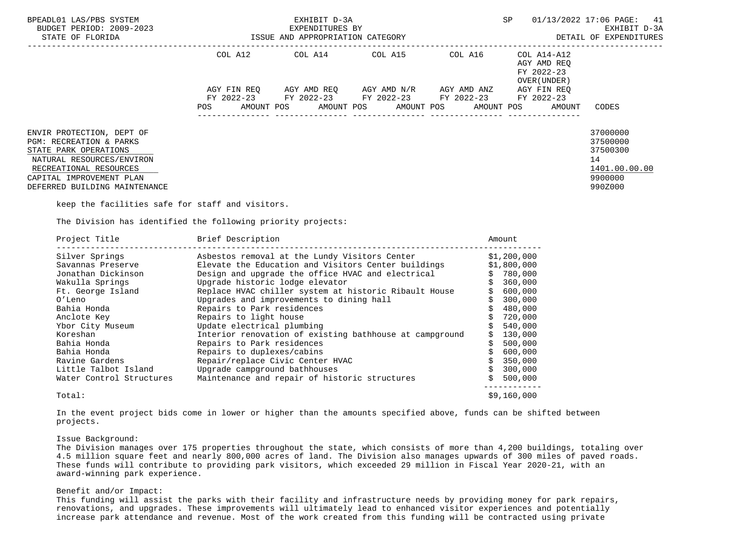| BPEADL01 LAS/PBS SYSTEM<br>BUDGET PERIOD: 2009-2023<br>STATE OF FLORIDA                                                                                                                           | ISSUE AND APPROPRIATION CATEGORY               | EXHIBIT D-3A<br>EXPENDITURES BY |                                     | SP                                                        | 01/13/2022 17:06 PAGE: 41<br>EXHIBIT D-3A<br>DETAIL OF EXPENDITURES |                                                                               |
|---------------------------------------------------------------------------------------------------------------------------------------------------------------------------------------------------|------------------------------------------------|---------------------------------|-------------------------------------|-----------------------------------------------------------|---------------------------------------------------------------------|-------------------------------------------------------------------------------|
|                                                                                                                                                                                                   | COL A12                                        | COL A14 COL A15                 |                                     | COL A16                                                   | COL A14-A12<br>AGY AMD REO<br>FY 2022-23<br>OVER (UNDER)            |                                                                               |
|                                                                                                                                                                                                   | AGY FIN REO<br>FY 2022-23<br>AMOUNT POS<br>POS | FY 2022-23                      | AGY AMD REO AGY AMD N/R AGY AMD ANZ | FY 2022-23 FY 2022-23<br>AMOUNT POS AMOUNT POS AMOUNT POS | AGY FIN REO<br>FY 2022-23<br>AMOUNT                                 | CODES                                                                         |
| ENVIR PROTECTION, DEPT OF<br>PGM: RECREATION & PARKS<br>STATE PARK OPERATIONS<br>NATURAL RESOURCES/ENVIRON<br>RECREATIONAL RESOURCES<br>CAPITAL IMPROVEMENT PLAN<br>DEFERRED BUILDING MAINTENANCE |                                                |                                 |                                     |                                                           |                                                                     | 37000000<br>37500000<br>37500300<br>14<br>1401.00.00.00<br>9900000<br>990Z000 |

keep the facilities safe for staff and visitors.

The Division has identified the following priority projects:

| Project Title            | Brief Description                                       | Amount      |
|--------------------------|---------------------------------------------------------|-------------|
| Silver Springs           | Asbestos removal at the Lundy Visitors Center           | \$1,200,000 |
| Savannas Preserve        | Elevate the Education and Visitors Center buildings     | \$1,800,000 |
| Jonathan Dickinson       | Design and upgrade the office HVAC and electrical       | 780,000     |
| Wakulla Springs          | Upgrade historic lodge elevator                         | 360,000     |
| Ft. George Island        | Replace HVAC chiller system at historic Ribault House   | 600,000     |
| O'Leno                   | Upgrades and improvements to dining hall                | 300,000     |
| Bahia Honda              | Repairs to Park residences                              | 480,000     |
| Anclote Key              | Repairs to light house                                  | 720,000     |
| Ybor City Museum         | Update electrical plumbing                              | 540,000     |
| Koreshan                 | Interior renovation of existing bathhouse at campground | 130,000     |
| Bahia Honda              | Repairs to Park residences                              | 500,000     |
| Bahia Honda              | Repairs to duplexes/cabins                              | 600,000     |
| Ravine Gardens           | Repair/replace Civic Center HVAC                        | 350,000     |
| Little Talbot Island     | Upgrade campground bathhouses                           | 300,000     |
| Water Control Structures | Maintenance and repair of historic structures           | 500,000     |
| Total:                   |                                                         | \$9.160.000 |

 In the event project bids come in lower or higher than the amounts specified above, funds can be shifted between projects.

#### Issue Background:

 The Division manages over 175 properties throughout the state, which consists of more than 4,200 buildings, totaling over 4.5 million square feet and nearly 800,000 acres of land. The Division also manages upwards of 300 miles of paved roads. These funds will contribute to providing park visitors, which exceeded 29 million in Fiscal Year 2020-21, with an award-winning park experience.

# Benefit and/or Impact:

 This funding will assist the parks with their facility and infrastructure needs by providing money for park repairs, renovations, and upgrades. These improvements will ultimately lead to enhanced visitor experiences and potentially increase park attendance and revenue. Most of the work created from this funding will be contracted using private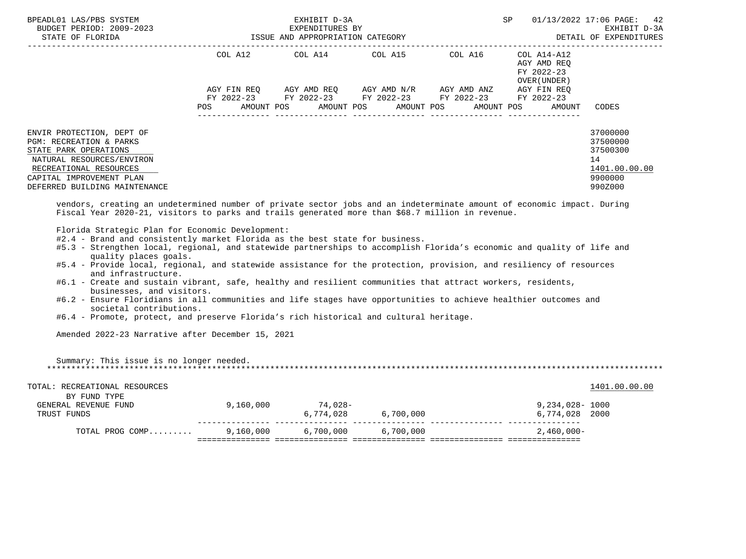| BPEADL01 LAS/PBS SYSTEM<br>BUDGET PERIOD: 2009-2023                                      |                                  | EXHIBIT D-3A<br>EXPENDITURES BY                        | SP                                  | 01/13/2022 17:06 PAGE: 42<br>EXHIBIT D-3A |                                                          |                                  |
|------------------------------------------------------------------------------------------|----------------------------------|--------------------------------------------------------|-------------------------------------|-------------------------------------------|----------------------------------------------------------|----------------------------------|
| STATE OF FLORIDA                                                                         | ISSUE AND APPROPRIATION CATEGORY |                                                        | DETAIL OF EXPENDITURES              |                                           |                                                          |                                  |
|                                                                                          | COL A12                          | COL A14 COL A15 COL A16                                |                                     |                                           | COL A14-A12<br>AGY AMD REO<br>FY 2022-23<br>OVER (UNDER) |                                  |
|                                                                                          | AGY FIN REO                      | FY 2022-23 FY 2022-23 FY 2022-23 FY 2022-23 FY 2022-23 | AGY AMD REO AGY AMD N/R AGY AMD ANZ |                                           | AGY FIN REO                                              |                                  |
|                                                                                          | POS                              | AMOUNT POS AMOUNT POS AMOUNT POS AMOUNT POS            |                                     |                                           | AMOUNT                                                   | CODES                            |
| ENVIR PROTECTION, DEPT OF<br><b>PGM: RECREATION &amp; PARKS</b><br>STATE PARK OPERATIONS |                                  |                                                        |                                     |                                           |                                                          | 37000000<br>37500000<br>37500300 |
| NATURAL RESOURCES/ENVIRON<br>RECREATIONAL RESOURCES                                      |                                  |                                                        |                                     |                                           |                                                          | 14<br>1401.00.00.00              |
| CAPITAL IMPROVEMENT PLAN<br>DEFERRED BUILDING MAINTENANCE                                |                                  |                                                        |                                     |                                           |                                                          | 9900000<br>990Z000               |
|                                                                                          |                                  |                                                        |                                     |                                           |                                                          |                                  |

 vendors, creating an undetermined number of private sector jobs and an indeterminate amount of economic impact. During Fiscal Year 2020-21, visitors to parks and trails generated more than \$68.7 million in revenue.

Florida Strategic Plan for Economic Development:

- #2.4 Brand and consistently market Florida as the best state for business.
- #5.3 Strengthen local, regional, and statewide partnerships to accomplish Florida's economic and quality of life and quality places goals.
- #5.4 Provide local, regional, and statewide assistance for the protection, provision, and resiliency of resources and infrastructure.
- #6.1 Create and sustain vibrant, safe, healthy and resilient communities that attract workers, residents, businesses, and visitors.
- #6.2 Ensure Floridians in all communities and life stages have opportunities to achieve healthier outcomes and societal contributions.
- #6.4 Promote, protect, and preserve Florida's rich historical and cultural heritage.

Amended 2022-23 Narrative after December 15, 2021

 Summary: This issue is no longer needed. \*\*\*\*\*\*\*\*\*\*\*\*\*\*\*\*\*\*\*\*\*\*\*\*\*\*\*\*\*\*\*\*\*\*\*\*\*\*\*\*\*\*\*\*\*\*\*\*\*\*\*\*\*\*\*\*\*\*\*\*\*\*\*\*\*\*\*\*\*\*\*\*\*\*\*\*\*\*\*\*\*\*\*\*\*\*\*\*\*\*\*\*\*\*\*\*\*\*\*\*\*\*\*\*\*\*\*\*\*\*\*\*\*\*\*\*\*\*\*\*\*\*\*\*\*\*\*

| TOTAL: RECREATIONAL RESOURCES<br>BY FUND TYPE |           |           |           | 1401.00.00.00   |
|-----------------------------------------------|-----------|-----------|-----------|-----------------|
| GENERAL REVENUE FUND                          | 9,160,000 | 74.028-   |           | 9,234,028- 1000 |
| TRUST FUNDS                                   |           | 6,774,028 | 6,700,000 | 6,774,028 2000  |
| TOTAL PROG COMP                               | 9,160,000 | 6,700,000 | 6,700,000 | 2,460,000-      |
|                                               |           |           |           |                 |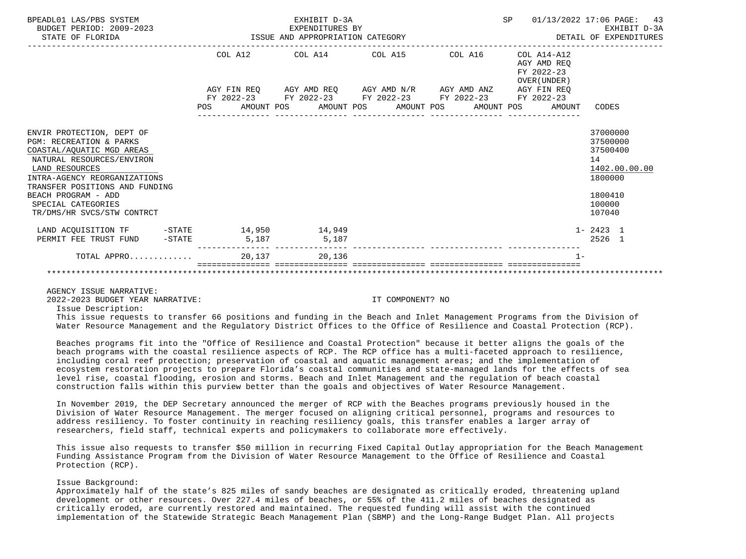| BPEADL01 LAS/PBS SYSTEM<br>BUDGET PERIOD: 2009-2023<br>STATE OF FLORIDA                                                                                                                                                              |       | EXHIBIT D-3A<br>EXPENDITURES BY<br>EXPENDITURES BY<br>ISSUE AND APPROPRIATION CATEGORY         |  | SP                  | 01/13/2022 17:06 PAGE: 43<br>EXHIBIT D-3A<br>DETAIL OF EXPENDITURES |                                                                               |
|--------------------------------------------------------------------------------------------------------------------------------------------------------------------------------------------------------------------------------------|-------|------------------------------------------------------------------------------------------------|--|---------------------|---------------------------------------------------------------------|-------------------------------------------------------------------------------|
|                                                                                                                                                                                                                                      |       | COL A12 COL A14 COL A15                                                                        |  | COL A16 COL A14-A12 | AGY AMD REO<br>FY 2022-23<br>OVER (UNDER)                           |                                                                               |
|                                                                                                                                                                                                                                      |       | AGY FIN REQ AGY AMD REQ AGY AMD N/R AGY AMD ANZ AGY FIN REQ                                    |  |                     |                                                                     |                                                                               |
|                                                                                                                                                                                                                                      |       | FY 2022-23 FY 2022-23 FY 2022-23 FY 2022-23 FY 2022-23<br>POS AMOUNT POS AMOUNT POS AMOUNT POS |  |                     | AMOUNT POS<br>AMOUNT                                                | CODES                                                                         |
|                                                                                                                                                                                                                                      |       |                                                                                                |  |                     |                                                                     |                                                                               |
| ENVIR PROTECTION, DEPT OF<br><b>PGM: RECREATION &amp; PARKS</b><br>COASTAL/AQUATIC MGD AREAS<br>NATURAL RESOURCES/ENVIRON<br>LAND RESOURCES<br>INTRA-AGENCY REORGANIZATIONS<br>TRANSFER POSITIONS AND FUNDING<br>BEACH PROGRAM - ADD |       |                                                                                                |  |                     |                                                                     | 37000000<br>37500000<br>37500400<br>14<br>1402.00.00.00<br>1800000<br>1800410 |
| SPECIAL CATEGORIES<br>TR/DMS/HR SVCS/STW CONTRCT                                                                                                                                                                                     |       |                                                                                                |  |                     |                                                                     | 100000<br>107040                                                              |
| LAND ACOUISITION TF -STATE 14,950<br>PERMIT FEE TRUST FUND -STATE                                                                                                                                                                    | 5,187 | 14,949<br>5,187                                                                                |  |                     |                                                                     | $1 - 2423$ 1<br>2526 1                                                        |
| TOTAL APPRO                                                                                                                                                                                                                          |       | 20.137<br>20,136                                                                               |  |                     | $1 -$                                                               |                                                                               |
|                                                                                                                                                                                                                                      |       |                                                                                                |  |                     |                                                                     |                                                                               |

AGENCY ISSUE NARRATIVE:

2022-2023 BUDGET YEAR NARRATIVE: IT COMPONENT? NO

Issue Description:

 This issue requests to transfer 66 positions and funding in the Beach and Inlet Management Programs from the Division of Water Resource Management and the Regulatory District Offices to the Office of Resilience and Coastal Protection (RCP).

 Beaches programs fit into the "Office of Resilience and Coastal Protection" because it better aligns the goals of the beach programs with the coastal resilience aspects of RCP. The RCP office has a multi-faceted approach to resilience, including coral reef protection; preservation of coastal and aquatic management areas; and the implementation of ecosystem restoration projects to prepare Florida's coastal communities and state-managed lands for the effects of sea level rise, coastal flooding, erosion and storms. Beach and Inlet Management and the regulation of beach coastal construction falls within this purview better than the goals and objectives of Water Resource Management.

 In November 2019, the DEP Secretary announced the merger of RCP with the Beaches programs previously housed in the Division of Water Resource Management. The merger focused on aligning critical personnel, programs and resources to address resiliency. To foster continuity in reaching resiliency goals, this transfer enables a larger array of researchers, field staff, technical experts and policymakers to collaborate more effectively.

 This issue also requests to transfer \$50 million in recurring Fixed Capital Outlay appropriation for the Beach Management Funding Assistance Program from the Division of Water Resource Management to the Office of Resilience and Coastal Protection (RCP).

### Issue Background:

 Approximately half of the state's 825 miles of sandy beaches are designated as critically eroded, threatening upland development or other resources. Over 227.4 miles of beaches, or 55% of the 411.2 miles of beaches designated as critically eroded, are currently restored and maintained. The requested funding will assist with the continued implementation of the Statewide Strategic Beach Management Plan (SBMP) and the Long-Range Budget Plan. All projects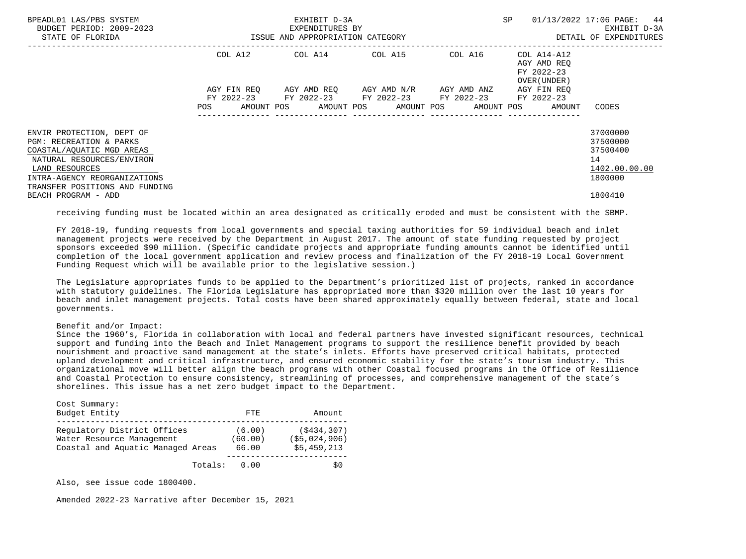| BPEADL01 LAS/PBS SYSTEM<br>BUDGET PERIOD: 2009-2023<br>STATE OF FLORIDA                                                                                                                                       |                    | EXHIBIT D-3A<br>EXPENDITURES BY<br>ISSUE AND APPROPRIATION CATEGORY                        | SP                                  | 01/13/2022 17:06 PAGE: 44<br>EXHIBIT D-3A<br>DETAIL OF EXPENDITURES |                                                          |                                                                    |
|---------------------------------------------------------------------------------------------------------------------------------------------------------------------------------------------------------------|--------------------|--------------------------------------------------------------------------------------------|-------------------------------------|---------------------------------------------------------------------|----------------------------------------------------------|--------------------------------------------------------------------|
|                                                                                                                                                                                                               | COL A12            |                                                                                            | COL A14 COL A15                     | COL A16                                                             | COL A14-A12<br>AGY AMD REO<br>FY 2022-23<br>OVER (UNDER) |                                                                    |
|                                                                                                                                                                                                               | AGY FIN REO<br>POS | FY 2022-23 FY 2022-23 FY 2022-23 FY 2022-23<br>AMOUNT POS AMOUNT POS AMOUNT POS AMOUNT POS | AGY AMD REO AGY AMD N/R AGY AMD ANZ |                                                                     | AGY FIN REO<br>FY 2022-23<br>AMOUNT                      | CODES                                                              |
| ENVIR PROTECTION, DEPT OF<br><b>PGM: RECREATION &amp; PARKS</b><br>COASTAL/AOUATIC MGD AREAS<br>NATURAL RESOURCES/ENVIRON<br>LAND RESOURCES<br>INTRA-AGENCY REORGANIZATIONS<br>TRANSFER POSITIONS AND FUNDING |                    |                                                                                            |                                     |                                                                     |                                                          | 37000000<br>37500000<br>37500400<br>14<br>1402.00.00.00<br>1800000 |
| BEACH PROGRAM - ADD                                                                                                                                                                                           |                    |                                                                                            |                                     |                                                                     |                                                          | 1800410                                                            |

receiving funding must be located within an area designated as critically eroded and must be consistent with the SBMP.

 FY 2018-19, funding requests from local governments and special taxing authorities for 59 individual beach and inlet management projects were received by the Department in August 2017. The amount of state funding requested by project sponsors exceeded \$90 million. (Specific candidate projects and appropriate funding amounts cannot be identified until completion of the local government application and review process and finalization of the FY 2018-19 Local Government Funding Request which will be available prior to the legislative session.)

 The Legislature appropriates funds to be applied to the Department's prioritized list of projects, ranked in accordance with statutory guidelines. The Florida Legislature has appropriated more than \$320 million over the last 10 years for beach and inlet management projects. Total costs have been shared approximately equally between federal, state and local governments.

### Benefit and/or Impact:

 Since the 1960's, Florida in collaboration with local and federal partners have invested significant resources, technical support and funding into the Beach and Inlet Management programs to support the resilience benefit provided by beach nourishment and proactive sand management at the state's inlets. Efforts have preserved critical habitats, protected upland development and critical infrastructure, and ensured economic stability for the state's tourism industry. This organizational move will better align the beach programs with other Coastal focused programs in the Office of Resilience and Coastal Protection to ensure consistency, streamlining of processes, and comprehensive management of the state's shorelines. This issue has a net zero budget impact to the Department.

| Cost Summary:<br>Budget Entity                                                                | FTF.                       | Amount                                       |
|-----------------------------------------------------------------------------------------------|----------------------------|----------------------------------------------|
| Requlatory District Offices<br>Water Resource Management<br>Coastal and Aquatic Managed Areas | (6.00)<br>(60.00)<br>66.00 | (S434, 307)<br>(55, 024, 906)<br>\$5,459,213 |
| Totals:                                                                                       | 0.00                       | S0                                           |

Also, see issue code 1800400.

Amended 2022-23 Narrative after December 15, 2021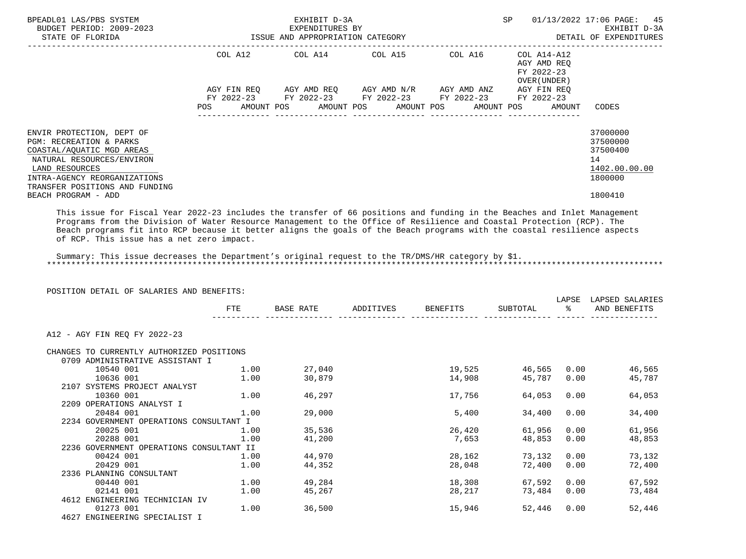| BPEADL01 LAS/PBS SYSTEM<br>BUDGET PERIOD: 2009-2023<br>EXPENDITURES BY<br>ISSUE AND APPROPRIATION CATEGORY<br>STATE OF FLORIDA                                                                                                                                                                                                                                                                                             |            |             | EXHIBIT D-3A<br>EXPENDITURES BY |                                                                                                           |  | SP |                                                           | 01/13/2022 17:06 PAGE: 45<br>EXHIBIT D-3A<br>DETAIL OF EXPENDITURES           |
|----------------------------------------------------------------------------------------------------------------------------------------------------------------------------------------------------------------------------------------------------------------------------------------------------------------------------------------------------------------------------------------------------------------------------|------------|-------------|---------------------------------|-----------------------------------------------------------------------------------------------------------|--|----|-----------------------------------------------------------|-------------------------------------------------------------------------------|
|                                                                                                                                                                                                                                                                                                                                                                                                                            |            |             |                                 | COL A12 COL A14 COL A15 COL A16                                                                           |  |    | COL A14-A12<br>AGY AMD REO<br>FY 2022-23<br>OVER (UNDER ) |                                                                               |
|                                                                                                                                                                                                                                                                                                                                                                                                                            |            | AGY FIN REO |                                 | AGY AMD REQ       AGY AMD N/R       AGY AMD ANZ<br>FY 2022-23 FY 2022-23 FY 2022-23 FY 2022-23 FY 2022-23 |  |    | AGY FIN REO                                               |                                                                               |
|                                                                                                                                                                                                                                                                                                                                                                                                                            | <b>POS</b> |             |                                 | AMOUNT POS       AMOUNT POS      AMOUNT POS      AMOUNT POS                                               |  |    | AMOUNT                                                    | CODES                                                                         |
| ENVIR PROTECTION, DEPT OF<br>PGM: RECREATION & PARKS<br>COASTAL/AQUATIC MGD AREAS<br>NATURAL RESOURCES/ENVIRON<br>LAND RESOURCES<br>INTRA-AGENCY REORGANIZATIONS<br>TRANSFER POSITIONS AND FUNDING<br>BEACH PROGRAM - ADD                                                                                                                                                                                                  |            |             |                                 |                                                                                                           |  |    |                                                           | 37000000<br>37500000<br>37500400<br>14<br>1402.00.00.00<br>1800000<br>1800410 |
| This issue for Fiscal Year 2022-23 includes the transfer of 66 positions and funding in the Beaches and Inlet Management<br>Programs from the Division of Water Resource Management to the Office of Resilience and Coastal Protection (RCP). The<br>Beach programs fit into RCP because it better aligns the goals of the Beach programs with the coastal resilience aspects<br>of RCP. This issue has a net zero impact. |            |             |                                 |                                                                                                           |  |    |                                                           |                                                                               |

 Summary: This issue decreases the Department's original request to the TR/DMS/HR category by \$1. \*\*\*\*\*\*\*\*\*\*\*\*\*\*\*\*\*\*\*\*\*\*\*\*\*\*\*\*\*\*\*\*\*\*\*\*\*\*\*\*\*\*\*\*\*\*\*\*\*\*\*\*\*\*\*\*\*\*\*\*\*\*\*\*\*\*\*\*\*\*\*\*\*\*\*\*\*\*\*\*\*\*\*\*\*\*\*\*\*\*\*\*\*\*\*\*\*\*\*\*\*\*\*\*\*\*\*\*\*\*\*\*\*\*\*\*\*\*\*\*\*\*\*\*\*\*\*

POSITION DETAIL OF SALARIES AND BENEFITS:

|                                           | FTE<br><b>BASE RATE</b><br>ADDITIVES<br><b>BENEFITS</b> |        | SUBTOTAL | LAPSE<br>ႜૢ | LAPSED SALARIES<br>AND BENEFITS |        |
|-------------------------------------------|---------------------------------------------------------|--------|----------|-------------|---------------------------------|--------|
| A12 - AGY FIN REQ FY 2022-23              |                                                         |        |          |             |                                 |        |
| CHANGES TO CURRENTLY AUTHORIZED POSITIONS |                                                         |        |          |             |                                 |        |
| 0709 ADMINISTRATIVE ASSISTANT I           |                                                         |        |          |             |                                 |        |
| 10540 001                                 | 1.00                                                    | 27,040 | 19,525   | 46,565      | 0.00                            | 46,565 |
| 10636 001                                 | 1.00                                                    | 30,879 | 14,908   | 45,787      | 0.00                            | 45,787 |
| 2107 SYSTEMS PROJECT ANALYST              |                                                         |        |          |             |                                 |        |
| 10360 001                                 | 1.00                                                    | 46,297 | 17,756   | 64,053      | 0.00                            | 64,053 |
| 2209 OPERATIONS ANALYST I                 |                                                         |        |          |             |                                 |        |
| 20484 001                                 | 1.00                                                    | 29,000 | 5,400    | 34,400      | 0.00                            | 34,400 |
| 2234 GOVERNMENT OPERATIONS CONSULTANT I   |                                                         |        |          |             |                                 |        |
| 20025 001                                 | 1.00                                                    | 35,536 | 26,420   | 61,956      | 0.00                            | 61,956 |
| 20288 001                                 | 1.00                                                    | 41,200 | 7,653    | 48,853      | 0.00                            | 48,853 |
| 2236 GOVERNMENT OPERATIONS CONSULTANT II  |                                                         |        |          |             |                                 |        |
| 00424 001                                 | 1.00                                                    | 44,970 | 28,162   | 73,132      | 0.00                            | 73,132 |
| 20429 001                                 | 1.00                                                    | 44,352 | 28,048   | 72,400      | 0.00                            | 72,400 |
| 2336 PLANNING CONSULTANT                  |                                                         |        |          |             |                                 |        |
| 00440 001                                 | 1.00                                                    | 49,284 | 18,308   | 67,592      | 0.00                            | 67,592 |
| 02141 001                                 | 1.00                                                    | 45,267 | 28,217   | 73,484      | 0.00                            | 73,484 |
| 4612 ENGINEERING TECHNICIAN IV            |                                                         |        |          |             |                                 |        |
| 01273 001                                 | 1.00                                                    | 36,500 | 15,946   | 52,446      | 0.00                            | 52,446 |
| 4627 ENGINEERING SPECIALIST I             |                                                         |        |          |             |                                 |        |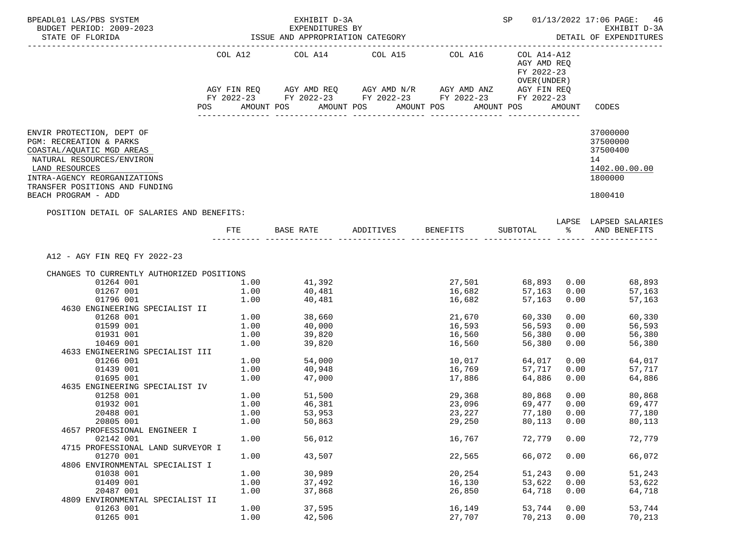| BPEADL01 LAS/PBS SYSTEM<br>BUDGET PERIOD: 2009-2023<br>STATE OF FLORIDA                                                                                                                                                   |      | EXHIBIT D-3A<br>EXPENDITURES BY<br>ISSUE AND APPROPRIATION CATEGORY                            |                       |                    | SP                                                        |      | 01/13/2022 17:06 PAGE: 46<br>EXHIBIT D-3A<br>DETAIL OF EXPENDITURES           |
|---------------------------------------------------------------------------------------------------------------------------------------------------------------------------------------------------------------------------|------|------------------------------------------------------------------------------------------------|-----------------------|--------------------|-----------------------------------------------------------|------|-------------------------------------------------------------------------------|
|                                                                                                                                                                                                                           |      | COL A12 COL A14 COL A15 COL A16<br>AGY FIN REQ AGY AMD REQ AGY AMD N/R AGY AMD ANZ AGY FIN REQ |                       |                    | COL A14-A12<br>AGY AMD REQ<br>FY 2022-23<br>OVER (UNDER ) |      |                                                                               |
|                                                                                                                                                                                                                           | POS  | FY 2022-23 FY 2022-23 FY 2022-23 FY 2022-23 FY 2022-23<br>AMOUNT POS                           | AMOUNT POS AMOUNT POS |                    | AMOUNT POS                                                |      | AMOUNT CODES                                                                  |
|                                                                                                                                                                                                                           |      |                                                                                                |                       |                    |                                                           |      |                                                                               |
| ENVIR PROTECTION, DEPT OF<br>PGM: RECREATION & PARKS<br>COASTAL/AQUATIC MGD AREAS<br>NATURAL RESOURCES/ENVIRON<br>LAND RESOURCES<br>INTRA-AGENCY REORGANIZATIONS<br>TRANSFER POSITIONS AND FUNDING<br>BEACH PROGRAM - ADD |      |                                                                                                |                       |                    |                                                           |      | 37000000<br>37500000<br>37500400<br>14<br>1402.00.00.00<br>1800000<br>1800410 |
| POSITION DETAIL OF SALARIES AND BENEFITS:                                                                                                                                                                                 |      |                                                                                                |                       |                    |                                                           |      |                                                                               |
|                                                                                                                                                                                                                           |      | FTE BASE RATE ADDITIVES BENEFITS SUBTOTAL $\frac{1}{2}$ and benefits                           |                       |                    |                                                           |      | LAPSE LAPSED SALARIES                                                         |
| A12 - AGY FIN REQ FY 2022-23                                                                                                                                                                                              |      |                                                                                                |                       |                    |                                                           |      |                                                                               |
| CHANGES TO CURRENTLY AUTHORIZED POSITIONS                                                                                                                                                                                 |      |                                                                                                |                       |                    |                                                           |      |                                                                               |
| 01264 001                                                                                                                                                                                                                 |      | $1.00$ $41,392$                                                                                |                       | 27,501             | 68,893                                                    |      | $0.00$ 68,893                                                                 |
| 01267 001                                                                                                                                                                                                                 | 1.00 | 40,481<br>40,481                                                                               |                       | 16,682             | 57,163                                                    | 0.00 | 57,163                                                                        |
| 01796 001                                                                                                                                                                                                                 | 1.00 |                                                                                                |                       | 16,682             | 57,163                                                    | 0.00 | 57,163                                                                        |
| 4630 ENGINEERING SPECIALIST II                                                                                                                                                                                            |      |                                                                                                |                       |                    |                                                           |      |                                                                               |
| 01268 001                                                                                                                                                                                                                 |      | $1.00$ 38,660                                                                                  |                       | 21,670             | 60,330                                                    |      | 0.00<br>60,330                                                                |
| 01599 001                                                                                                                                                                                                                 |      | $1.00$ $40,000$                                                                                |                       | 16,593             | 56,593                                                    | 0.00 | 56,593                                                                        |
| 01931 001                                                                                                                                                                                                                 | 1.00 | 39,820<br>39,820                                                                               |                       | ⊥o, po∪<br>16, 560 | 56,380                                                    | 0.00 | 56,380                                                                        |
| 10469 001                                                                                                                                                                                                                 | 1.00 |                                                                                                |                       |                    | 56,380                                                    | 0.00 | 56,380                                                                        |
| 4633 ENGINEERING SPECIALIST III                                                                                                                                                                                           |      |                                                                                                |                       |                    |                                                           |      |                                                                               |
| 01266 001                                                                                                                                                                                                                 |      | $1.00$ 54,000                                                                                  |                       | 10,017             | 64,017                                                    |      | 0.00<br>64,017                                                                |
| 01439 001                                                                                                                                                                                                                 | 1.00 | 40,948                                                                                         |                       | 16,769             | 57,717                                                    | 0.00 | 57,717                                                                        |
| 01695 001                                                                                                                                                                                                                 | 1.00 | 47,000                                                                                         |                       | 17,886             | 64,886                                                    | 0.00 | 64,886                                                                        |
| 4635 ENGINEERING SPECIALIST IV                                                                                                                                                                                            |      |                                                                                                |                       |                    |                                                           |      |                                                                               |
| 01258 001                                                                                                                                                                                                                 |      | 1.00 51,500                                                                                    |                       | 29,368             | 80,868                                                    |      | 0.00<br>80,868                                                                |
| 01932 001                                                                                                                                                                                                                 | 1.00 | 46,381<br>53,953                                                                               |                       | 23,096             | 69,477                                                    | 0.00 | 69,477                                                                        |
| 20488 001                                                                                                                                                                                                                 | 1.00 |                                                                                                |                       | 23,227             | 77,180                                                    | 0.00 | 77,180                                                                        |
| 20805 001                                                                                                                                                                                                                 | 1.00 | 50,863                                                                                         |                       | 29,250             | 80,113 0.00                                               |      | 80,113                                                                        |
| 4657 PROFESSIONAL ENGINEER I                                                                                                                                                                                              |      |                                                                                                |                       |                    |                                                           |      |                                                                               |
| 02142 001                                                                                                                                                                                                                 | 1.00 | 56,012                                                                                         |                       | 16,767             | 72,779                                                    | 0.00 | 72,779                                                                        |
| 4715 PROFESSIONAL LAND SURVEYOR I                                                                                                                                                                                         |      |                                                                                                |                       |                    |                                                           |      |                                                                               |
| 01270 001                                                                                                                                                                                                                 | 1.00 | 43,507                                                                                         |                       | 22,565             | 66,072                                                    | 0.00 | 66,072                                                                        |
| 4806 ENVIRONMENTAL SPECIALIST I<br>01038 001                                                                                                                                                                              | 1.00 |                                                                                                |                       | 20,254             | 51,243                                                    | 0.00 |                                                                               |
| 01409 001                                                                                                                                                                                                                 | 1.00 | 30,989<br>37,492                                                                               |                       | 16,130             | 53,622                                                    | 0.00 | 51,243<br>53,622                                                              |
| 20487 001                                                                                                                                                                                                                 | 1.00 | 37,868                                                                                         |                       | 26,850             | 64,718                                                    | 0.00 | 64,718                                                                        |
| 4809 ENVIRONMENTAL SPECIALIST II                                                                                                                                                                                          |      |                                                                                                |                       |                    |                                                           |      |                                                                               |
| 01263 001                                                                                                                                                                                                                 | 1.00 | 37,595                                                                                         |                       | 16,149             | 53,744                                                    | 0.00 | 53,744                                                                        |
| 01265 001                                                                                                                                                                                                                 | 1.00 | 42,506                                                                                         |                       | 27,707             | 70,213                                                    | 0.00 | 70,213                                                                        |
|                                                                                                                                                                                                                           |      |                                                                                                |                       |                    |                                                           |      |                                                                               |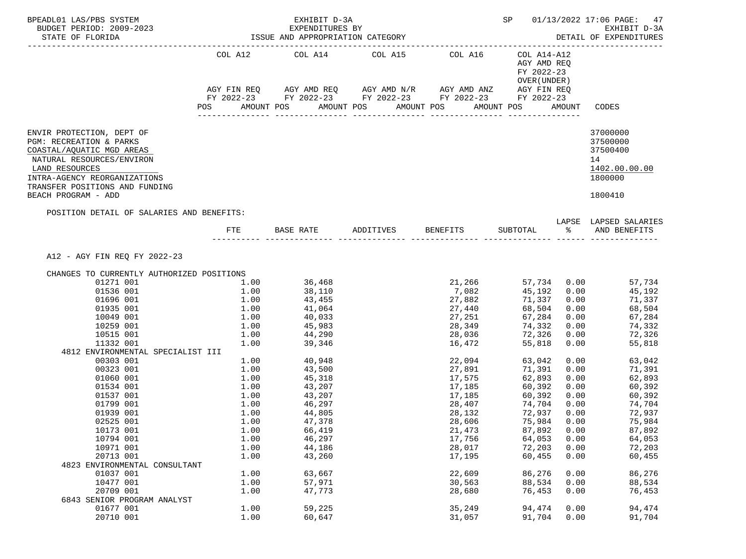| BPEADL01 LAS/PBS SYSTEM<br>BUDGET PERIOD: 2009-2023<br>STATE OF FLORIDA<br>____________________________                          |                 | EXHIBIT D-3A<br>EXPENDITURES BY<br>ISSUE AND APPROPRIATION CATEGORY                                                   |                       |                            |                                                           |      | SP 01/13/2022 17:06 PAGE: 47<br>EXHIBIT D-3A<br>DETAIL OF EXPENDITURES |  |
|----------------------------------------------------------------------------------------------------------------------------------|-----------------|-----------------------------------------------------------------------------------------------------------------------|-----------------------|----------------------------|-----------------------------------------------------------|------|------------------------------------------------------------------------|--|
|                                                                                                                                  |                 | COL A12 COL A14 COL A15 COL A16                                                                                       |                       |                            | COL A14-A12<br>AGY AMD REQ<br>FY 2022-23<br>OVER (UNDER ) |      |                                                                        |  |
|                                                                                                                                  |                 | AGY FIN REQ AGY AMD REQ AGY AMD N/R AGY AMD ANZ AGY FIN REQ<br>FY 2022-23 FY 2022-23 FY 2022-23 FY 2022-23 FY 2022-23 |                       |                            |                                                           |      |                                                                        |  |
|                                                                                                                                  | POS             | AMOUNT POS                                                                                                            | AMOUNT POS AMOUNT POS |                            | AMOUNT POS                                                |      | AMOUNT CODES                                                           |  |
| ENVIR PROTECTION, DEPT OF<br>PGM: RECREATION & PARKS<br>COASTAL/AQUATIC MGD AREAS<br>NATURAL RESOURCES/ENVIRON<br>LAND RESOURCES |                 |                                                                                                                       |                       |                            |                                                           |      | 37000000<br>37500000<br>37500400<br>14<br>1402.00.00.00                |  |
| INTRA-AGENCY REORGANIZATIONS<br>TRANSFER POSITIONS AND FUNDING<br>BEACH PROGRAM - ADD                                            |                 |                                                                                                                       |                       |                            |                                                           |      | 1800000<br>1800410                                                     |  |
| POSITION DETAIL OF SALARIES AND BENEFITS:                                                                                        |                 |                                                                                                                       |                       |                            |                                                           |      |                                                                        |  |
|                                                                                                                                  |                 | FTE BASE RATE ADDITIVES BENEFITS SUBTOTAL $\frac{1}{2}$ and benefits                                                  |                       |                            |                                                           |      | LAPSE LAPSED SALARIES                                                  |  |
| A12 - AGY FIN REQ FY 2022-23                                                                                                     |                 |                                                                                                                       |                       |                            |                                                           |      |                                                                        |  |
| CHANGES TO CURRENTLY AUTHORIZED POSITIONS                                                                                        |                 |                                                                                                                       |                       |                            |                                                           |      |                                                                        |  |
| 01271 001                                                                                                                        |                 | 1.00 36,468                                                                                                           |                       |                            | 21,266 57,734 0.00                                        |      | 57,734                                                                 |  |
| 01536 001                                                                                                                        | 1.00            | 38,110                                                                                                                |                       | 7,082                      | 45,192 0.00                                               |      | 45,192                                                                 |  |
| 01696 001                                                                                                                        |                 | $1.00$ $43,455$                                                                                                       |                       | 27,882                     | 71,337                                                    |      | 0.00<br>71,337                                                         |  |
| 01935 001                                                                                                                        |                 | $1.00$ $41,064$<br>$1.00$ $40,033$                                                                                    |                       | 27,440                     | 68,504      0.00<br>67,284      0.00                      |      | 68,504                                                                 |  |
| 10049 001                                                                                                                        |                 |                                                                                                                       |                       | 27,251                     |                                                           |      | 67,284                                                                 |  |
| 10259 001                                                                                                                        |                 |                                                                                                                       |                       | 28,349                     | 74,332                                                    |      | 0.00<br>74,332                                                         |  |
| 10515 001                                                                                                                        |                 | $\begin{array}{ccc} 1.00 & & 45,983 \ 1.00 & & 44,290 \ 1.00 & & 39,346 \end{array}$                                  |                       | 28,036<br>16,472           | 72,326                                                    | 0.00 | 72,326<br>0.00                                                         |  |
| 11332 001<br>4812 ENVIRONMENTAL SPECIALIST III                                                                                   |                 |                                                                                                                       |                       |                            | 55,818                                                    |      | 55,818                                                                 |  |
| 00303 001                                                                                                                        |                 | $1.00$ $40,948$                                                                                                       |                       | 22,094                     | 63,042                                                    |      | 0.00<br>63,042                                                         |  |
| 00323 001                                                                                                                        | $1.00$ $43,500$ |                                                                                                                       |                       | 27,891                     | 71,391                                                    |      | 0.00<br>71,391                                                         |  |
| 01060 001                                                                                                                        |                 |                                                                                                                       |                       | 17,575                     | 62,893                                                    | 0.00 | 62,893                                                                 |  |
| 01534 001                                                                                                                        |                 | 1.00 45,318<br>1.00 43,207                                                                                            |                       | 17,185                     | 60,392                                                    |      | 0.00<br>60,392                                                         |  |
| 01537 001                                                                                                                        |                 |                                                                                                                       |                       |                            | $60,392$ 0.00<br>$74,704$ 0.00                            |      | 60,392                                                                 |  |
| 01799 001                                                                                                                        |                 | $1.00$ $43,207$<br>$1.00$ $46,297$                                                                                    |                       | 17,185<br>28,407<br>28,407 | 74,704 0.00                                               |      | 74,704                                                                 |  |
| 01939 001                                                                                                                        | 1.00            | 44,805                                                                                                                |                       | 28,132                     | 72,937 0.00                                               |      | 72,937                                                                 |  |
| 02525 001                                                                                                                        | 1.00            | 47,378                                                                                                                |                       | 28,606                     | 75,984 0.00                                               |      | 75,984                                                                 |  |
| 10173 001                                                                                                                        | 1.00            | 66,419                                                                                                                |                       | 21,473                     | 87,892                                                    | 0.00 | 87,892                                                                 |  |
| 10794 001                                                                                                                        | 1.00            | 46,297                                                                                                                |                       | 17,756                     | 64,053                                                    | 0.00 | 64,053                                                                 |  |
| 10971 001                                                                                                                        | 1.00            | 44,186                                                                                                                |                       | 28,017                     | 72,203                                                    | 0.00 | 72,203                                                                 |  |
| 20713 001                                                                                                                        | 1.00            | 43,260                                                                                                                |                       | 17,195                     | 60,455                                                    | 0.00 | 60,455                                                                 |  |
| 4823 ENVIRONMENTAL CONSULTANT                                                                                                    |                 |                                                                                                                       |                       |                            |                                                           |      |                                                                        |  |
| 01037 001                                                                                                                        | 1.00            | 63,667                                                                                                                |                       | 22,609                     | 86,276                                                    | 0.00 | 86,276                                                                 |  |
| 10477 001                                                                                                                        | 1.00            | 57,971                                                                                                                |                       | 30,563                     | 88,534                                                    | 0.00 | 88,534                                                                 |  |
| 20709 001                                                                                                                        | 1.00            | 47,773                                                                                                                |                       | 28,680                     | 76,453                                                    | 0.00 | 76,453                                                                 |  |
| 6843 SENIOR PROGRAM ANALYST                                                                                                      |                 |                                                                                                                       |                       |                            |                                                           |      |                                                                        |  |
| 01677 001                                                                                                                        | 1.00            | 59,225                                                                                                                |                       | 35,249                     | 94,474                                                    | 0.00 | 94,474                                                                 |  |
| 20710 001                                                                                                                        | 1.00            | 60,647                                                                                                                |                       | 31,057                     | 91,704                                                    | 0.00 | 91,704                                                                 |  |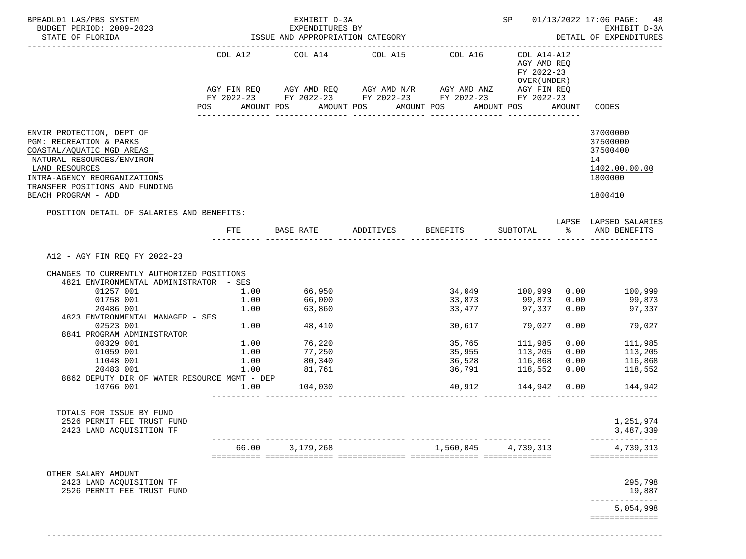| BPEADL01 LAS/PBS SYSTEM<br>BUDGET PERIOD: 2009-2023<br>STATE OF FLORIDA                                                                                                                                                                                                                                                                                    |                                                                     | EXHIBIT D-3A<br>EXPENDITURES BY                                                                |                                                                                                                                                                                                                     |                                                | SP                                                                                                                  |                              | 01/13/2022 17:06 PAGE: 48<br>EXHIBIT D-3A<br>DETAIL OF EXPENDITURES                                                                             |
|------------------------------------------------------------------------------------------------------------------------------------------------------------------------------------------------------------------------------------------------------------------------------------------------------------------------------------------------------------|---------------------------------------------------------------------|------------------------------------------------------------------------------------------------|---------------------------------------------------------------------------------------------------------------------------------------------------------------------------------------------------------------------|------------------------------------------------|---------------------------------------------------------------------------------------------------------------------|------------------------------|-------------------------------------------------------------------------------------------------------------------------------------------------|
|                                                                                                                                                                                                                                                                                                                                                            | <b>POS</b>                                                          | ---------------                                                                                | COL A12 COL A14 COL A15<br>AGY FIN REQ AGY AMD REQ AGY AMD N/R AGY AMD ANZ AGY FIN REQ<br>FY 2022-23 FY 2022-23 FY 2022-23 FY 2022-23 FY 2022-23<br>AMOUNT POS AMOUNT POS AMOUNT POS AMOUNT POS<br>________________ | COL A16<br>_______________                     | COL A14-A12<br>AGY AMD REQ<br>FY 2022-23<br>OVER (UNDER)                                                            | AMOUNT                       | CODES                                                                                                                                           |
| ENVIR PROTECTION, DEPT OF<br>PGM: RECREATION & PARKS<br>COASTAL/AQUATIC MGD AREAS<br>NATURAL RESOURCES/ENVIRON<br>LAND RESOURCES<br>INTRA-AGENCY REORGANIZATIONS<br>TRANSFER POSITIONS AND FUNDING<br>BEACH PROGRAM - ADD                                                                                                                                  |                                                                     |                                                                                                |                                                                                                                                                                                                                     |                                                |                                                                                                                     |                              | 37000000<br>37500000<br>37500400<br>14<br>1402.00.00.00<br>1800000<br>1800410                                                                   |
| POSITION DETAIL OF SALARIES AND BENEFITS:                                                                                                                                                                                                                                                                                                                  | FTE                                                                 | BASE RATE                                                                                      | ADDITIVES                                                                                                                                                                                                           | BENEFITS                                       | SUBTOTAL                                                                                                            |                              | LAPSE LAPSED SALARIES<br>% AND BENEFITS                                                                                                         |
| A12 - AGY FIN REQ FY 2022-23<br>CHANGES TO CURRENTLY AUTHORIZED POSITIONS<br>4821 ENVIRONMENTAL ADMINISTRATOR - SES<br>01257 001<br>01758 001<br>20486 001<br>4823 ENVIRONMENTAL MANAGER - SES<br>02523 001<br>8841 PROGRAM ADMINISTRATOR<br>00329 001<br>01059 001<br>11048 001<br>20483 001<br>8862 DEPUTY DIR OF WATER RESOURCE MGMT - DEP<br>10766 001 | 1.00<br>1.00<br>1.00<br>1.00<br>$1\ldotp00$<br>1.00<br>1.00<br>1.00 | 66,950<br>66,000<br>63,860<br>48,410<br>$1.00$ 76,220<br>77,250<br>80,340<br>81,761<br>104,030 |                                                                                                                                                                                                                     | 33,477<br>30,617<br>35,765<br>35,955<br>36,791 | 34,049 100,999<br>33,873 99,873<br>79,027<br>111,985<br>113,205<br>36,528 116,868<br>36,791 118,552<br>118,552 0.00 | 0.00<br>0.00<br>0.00<br>0.00 | 100,999<br>99,873<br>97,337 0.00 97,337<br>79,027<br>0.00<br>111,985<br>113,205<br>0.00<br>116,868<br>118,552<br>40,912  144,942  0.00  144,942 |
| TOTALS FOR ISSUE BY FUND<br>2526 PERMIT FEE TRUST FUND<br>2423 LAND ACQUISITION TF                                                                                                                                                                                                                                                                         |                                                                     |                                                                                                |                                                                                                                                                                                                                     |                                                |                                                                                                                     |                              | 1,251,974<br>3,487,339                                                                                                                          |
|                                                                                                                                                                                                                                                                                                                                                            | 66.00                                                               | 3,179,268                                                                                      |                                                                                                                                                                                                                     | 1,560,045                                      | 4,739,313                                                                                                           |                              | 4,739,313<br>==============                                                                                                                     |
| OTHER SALARY AMOUNT<br>2423 LAND ACQUISITION TF<br>2526 PERMIT FEE TRUST FUND                                                                                                                                                                                                                                                                              |                                                                     |                                                                                                |                                                                                                                                                                                                                     |                                                |                                                                                                                     |                              | 295,798<br>19,887                                                                                                                               |
|                                                                                                                                                                                                                                                                                                                                                            |                                                                     |                                                                                                |                                                                                                                                                                                                                     |                                                |                                                                                                                     |                              | 5,054,998<br>==============                                                                                                                     |

-------------------------------------------------------------------------------------------------------------------------------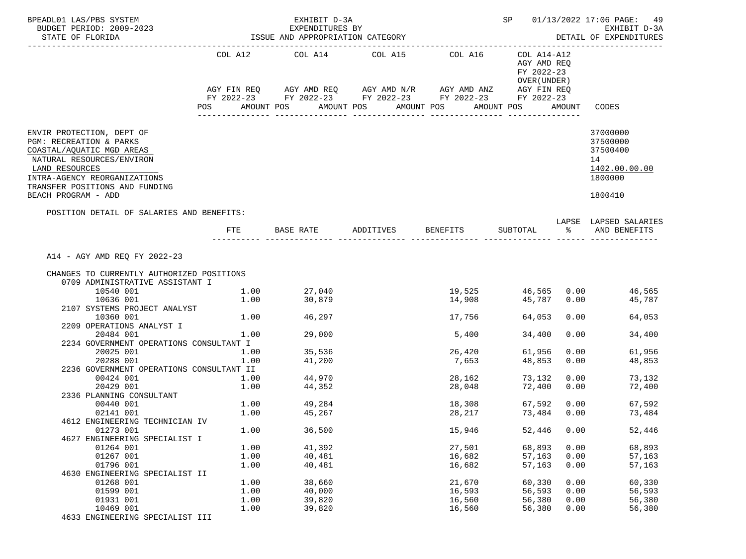| BPEADL01 LAS/PBS SYSTEM<br>BUDGET PERIOD: 2009-2023                                                                                                                                                                       |                                                            | EXHIBIT D-3A<br>EXPENDITURES BY                                                                                                                                        |                       |                                      |                                                                        |                              | SP 01/13/2022 17:06 PAGE: 49<br>EXHIBIT D-3A                                  |  |  |
|---------------------------------------------------------------------------------------------------------------------------------------------------------------------------------------------------------------------------|------------------------------------------------------------|------------------------------------------------------------------------------------------------------------------------------------------------------------------------|-----------------------|--------------------------------------|------------------------------------------------------------------------|------------------------------|-------------------------------------------------------------------------------|--|--|
| STATE OF FLORIDA<br>_______________________                                                                                                                                                                               | ISSUE AND APPROPRIATION CATEGORY<br>DETAIL OF EXPENDITURES |                                                                                                                                                                        |                       |                                      |                                                                        |                              |                                                                               |  |  |
|                                                                                                                                                                                                                           | POS                                                        | COL A12 COL A14 COL A15 COL A16<br>AGY FIN REQ AGY AMD REQ AGY AMD N/R AGY AMD ANZ AGY FIN REQ<br>FY 2022-23 FY 2022-23 FY 2022-23 FY 2022-23 FY 2022-23<br>AMOUNT POS | AMOUNT POS AMOUNT POS |                                      | COL A14-A12<br>AGY AMD REO<br>FY 2022-23<br>OVER (UNDER)<br>AMOUNT POS | AMOUNT                       | CODES                                                                         |  |  |
| ENVIR PROTECTION, DEPT OF<br>PGM: RECREATION & PARKS<br>COASTAL/AQUATIC MGD AREAS<br>NATURAL RESOURCES/ENVIRON<br>LAND RESOURCES<br>INTRA-AGENCY REORGANIZATIONS<br>TRANSFER POSITIONS AND FUNDING<br>BEACH PROGRAM - ADD |                                                            |                                                                                                                                                                        |                       |                                      |                                                                        |                              | 37000000<br>37500000<br>37500400<br>14<br>1402.00.00.00<br>1800000<br>1800410 |  |  |
| POSITION DETAIL OF SALARIES AND BENEFITS:                                                                                                                                                                                 | FTE                                                        | BASE RATE ADDITIVES BENEFITS                                                                                                                                           |                       |                                      |                                                                        |                              | LAPSE LAPSED SALARIES<br>SUBTOTAL % AND BENEFITS                              |  |  |
| A14 - AGY AMD REQ FY 2022-23<br>CHANGES TO CURRENTLY AUTHORIZED POSITIONS<br>0709 ADMINISTRATIVE ASSISTANT I<br>10540 001<br>10636 001                                                                                    | 1.00<br>1.00                                               | 27,040<br>30,879                                                                                                                                                       |                       |                                      | 19,525   46,565   0.00<br>14,908   45,787   0.00                       |                              | 46,565<br>45,787                                                              |  |  |
| 2107 SYSTEMS PROJECT ANALYST<br>10360 001<br>2209 OPERATIONS ANALYST I                                                                                                                                                    |                                                            | 1.00 46,297                                                                                                                                                            |                       | 17,756                               | 64,053                                                                 | 0.00                         | 64,053                                                                        |  |  |
| 20484 001<br>2234 GOVERNMENT OPERATIONS CONSULTANT I                                                                                                                                                                      | 1.00                                                       | 29,000                                                                                                                                                                 |                       | 5,400                                | 34,400                                                                 | 0.00                         | 34,400                                                                        |  |  |
| 20025 001<br>20288 001<br>2236 GOVERNMENT OPERATIONS CONSULTANT II                                                                                                                                                        | $1.00$<br>$1.00$<br>1.00                                   | 35,536<br>41,200                                                                                                                                                       |                       | 26,420<br>7,653                      | 61,956<br>48,853                                                       | 0.00<br>0.00                 | 61,956<br>48,853                                                              |  |  |
| 00424 001<br>20429 001<br>2336 PLANNING CONSULTANT                                                                                                                                                                        | 1.00<br>1.00                                               | 44,970<br>44,352                                                                                                                                                       |                       | 28,162<br>28,048                     | 73,132<br>72,400                                                       | 0.00<br>0.00                 | 73,132<br>72,400                                                              |  |  |
| 00440 001<br>02141 001<br>4612 ENGINEERING TECHNICIAN IV                                                                                                                                                                  | 1.00                                                       | $1.00$ 49,284<br>45,267                                                                                                                                                |                       | 18,308<br>28, 217                    | 67,592<br>73,484 0.00                                                  |                              | 0.00<br>67,592<br>73,484                                                      |  |  |
| 01273 001<br>4627 ENGINEERING SPECIALIST I                                                                                                                                                                                | 1.00                                                       | 36,500                                                                                                                                                                 |                       | 15,946                               | 52,446                                                                 | 0.00                         | 52,446                                                                        |  |  |
| 01264 001<br>01267 001<br>01796 001                                                                                                                                                                                       | 1.00<br>1.00<br>1.00                                       | 41,392<br>40,481<br>40,481                                                                                                                                             |                       | 27,501<br>16,682<br>16,682           | 68,893<br>57,163<br>57,163                                             | 0.00<br>0.00<br>0.00         | 68,893<br>57,163<br>57,163                                                    |  |  |
| 4630 ENGINEERING SPECIALIST II<br>01268 001<br>01599 001<br>01931 001<br>10469 001                                                                                                                                        | 1.00<br>1.00<br>1.00<br>1.00                               | 38,660<br>40,000<br>39,820<br>39,820                                                                                                                                   |                       | 21,670<br>16,593<br>16,560<br>16,560 | 60,330<br>56,593<br>56,380<br>56,380                                   | 0.00<br>0.00<br>0.00<br>0.00 | 60,330<br>56,593<br>56,380<br>56,380                                          |  |  |
| 4633 ENGINEERING SPECIALIST III                                                                                                                                                                                           |                                                            |                                                                                                                                                                        |                       |                                      |                                                                        |                              |                                                                               |  |  |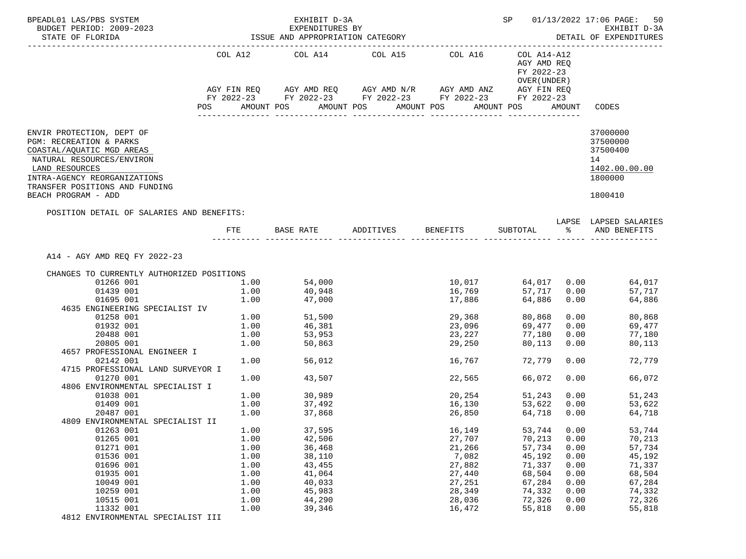| BPEADL01 LAS/PBS SYSTEM<br>BUDGET PERIOD: 2009-2023<br>STATE OF FLORIDA                                                                                                                                                   |      | EXHIBIT D-3A<br>EXPENDITURES BY<br>ISSUE AND APPROPRIATION CATEGORY                                                                                      |                              | SP 01/13/2022 17:06 PAGE:<br>50<br>EXHIBIT D-3A<br>DETAIL OF EXPENDITURES |                                                          |              |                                                                               |
|---------------------------------------------------------------------------------------------------------------------------------------------------------------------------------------------------------------------------|------|----------------------------------------------------------------------------------------------------------------------------------------------------------|------------------------------|---------------------------------------------------------------------------|----------------------------------------------------------|--------------|-------------------------------------------------------------------------------|
|                                                                                                                                                                                                                           |      | COL A12 COL A14 COL A15 COL A16<br>AGY FIN REQ AGY AMD REQ AGY AMD N/R AGY AMD ANZ AGY FIN REQ<br>FY 2022-23 FY 2022-23 FY 2022-23 FY 2022-23 FY 2022-23 |                              |                                                                           | COL A14-A12<br>AGY AMD REQ<br>FY 2022-23<br>OVER (UNDER) |              |                                                                               |
|                                                                                                                                                                                                                           | POS  | AMOUNT POS                                                                                                                                               | AMOUNT POS                   | AMOUNT POS                                                                | AMOUNT POS                                               |              | AMOUNT CODES                                                                  |
| ENVIR PROTECTION, DEPT OF<br>PGM: RECREATION & PARKS<br>COASTAL/AQUATIC MGD AREAS<br>NATURAL RESOURCES/ENVIRON<br>LAND RESOURCES<br>INTRA-AGENCY REORGANIZATIONS<br>TRANSFER POSITIONS AND FUNDING<br>BEACH PROGRAM - ADD |      |                                                                                                                                                          |                              |                                                                           |                                                          |              | 37000000<br>37500000<br>37500400<br>14<br>1402.00.00.00<br>1800000<br>1800410 |
| POSITION DETAIL OF SALARIES AND BENEFITS:                                                                                                                                                                                 |      |                                                                                                                                                          |                              |                                                                           |                                                          |              | LAPSE LAPSED SALARIES                                                         |
|                                                                                                                                                                                                                           | FTE  |                                                                                                                                                          | BASE RATE ADDITIVES BENEFITS |                                                                           |                                                          |              | SUBTOTAL % AND BENEFITS                                                       |
| A14 - AGY AMD REQ FY 2022-23<br>CHANGES TO CURRENTLY AUTHORIZED POSITIONS                                                                                                                                                 |      |                                                                                                                                                          |                              |                                                                           |                                                          |              |                                                                               |
| 01266 001                                                                                                                                                                                                                 |      | $1.00$ 54,000                                                                                                                                            |                              |                                                                           |                                                          |              | $10,017$ 64,017 0.00 64,017                                                   |
| 01439 001                                                                                                                                                                                                                 | 1.00 | 40,948                                                                                                                                                   |                              | 16,769                                                                    | 57,717                                                   | 0.00         | 57,717                                                                        |
| 01695 001                                                                                                                                                                                                                 | 1.00 | 47,000                                                                                                                                                   |                              | 17,886                                                                    | 64,886                                                   |              | 0.00<br>64,886                                                                |
| 4635 ENGINEERING SPECIALIST IV                                                                                                                                                                                            |      |                                                                                                                                                          |                              |                                                                           |                                                          |              |                                                                               |
| 01258 001                                                                                                                                                                                                                 |      | $1.00$ $51,500$                                                                                                                                          |                              | 29,368                                                                    | 80,868                                                   |              | 0.00<br>80,868                                                                |
| 01932 001                                                                                                                                                                                                                 | 1.00 | 46,381                                                                                                                                                   |                              | 23,096                                                                    | 69,477                                                   | 0.00         | 69,477                                                                        |
| 20488 001                                                                                                                                                                                                                 | 1.00 | 53,953<br>50,863                                                                                                                                         |                              | 23,227<br>29,250                                                          | 77,180                                                   | 0.00         | 77,180                                                                        |
| 20805 001                                                                                                                                                                                                                 | 1.00 |                                                                                                                                                          |                              |                                                                           | 80,113                                                   | 0.00         | 80,113                                                                        |
| 4657 PROFESSIONAL ENGINEER I                                                                                                                                                                                              |      |                                                                                                                                                          |                              |                                                                           |                                                          |              |                                                                               |
| 02142 001                                                                                                                                                                                                                 | 1.00 | 56,012                                                                                                                                                   |                              | 16,767                                                                    | 72,779                                                   | 0.00         | 72,779                                                                        |
| 4715 PROFESSIONAL LAND SURVEYOR I                                                                                                                                                                                         |      |                                                                                                                                                          |                              |                                                                           |                                                          |              |                                                                               |
| 01270 001                                                                                                                                                                                                                 | 1.00 | 43,507                                                                                                                                                   |                              | 22,565                                                                    | 66,072                                                   | 0.00         | 66,072                                                                        |
| 4806 ENVIRONMENTAL SPECIALIST I                                                                                                                                                                                           |      |                                                                                                                                                          |                              |                                                                           |                                                          |              |                                                                               |
| 01038 001<br>01409 001                                                                                                                                                                                                    | 1.00 | 1.00 30,989<br>37,492                                                                                                                                    |                              | 20,254<br>16,130                                                          | 51,243<br>53,622                                         |              | 0.00<br>51,243                                                                |
| 20487 001                                                                                                                                                                                                                 | 1.00 | 37,868                                                                                                                                                   |                              | 26,850                                                                    | 64,718                                                   | 0.00<br>0.00 | 53,622<br>64,718                                                              |
| 4809 ENVIRONMENTAL SPECIALIST II                                                                                                                                                                                          |      |                                                                                                                                                          |                              |                                                                           |                                                          |              |                                                                               |
| 01263 001                                                                                                                                                                                                                 | 1.00 | 37,595                                                                                                                                                   |                              | 16,149                                                                    | 53,744                                                   | 0.00         | 53,744                                                                        |
| 01265 001                                                                                                                                                                                                                 | 1.00 | 42,506                                                                                                                                                   |                              | 27,707                                                                    | 70,213                                                   | 0.00         | 70,213                                                                        |
| 01271 001                                                                                                                                                                                                                 | 1.00 | 36,468                                                                                                                                                   |                              | 21,266                                                                    | 57,734                                                   | 0.00         | 57,734                                                                        |
| 01536 001                                                                                                                                                                                                                 | 1.00 | 38,110                                                                                                                                                   |                              | 7,082                                                                     | 45,192                                                   | 0.00         | 45,192                                                                        |
| 01696 001                                                                                                                                                                                                                 | 1.00 | 43,455                                                                                                                                                   |                              | 27,882                                                                    | 71,337                                                   | 0.00         | 71,337                                                                        |
| 01935 001                                                                                                                                                                                                                 | 1.00 | 41,064                                                                                                                                                   |                              | 27,440                                                                    | 68,504                                                   | 0.00         | 68,504                                                                        |
| 10049 001                                                                                                                                                                                                                 | 1.00 | 40,033                                                                                                                                                   |                              | 27,251                                                                    | 67,284                                                   | 0.00         | 67,284                                                                        |
| 10259 001                                                                                                                                                                                                                 | 1.00 | 45,983                                                                                                                                                   |                              | 28,349                                                                    | 74,332                                                   | 0.00         | 74,332                                                                        |
| 10515 001                                                                                                                                                                                                                 | 1.00 | 44,290                                                                                                                                                   |                              | 28,036                                                                    | 72,326                                                   | 0.00         | 72,326                                                                        |
| 11332 001                                                                                                                                                                                                                 | 1.00 | 39,346                                                                                                                                                   |                              | 16,472                                                                    | 55,818                                                   | 0.00         | 55,818                                                                        |
| 4812 ENVIRONMENTAL SPECIALIST III                                                                                                                                                                                         |      |                                                                                                                                                          |                              |                                                                           |                                                          |              |                                                                               |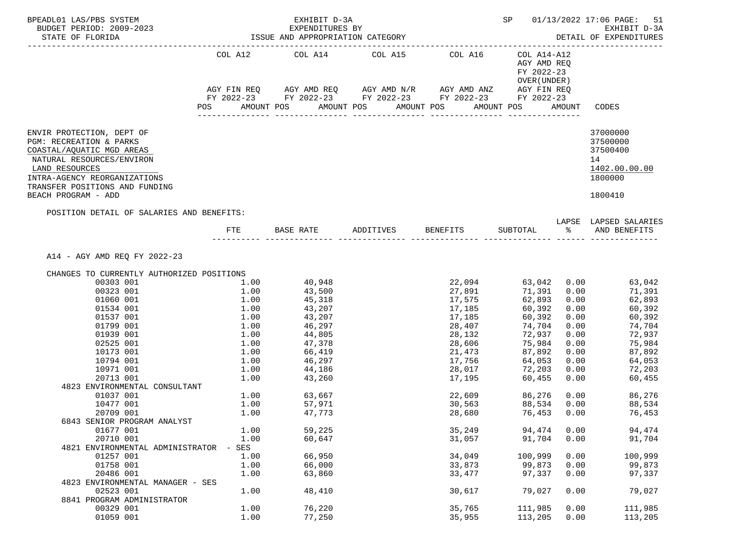| BPEADL01 LAS/PBS SYSTEM<br>BUDGET PERIOD: 2009-2023<br>STATE OF FLORIDA<br>----------------------                                                                                                                         |            | EXHIBIT D-3A<br>EXPENDITURES BY<br>ISSUE AND APPROPRIATION CATEGORY |                                                                                                | <b>SP</b>                  |                                                           | 01/13/2022 17:06 PAGE: 51<br>EXHIBIT D-3A<br>DETAIL OF EXPENDITURES |                                                                               |
|---------------------------------------------------------------------------------------------------------------------------------------------------------------------------------------------------------------------------|------------|---------------------------------------------------------------------|------------------------------------------------------------------------------------------------|----------------------------|-----------------------------------------------------------|---------------------------------------------------------------------|-------------------------------------------------------------------------------|
|                                                                                                                                                                                                                           |            |                                                                     | COL A12 COL A14 COL A15 COL A16<br>AGY FIN REQ AGY AMD REQ AGY AMD N/R AGY AMD ANZ AGY FIN REQ |                            | COL A14-A12<br>AGY AMD REO<br>FY 2022-23<br>OVER (UNDER ) |                                                                     |                                                                               |
|                                                                                                                                                                                                                           |            |                                                                     | FY 2022-23 FY 2022-23 FY 2022-23 FY 2022-23 FY 2022-23                                         |                            |                                                           |                                                                     |                                                                               |
|                                                                                                                                                                                                                           | <b>POS</b> | AMOUNT POS                                                          | AMOUNT POS AMOUNT POS                                                                          |                            | AMOUNT POS                                                |                                                                     | AMOUNT CODES                                                                  |
| ENVIR PROTECTION, DEPT OF<br>PGM: RECREATION & PARKS<br>COASTAL/AQUATIC MGD AREAS<br>NATURAL RESOURCES/ENVIRON<br>LAND RESOURCES<br>INTRA-AGENCY REORGANIZATIONS<br>TRANSFER POSITIONS AND FUNDING<br>BEACH PROGRAM - ADD |            |                                                                     |                                                                                                |                            |                                                           |                                                                     | 37000000<br>37500000<br>37500400<br>14<br>1402.00.00.00<br>1800000<br>1800410 |
| POSITION DETAIL OF SALARIES AND BENEFITS:                                                                                                                                                                                 |            |                                                                     |                                                                                                |                            |                                                           |                                                                     |                                                                               |
|                                                                                                                                                                                                                           |            |                                                                     | FTE BASE RATE ADDITIVES BENEFITS SUBTOTAL $\text{\$}$ and benefits                             |                            |                                                           |                                                                     | LAPSE LAPSED SALARIES                                                         |
| A14 - AGY AMD REO FY 2022-23                                                                                                                                                                                              |            |                                                                     |                                                                                                |                            |                                                           |                                                                     |                                                                               |
| CHANGES TO CURRENTLY AUTHORIZED POSITIONS                                                                                                                                                                                 |            |                                                                     |                                                                                                |                            |                                                           |                                                                     |                                                                               |
| 00303 001                                                                                                                                                                                                                 | 1.00       | 40,948                                                              |                                                                                                | 22,094                     |                                                           |                                                                     | 63,042 0.00 63,042                                                            |
| 00323 001                                                                                                                                                                                                                 | 1.00       | 43,500                                                              |                                                                                                | 27,891                     | 71,391 0.00                                               |                                                                     | 71,391                                                                        |
| 01060 001                                                                                                                                                                                                                 | 1.00       | 45,318                                                              |                                                                                                | 17,575                     | 62,893                                                    | 0.00                                                                | 62,893                                                                        |
| 01534 001                                                                                                                                                                                                                 |            | $1.00$ $43,207$<br>$1.00$ $43,207$                                  |                                                                                                | 17,185<br>17,185           | 60,392                                                    |                                                                     | 0.00<br>60,392                                                                |
| 01537 001                                                                                                                                                                                                                 |            |                                                                     |                                                                                                |                            | 60,392                                                    | 0.00                                                                | 60,392                                                                        |
| 01799 001                                                                                                                                                                                                                 | 1.00       | 46,297<br>44,805                                                    |                                                                                                | 28,407                     | 74,704                                                    | 0.00                                                                | 74,704                                                                        |
| 01939 001                                                                                                                                                                                                                 | 1.00       |                                                                     |                                                                                                | 28,132                     | 72,937                                                    | 0.00                                                                | 72,937                                                                        |
| 02525 001                                                                                                                                                                                                                 |            | $1.00$ $47,378$                                                     |                                                                                                | 28,606                     | 75,984                                                    | 0.00                                                                | 75,984                                                                        |
| 10173 001                                                                                                                                                                                                                 |            | 1.00 66,419<br>1.00 46,297                                          |                                                                                                | 21,473                     | 87,892                                                    | 0.00                                                                | 87,892                                                                        |
| 10794 001                                                                                                                                                                                                                 |            | 1.00 44,186                                                         |                                                                                                | 17,756<br>28,017           | 64,053                                                    | 0.00                                                                | 64,053<br>72,203                                                              |
| 10971 001<br>20713 001                                                                                                                                                                                                    | 1.00       | 43,260                                                              |                                                                                                | 17,195                     | 72,203<br>60,455                                          | 0.00<br>0.00                                                        | 60,455                                                                        |
| 4823 ENVIRONMENTAL CONSULTANT                                                                                                                                                                                             |            |                                                                     |                                                                                                |                            |                                                           |                                                                     |                                                                               |
| 01037 001                                                                                                                                                                                                                 |            |                                                                     |                                                                                                |                            | 86,276 0.00                                               |                                                                     | 86,276                                                                        |
| 10477 001                                                                                                                                                                                                                 |            | 1.00 63,667<br>1.00 57,971                                          |                                                                                                | 22,609<br>30.563<br>30,563 | 88,534 0.00                                               |                                                                     | 88,534                                                                        |
| 20709 001                                                                                                                                                                                                                 | 1.00       | 47,773                                                              |                                                                                                | 28,680                     | 76,453 0.00                                               |                                                                     | 76,453                                                                        |
| 6843 SENIOR PROGRAM ANALYST                                                                                                                                                                                               |            |                                                                     |                                                                                                |                            |                                                           |                                                                     |                                                                               |
| 01677 001                                                                                                                                                                                                                 | 1.00       | 59,225                                                              |                                                                                                | 35,249                     | 94,474                                                    | 0.00                                                                | 94,474                                                                        |
| 20710 001                                                                                                                                                                                                                 | 1.00       | 60,647                                                              |                                                                                                | 31,057                     | 91,704                                                    | 0.00                                                                | 91,704                                                                        |
| 4821 ENVIRONMENTAL ADMINISTRATOR                                                                                                                                                                                          | SES        |                                                                     |                                                                                                |                            |                                                           |                                                                     |                                                                               |
| 01257 001                                                                                                                                                                                                                 | 1.00       | 66,950                                                              |                                                                                                | 34,049                     | 100,999                                                   | 0.00                                                                | 100,999                                                                       |
| 01758 001                                                                                                                                                                                                                 | 1.00       | 66,000                                                              |                                                                                                | 33,873                     | 99,873                                                    | 0.00                                                                | 99,873                                                                        |
| 20486 001                                                                                                                                                                                                                 | 1.00       | 63,860                                                              |                                                                                                | 33,477                     | 97,337                                                    | 0.00                                                                | 97,337                                                                        |
| 4823 ENVIRONMENTAL MANAGER - SES                                                                                                                                                                                          |            |                                                                     |                                                                                                |                            |                                                           |                                                                     |                                                                               |
| 02523 001                                                                                                                                                                                                                 | 1.00       | 48,410                                                              |                                                                                                | 30,617                     | 79,027                                                    | 0.00                                                                | 79,027                                                                        |
| 8841 PROGRAM ADMINISTRATOR                                                                                                                                                                                                |            |                                                                     |                                                                                                |                            |                                                           |                                                                     |                                                                               |
| 00329 001                                                                                                                                                                                                                 | 1.00       | 76,220                                                              |                                                                                                | 35,765                     | 111,985                                                   | 0.00                                                                | 111,985                                                                       |
| 01059 001                                                                                                                                                                                                                 | 1.00       | 77,250                                                              |                                                                                                | 35,955                     | 113,205                                                   | 0.00                                                                | 113,205                                                                       |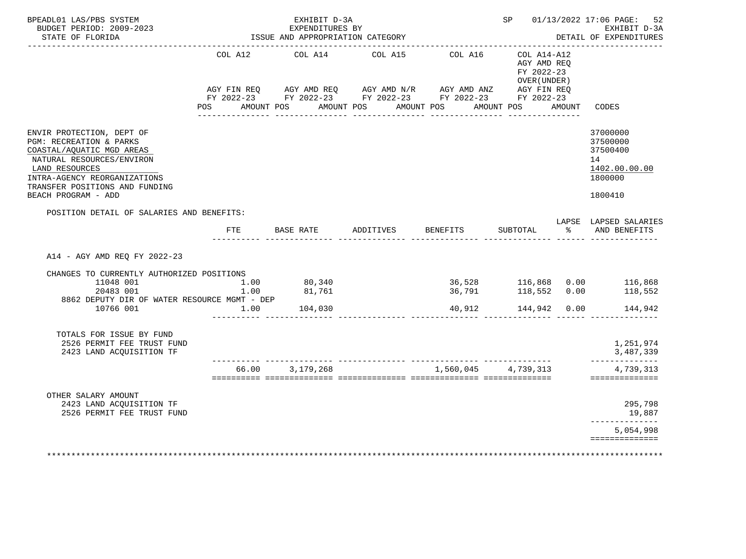|            | EXPENDITURES BY                                                                        |                                                                                                                          |                                                                                                                            |          | EXHIBIT D-3A<br>DETAIL OF EXPENDITURES                                                                |                                                                                                                                                                                                                                                                                                                                                                                                                                                                                                                                                                                                                                                                                                                    |
|------------|----------------------------------------------------------------------------------------|--------------------------------------------------------------------------------------------------------------------------|----------------------------------------------------------------------------------------------------------------------------|----------|-------------------------------------------------------------------------------------------------------|--------------------------------------------------------------------------------------------------------------------------------------------------------------------------------------------------------------------------------------------------------------------------------------------------------------------------------------------------------------------------------------------------------------------------------------------------------------------------------------------------------------------------------------------------------------------------------------------------------------------------------------------------------------------------------------------------------------------|
| COL A12    |                                                                                        | COL A15                                                                                                                  | COL A16                                                                                                                    |          |                                                                                                       |                                                                                                                                                                                                                                                                                                                                                                                                                                                                                                                                                                                                                                                                                                                    |
|            |                                                                                        |                                                                                                                          |                                                                                                                            |          |                                                                                                       | CODES                                                                                                                                                                                                                                                                                                                                                                                                                                                                                                                                                                                                                                                                                                              |
|            |                                                                                        |                                                                                                                          |                                                                                                                            |          |                                                                                                       | 37000000                                                                                                                                                                                                                                                                                                                                                                                                                                                                                                                                                                                                                                                                                                           |
|            |                                                                                        |                                                                                                                          |                                                                                                                            |          |                                                                                                       | 37500000<br>37500400<br>14<br>1402.00.00.00                                                                                                                                                                                                                                                                                                                                                                                                                                                                                                                                                                                                                                                                        |
|            |                                                                                        |                                                                                                                          |                                                                                                                            |          |                                                                                                       | 1800000<br>1800410                                                                                                                                                                                                                                                                                                                                                                                                                                                                                                                                                                                                                                                                                                 |
|            |                                                                                        |                                                                                                                          |                                                                                                                            |          |                                                                                                       |                                                                                                                                                                                                                                                                                                                                                                                                                                                                                                                                                                                                                                                                                                                    |
| <b>FTE</b> |                                                                                        |                                                                                                                          |                                                                                                                            |          |                                                                                                       | LAPSE LAPSED SALARIES<br>% AND BENEFITS                                                                                                                                                                                                                                                                                                                                                                                                                                                                                                                                                                                                                                                                            |
|            |                                                                                        |                                                                                                                          |                                                                                                                            |          |                                                                                                       |                                                                                                                                                                                                                                                                                                                                                                                                                                                                                                                                                                                                                                                                                                                    |
|            |                                                                                        |                                                                                                                          |                                                                                                                            |          |                                                                                                       |                                                                                                                                                                                                                                                                                                                                                                                                                                                                                                                                                                                                                                                                                                                    |
|            | 104,030                                                                                |                                                                                                                          |                                                                                                                            |          |                                                                                                       | 144,942                                                                                                                                                                                                                                                                                                                                                                                                                                                                                                                                                                                                                                                                                                            |
|            |                                                                                        |                                                                                                                          |                                                                                                                            |          |                                                                                                       |                                                                                                                                                                                                                                                                                                                                                                                                                                                                                                                                                                                                                                                                                                                    |
|            |                                                                                        |                                                                                                                          |                                                                                                                            |          |                                                                                                       | 1,251,974<br>3,487,339<br>--------------                                                                                                                                                                                                                                                                                                                                                                                                                                                                                                                                                                                                                                                                           |
|            |                                                                                        |                                                                                                                          |                                                                                                                            |          |                                                                                                       | 4,739,313<br>==============                                                                                                                                                                                                                                                                                                                                                                                                                                                                                                                                                                                                                                                                                        |
|            |                                                                                        |                                                                                                                          |                                                                                                                            |          |                                                                                                       |                                                                                                                                                                                                                                                                                                                                                                                                                                                                                                                                                                                                                                                                                                                    |
|            |                                                                                        |                                                                                                                          |                                                                                                                            |          |                                                                                                       | 295,798<br>19,887<br>--------------                                                                                                                                                                                                                                                                                                                                                                                                                                                                                                                                                                                                                                                                                |
|            |                                                                                        |                                                                                                                          |                                                                                                                            |          |                                                                                                       | 5,054,998<br>==============                                                                                                                                                                                                                                                                                                                                                                                                                                                                                                                                                                                                                                                                                        |
|            | POSITION DETAIL OF SALARIES AND BENEFITS:<br>CHANGES TO CURRENTLY AUTHORIZED POSITIONS | BASE RATE<br>1.00<br>80,340<br>81,761<br>1.00<br>8862 DEPUTY DIR OF WATER RESOURCE MGMT - DEP<br>1.00<br>66.00 3,179,268 | ISSUE AND APPROPRIATION CATEGORY<br>---------------------------------<br>COL A14<br>POS AMOUNT POS AMOUNT POS<br>ADDITIVES | BENEFITS | ---------------------------<br>AMOUNT POS AMOUNT POS<br>SUBTOTAL<br>40,912<br><u>uuuuuuuuuuuu uuu</u> | $COL A14- A12$<br>AGY AMD REQ<br>FY 2022-23<br>OVER (UNDER)<br>$\verb AGY FIN REQ  \qquad \verb AGY AMD REQ  \qquad \verb AGY AMD N/R  \qquad \verb AGY AMD ANZ  \qquad \verb AGY FIN REQ  \qquad \verb AGY AMD ANZ  \qquad \verb AGY FIN REQ  \qquad \verb AGY AMD ANZ  \qquad \verb AGY EN REQ  \qquad \verb AGY AMD ANZ  \qquad \verb AGY EN REQ  \qquad \verb AGY AMD ANZ  \qquad \verb AGY EN REQ  \qquad \verb AdS: ASSMID: \qquad \verb AdS: ASSMID: \qquad \verb AdS: ASSMID: \qquad \verb AdS: ASSMID: \qquad \$<br>FY 2022-23 FY 2022-23 FY 2022-23 FY 2022-23 FY 2022-23<br>AMOUNT<br>36,528 116,868 0.00 116,868<br>36,791 118,552 0.00 118,552<br>118,552 0.00<br>144,942 0.00<br>1,560,045 4,739,313 |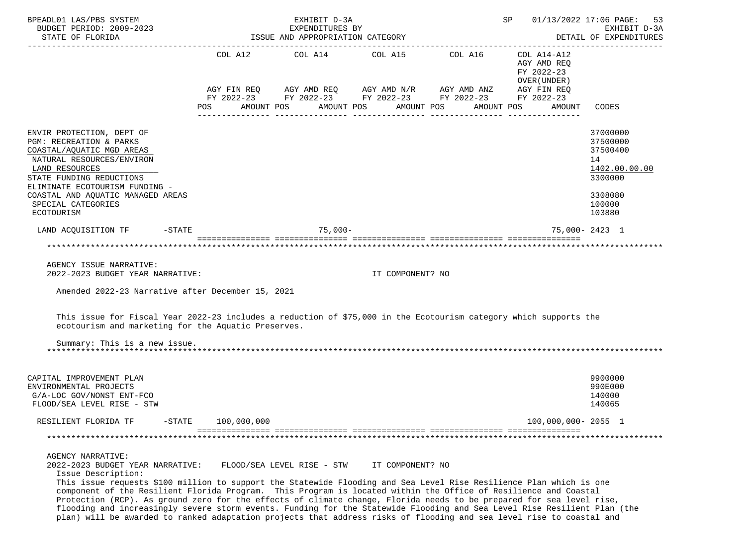| BPEADL01 LAS/PBS SYSTEM                                                                                                                                                                                                                          |           |     |             |            | EXHIBIT D-3A                                                                                                          |            |                  |            |            | SP |                                      | 01/13/2022 17:06 PAGE: 53                                                     |
|--------------------------------------------------------------------------------------------------------------------------------------------------------------------------------------------------------------------------------------------------|-----------|-----|-------------|------------|-----------------------------------------------------------------------------------------------------------------------|------------|------------------|------------|------------|----|--------------------------------------|-------------------------------------------------------------------------------|
| BUDGET PERIOD: 2009-2023<br>STATE OF FLORIDA                                                                                                                                                                                                     |           |     |             |            | EXPENDITURES BY<br>ISSUE AND APPROPRIATION CATEGORY                                                                   |            |                  |            |            |    |                                      | EXHIBIT D-3A<br>DETAIL OF EXPENDITURES                                        |
| --------------------------------------                                                                                                                                                                                                           |           |     |             |            | COL A12 COL A14 COL A15 COL A16                                                                                       |            |                  |            |            |    | COL A14-A12<br>AGY AMD REO           | ---------------                                                               |
|                                                                                                                                                                                                                                                  |           | POS |             | AMOUNT POS | AGY FIN REQ AGY AMD REQ AGY AMD N/R AGY AMD ANZ AGY FIN REQ<br>FY 2022-23 FY 2022-23 FY 2022-23 FY 2022-23 FY 2022-23 | AMOUNT POS |                  | AMOUNT POS | AMOUNT POS |    | FY 2022-23<br>OVER (UNDER)<br>AMOUNT | CODES                                                                         |
|                                                                                                                                                                                                                                                  |           |     |             |            |                                                                                                                       |            |                  |            |            |    |                                      |                                                                               |
| ENVIR PROTECTION, DEPT OF<br>PGM: RECREATION & PARKS<br>COASTAL/AQUATIC MGD AREAS<br>NATURAL RESOURCES/ENVIRON<br>LAND RESOURCES<br>STATE FUNDING REDUCTIONS<br>ELIMINATE ECOTOURISM FUNDING -<br>COASTAL AND AQUATIC MANAGED AREAS              |           |     |             |            |                                                                                                                       |            |                  |            |            |    |                                      | 37000000<br>37500000<br>37500400<br>14<br>1402.00.00.00<br>3300000<br>3308080 |
| SPECIAL CATEGORIES<br>ECOTOURISM                                                                                                                                                                                                                 |           |     |             |            |                                                                                                                       |            |                  |            |            |    |                                      | 100000<br>103880                                                              |
| LAND ACOUISITION TF -STATE                                                                                                                                                                                                                       |           |     |             |            | $75.000 -$                                                                                                            |            |                  |            |            |    |                                      | 75,000-2423 1                                                                 |
| ************************************                                                                                                                                                                                                             |           |     |             |            |                                                                                                                       |            |                  |            |            |    |                                      | ***********************************                                           |
| AGENCY ISSUE NARRATIVE:                                                                                                                                                                                                                          |           |     |             |            |                                                                                                                       |            |                  |            |            |    |                                      |                                                                               |
| 2022-2023 BUDGET YEAR NARRATIVE:                                                                                                                                                                                                                 |           |     |             |            |                                                                                                                       |            | IT COMPONENT? NO |            |            |    |                                      |                                                                               |
| Amended 2022-23 Narrative after December 15, 2021                                                                                                                                                                                                |           |     |             |            |                                                                                                                       |            |                  |            |            |    |                                      |                                                                               |
|                                                                                                                                                                                                                                                  |           |     |             |            |                                                                                                                       |            |                  |            |            |    |                                      |                                                                               |
| This issue for Fiscal Year 2022-23 includes a reduction of \$75,000 in the Ecotourism category which supports the<br>ecotourism and marketing for the Aquatic Preserves.                                                                         |           |     |             |            |                                                                                                                       |            |                  |            |            |    |                                      |                                                                               |
| Summary: This is a new issue.                                                                                                                                                                                                                    |           |     |             |            |                                                                                                                       |            |                  |            |            |    |                                      |                                                                               |
| CAPITAL IMPROVEMENT PLAN<br>ENVIRONMENTAL PROJECTS<br>G/A-LOC GOV/NONST ENT-FCO<br>FLOOD/SEA LEVEL RISE - STW                                                                                                                                    |           |     |             |            |                                                                                                                       |            |                  |            |            |    |                                      | 9900000<br>990E000<br>140000<br>140065                                        |
| RESILIENT FLORIDA TF                                                                                                                                                                                                                             | $-$ STATE |     | 100,000,000 |            |                                                                                                                       |            |                  |            |            |    | 100,000,000-2055 1                   |                                                                               |
|                                                                                                                                                                                                                                                  |           |     |             |            |                                                                                                                       |            |                  |            |            |    |                                      |                                                                               |
| AGENCY NARRATIVE:                                                                                                                                                                                                                                |           |     |             |            |                                                                                                                       |            |                  |            |            |    |                                      |                                                                               |
| 2022-2023 BUDGET YEAR NARRATIVE:                                                                                                                                                                                                                 |           |     |             |            | FLOOD/SEA LEVEL RISE - STW                                                                                            |            | IT COMPONENT? NO |            |            |    |                                      |                                                                               |
| Issue Description:<br>This issue requests \$100 million to support the Statewide Flooding and Sea Level Rise Resilience Plan which is one                                                                                                        |           |     |             |            |                                                                                                                       |            |                  |            |            |    |                                      |                                                                               |
| component of the Resilient Florida Program. This Program is located within the Office of Resilience and Coastal                                                                                                                                  |           |     |             |            |                                                                                                                       |            |                  |            |            |    |                                      |                                                                               |
| Protection (RCP). As ground zero for the effects of climate change, Florida needs to be prepared for sea level rise,<br>flooding and increasingly severe storm events. Funding for the Statewide Flooding and Sea Level Rise Resilient Plan (the |           |     |             |            |                                                                                                                       |            |                  |            |            |    |                                      |                                                                               |
| plan) will be awarded to ranked adaptation projects that address risks of flooding and sea level rise to coastal and                                                                                                                             |           |     |             |            |                                                                                                                       |            |                  |            |            |    |                                      |                                                                               |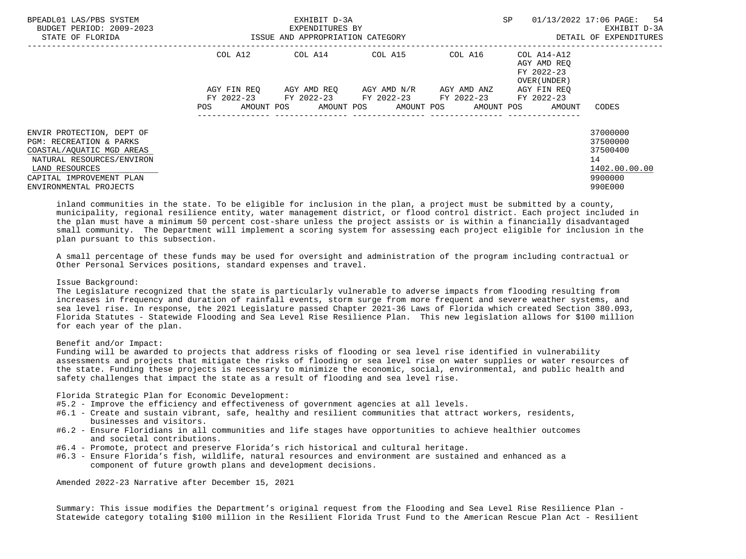| BPEADL01 LAS/PBS SYSTEM<br>BUDGET PERIOD: 2009-2023<br>STATE OF FLORIDA  | ISSUE AND APPROPRIATION CATEGORY | EXHIBIT D-3A<br>EXPENDITURES BY                        | SP                    |             | 01/13/2022 17:06 PAGE: 54<br>EXHIBIT D-3A<br>DETAIL OF EXPENDITURES |                                 |
|--------------------------------------------------------------------------|----------------------------------|--------------------------------------------------------|-----------------------|-------------|---------------------------------------------------------------------|---------------------------------|
|                                                                          | COL A12                          | COL A14 COL A15                                        |                       |             | COL A16 COL A14-A12<br>AGY AMD REO<br>FY 2022-23<br>OVER (UNDER)    |                                 |
|                                                                          | AGY FIN REO                      | AGY AMD REO AGY AMD N/R                                |                       | AGY AMD ANZ | AGY FIN REO                                                         |                                 |
|                                                                          | AMOUNT POS<br>POS.               | FY 2022-23 FY 2022-23 FY 2022-23 FY 2022-23 FY 2022-23 | AMOUNT POS AMOUNT POS | AMOUNT POS  | AMOUNT                                                              | CODES                           |
| ENVIR PROTECTION, DEPT OF<br><b>PGM: RECREATION &amp; PARKS</b>          |                                  |                                                        |                       |             |                                                                     | 37000000<br>37500000            |
| COASTAL/AOUATIC MGD AREAS<br>NATURAL RESOURCES/ENVIRON<br>LAND RESOURCES |                                  |                                                        |                       |             |                                                                     | 37500400<br>14<br>1402.00.00.00 |
| CAPITAL IMPROVEMENT PLAN<br>ENVIRONMENTAL PROJECTS                       |                                  |                                                        |                       |             |                                                                     | 9900000<br>990E000              |

 inland communities in the state. To be eligible for inclusion in the plan, a project must be submitted by a county, municipality, regional resilience entity, water management district, or flood control district. Each project included in the plan must have a minimum 50 percent cost-share unless the project assists or is within a financially disadvantaged small community. The Department will implement a scoring system for assessing each project eligible for inclusion in the plan pursuant to this subsection.

 A small percentage of these funds may be used for oversight and administration of the program including contractual or Other Personal Services positions, standard expenses and travel.

### Issue Background:

 The Legislature recognized that the state is particularly vulnerable to adverse impacts from flooding resulting from increases in frequency and duration of rainfall events, storm surge from more frequent and severe weather systems, and sea level rise. In response, the 2021 Legislature passed Chapter 2021-36 Laws of Florida which created Section 380.093, Florida Statutes - Statewide Flooding and Sea Level Rise Resilience Plan. This new legislation allows for \$100 million for each year of the plan.

## Benefit and/or Impact:

 Funding will be awarded to projects that address risks of flooding or sea level rise identified in vulnerability assessments and projects that mitigate the risks of flooding or sea level rise on water supplies or water resources of the state. Funding these projects is necessary to minimize the economic, social, environmental, and public health and safety challenges that impact the state as a result of flooding and sea level rise.

Florida Strategic Plan for Economic Development:

- #5.2 Improve the efficiency and effectiveness of government agencies at all levels.
- #6.1 Create and sustain vibrant, safe, healthy and resilient communities that attract workers, residents, businesses and visitors.
- #6.2 Ensure Floridians in all communities and life stages have opportunities to achieve healthier outcomes and societal contributions.
- #6.4 Promote, protect and preserve Florida's rich historical and cultural heritage.
- #6.3 Ensure Florida's fish, wildlife, natural resources and environment are sustained and enhanced as a component of future growth plans and development decisions.

Amended 2022-23 Narrative after December 15, 2021

 Summary: This issue modifies the Department's original request from the Flooding and Sea Level Rise Resilience Plan - Statewide category totaling \$100 million in the Resilient Florida Trust Fund to the American Rescue Plan Act - Resilient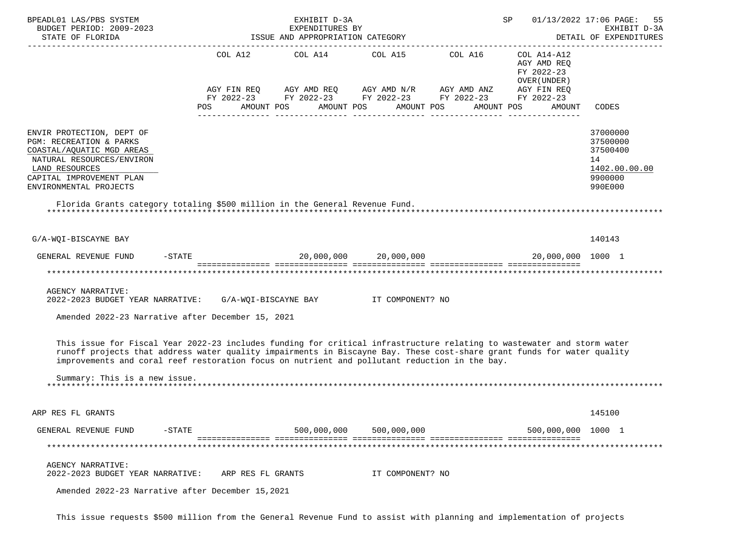| BPEADL01 LAS/PBS SYSTEM<br>BUDGET PERIOD: 2009-2023<br>STATE OF FLORIDA                                                                                                                                                                                                                                                                           |                          | EXHIBIT D-3A<br>EXPENDITURES BY<br>ISSUE AND APPROPRIATION CATEGORY |                                                                                                                                                                                                  |            | SP 01/13/2022 17:06 PAGE:                           | 55<br>EXHIBIT D-3A<br>DETAIL OF EXPENDITURES                                  |
|---------------------------------------------------------------------------------------------------------------------------------------------------------------------------------------------------------------------------------------------------------------------------------------------------------------------------------------------------|--------------------------|---------------------------------------------------------------------|--------------------------------------------------------------------------------------------------------------------------------------------------------------------------------------------------|------------|-----------------------------------------------------|-------------------------------------------------------------------------------|
|                                                                                                                                                                                                                                                                                                                                                   | <b>POS</b><br>AMOUNT POS |                                                                     | COL A12 COL A14 COL A15 COL A16 COL A14-A12<br>AGY FIN REQ AGY AMD REQ AGY AMD N/R AGY AMD ANZ AGY FIN REQ<br>FY 2022-23 FY 2022-23 FY 2022-23 FY 2022-23 FY 2022-23<br>AMOUNT POS<br>AMOUNT POS | AMOUNT POS | AGY AMD REQ<br>FY 2022-23<br>OVER (UNDER)<br>AMOUNT | CODES                                                                         |
| ENVIR PROTECTION, DEPT OF<br>PGM: RECREATION & PARKS<br>COASTAL/AQUATIC MGD AREAS<br>NATURAL RESOURCES/ENVIRON<br>LAND RESOURCES<br>CAPITAL IMPROVEMENT PLAN<br>ENVIRONMENTAL PROJECTS<br>Florida Grants category totaling \$500 million in the General Revenue Fund.                                                                             |                          |                                                                     |                                                                                                                                                                                                  |            |                                                     | 37000000<br>37500000<br>37500400<br>14<br>1402.00.00.00<br>9900000<br>990E000 |
| G/A-WQI-BISCAYNE BAY                                                                                                                                                                                                                                                                                                                              |                          |                                                                     |                                                                                                                                                                                                  |            |                                                     | 140143                                                                        |
| GENERAL REVENUE FUND -STATE $20,000,000$ $20,000,000$ $20,000,000$ $20,000,000$ $20,000,000$ $1000$ $1$                                                                                                                                                                                                                                           |                          |                                                                     |                                                                                                                                                                                                  |            |                                                     |                                                                               |
|                                                                                                                                                                                                                                                                                                                                                   |                          |                                                                     |                                                                                                                                                                                                  |            |                                                     |                                                                               |
| <b>AGENCY NARRATIVE:</b><br>2022-2023 BUDGET YEAR NARRATIVE: G/A-WQI-BISCAYNE BAY IT COMPONENT? NO<br>Amended 2022-23 Narrative after December 15, 2021                                                                                                                                                                                           |                          |                                                                     |                                                                                                                                                                                                  |            |                                                     |                                                                               |
|                                                                                                                                                                                                                                                                                                                                                   |                          |                                                                     |                                                                                                                                                                                                  |            |                                                     |                                                                               |
| This issue for Fiscal Year 2022-23 includes funding for critical infrastructure relating to wastewater and storm water<br>runoff projects that address water quality impairments in Biscayne Bay. These cost-share grant funds for water quality<br>improvements and coral reef restoration focus on nutrient and pollutant reduction in the bay. |                          |                                                                     |                                                                                                                                                                                                  |            |                                                     |                                                                               |
| Summary: This is a new issue.                                                                                                                                                                                                                                                                                                                     |                          |                                                                     |                                                                                                                                                                                                  |            |                                                     |                                                                               |
| ARP RES FL GRANTS                                                                                                                                                                                                                                                                                                                                 |                          |                                                                     |                                                                                                                                                                                                  |            |                                                     | 145100                                                                        |
| GENERAL REVENUE FUND<br>$-$ STATE                                                                                                                                                                                                                                                                                                                 |                          | 500,000,000                                                         | 500,000,000                                                                                                                                                                                      |            | 500,000,000 1000 1                                  |                                                                               |
|                                                                                                                                                                                                                                                                                                                                                   |                          |                                                                     |                                                                                                                                                                                                  |            |                                                     |                                                                               |
| <b>AGENCY NARRATIVE:</b><br>2022-2023 BUDGET YEAR NARRATIVE:                                                                                                                                                                                                                                                                                      | ARP RES FL GRANTS        |                                                                     | IT COMPONENT? NO                                                                                                                                                                                 |            |                                                     |                                                                               |
| Amended 2022-23 Narrative after December 15,2021                                                                                                                                                                                                                                                                                                  |                          |                                                                     |                                                                                                                                                                                                  |            |                                                     |                                                                               |

This issue requests \$500 million from the General Revenue Fund to assist with planning and implementation of projects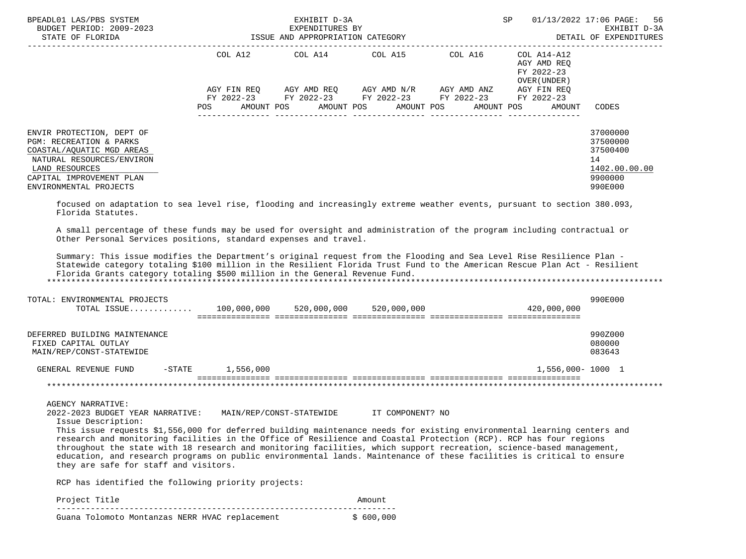| BPEADL01 LAS/PBS SYSTEM<br>BUDGET PERIOD: 2009-2023<br>STATE OF FLORIDA                                                                                                                                                                                                                                                                                                                                                                                                                                                                                                                                                                                                                                          | $\overline{a}$         | EXHIBIT D-3A<br>EXPENDITURES BY<br>ISSUE AND APPROPRIATION CATEGORY |                                                                                                                                                          | SP                                                                                                             | 01/13/2022 17:06 PAGE:<br>56<br>EXHIBIT D-3A<br>DETAIL OF EXPENDITURES        |
|------------------------------------------------------------------------------------------------------------------------------------------------------------------------------------------------------------------------------------------------------------------------------------------------------------------------------------------------------------------------------------------------------------------------------------------------------------------------------------------------------------------------------------------------------------------------------------------------------------------------------------------------------------------------------------------------------------------|------------------------|---------------------------------------------------------------------|----------------------------------------------------------------------------------------------------------------------------------------------------------|----------------------------------------------------------------------------------------------------------------|-------------------------------------------------------------------------------|
|                                                                                                                                                                                                                                                                                                                                                                                                                                                                                                                                                                                                                                                                                                                  | POS                    |                                                                     | COL A12 COL A14 COL A15 COL A16<br>AGY FIN REQ AGY AMD REQ AGY AMD N/R AGY AMD ANZ AGY FIN REQ<br>FY 2022-23 FY 2022-23 FY 2022-23 FY 2022-23 FY 2022-23 | COL A14-A12<br>AGY AMD REO<br>FY 2022-23<br>OVER (UNDER)<br>AMOUNT POS AMOUNT POS AMOUNT POS AMOUNT POS AMOUNT | CODES                                                                         |
| ENVIR PROTECTION, DEPT OF<br>PGM: RECREATION & PARKS<br>COASTAL/AQUATIC MGD AREAS<br>NATURAL RESOURCES/ENVIRON<br>LAND RESOURCES<br>CAPITAL IMPROVEMENT PLAN<br>ENVIRONMENTAL PROJECTS                                                                                                                                                                                                                                                                                                                                                                                                                                                                                                                           |                        |                                                                     |                                                                                                                                                          |                                                                                                                | 37000000<br>37500000<br>37500400<br>14<br>1402.00.00.00<br>9900000<br>990E000 |
| focused on adaptation to sea level rise, flooding and increasingly extreme weather events, pursuant to section 380.093,<br>Florida Statutes.<br>A small percentage of these funds may be used for oversight and administration of the program including contractual or<br>Other Personal Services positions, standard expenses and travel.<br>Summary: This issue modifies the Department's original request from the Flooding and Sea Level Rise Resilience Plan -<br>Statewide category totaling \$100 million in the Resilient Florida Trust Fund to the American Rescue Plan Act - Resilient<br>Florida Grants category totaling \$500 million in the General Revenue Fund.<br>TOTAL: ENVIRONMENTAL PROJECTS |                        |                                                                     |                                                                                                                                                          |                                                                                                                | 990E000                                                                       |
| TOTAL ISSUE 100,000,000 520,000,000 520,000,000                                                                                                                                                                                                                                                                                                                                                                                                                                                                                                                                                                                                                                                                  |                        |                                                                     |                                                                                                                                                          | 420,000,000                                                                                                    |                                                                               |
| DEFERRED BUILDING MAINTENANCE<br>FIXED CAPITAL OUTLAY<br>MAIN/REP/CONST-STATEWIDE                                                                                                                                                                                                                                                                                                                                                                                                                                                                                                                                                                                                                                |                        |                                                                     |                                                                                                                                                          |                                                                                                                | 990Z000<br>080000<br>083643                                                   |
| GENERAL REVENUE FUND                                                                                                                                                                                                                                                                                                                                                                                                                                                                                                                                                                                                                                                                                             | $-$ STATE<br>1,556,000 |                                                                     |                                                                                                                                                          | 1,556,000-1000 1                                                                                               |                                                                               |
|                                                                                                                                                                                                                                                                                                                                                                                                                                                                                                                                                                                                                                                                                                                  |                        |                                                                     |                                                                                                                                                          |                                                                                                                |                                                                               |
| <b>AGENCY NARRATIVE:</b><br>2022-2023 BUDGET YEAR NARRATIVE: MAIN/REP/CONST-STATEWIDE IT COMPONENT? NO<br>Issue Description:<br>This issue requests \$1,556,000 for deferred building maintenance needs for existing environmental learning centers and<br>research and monitoring facilities in the Office of Resilience and Coastal Protection (RCP). RCP has four regions<br>throughout the state with 18 research and monitoring facilities, which support recreation, science-based management,<br>education, and research programs on public environmental lands. Maintenance of these facilities is critical to ensure<br>they are safe for staff and visitors.                                           |                        |                                                                     |                                                                                                                                                          |                                                                                                                |                                                                               |

RCP has identified the following priority projects:

Project Title  $\blacksquare$  ---------------------------------------------------------------------- Guana Tolomoto Montanzas NERR HVAC replacement \$ 600,000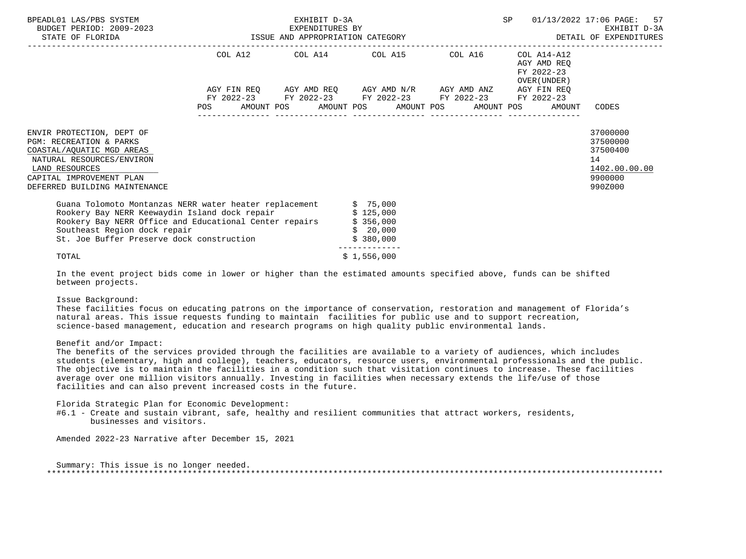| BPEADL01 LAS/PBS SYSTEM<br>BUDGET PERIOD: 2009-2023<br>STATE OF FLORIDA                                                                                                                                                                                                      | -2023 EXPENDITURES BY<br>ISSUE AND APPROPRIATION CATEGORY | EXHIBIT D-3A |                       |                                                                                                                                                          | SP                                                        | 01/13/2022 17:06 PAGE: 57<br>EXHIBIT D-3A<br>DETAIL OF EXPENDITURES           |
|------------------------------------------------------------------------------------------------------------------------------------------------------------------------------------------------------------------------------------------------------------------------------|-----------------------------------------------------------|--------------|-----------------------|----------------------------------------------------------------------------------------------------------------------------------------------------------|-----------------------------------------------------------|-------------------------------------------------------------------------------|
|                                                                                                                                                                                                                                                                              |                                                           |              |                       | COL A12 COL A14 COL A15 COL A16                                                                                                                          | COL A14-A12<br>AGY AMD REO<br>FY 2022-23<br>OVER (UNDER ) |                                                                               |
|                                                                                                                                                                                                                                                                              | POS                                                       |              |                       | AGY FIN REQ AGY AMD REQ AGY AMD N/R AGY AMD ANZ<br>FY 2022-23 FY 2022-23 FY 2022-23 FY 2022-23 FY 2022-23<br>AMOUNT POS AMOUNT POS AMOUNT POS AMOUNT POS | AGY FIN REO<br>AMOUNT                                     | CODES                                                                         |
| ENVIR PROTECTION, DEPT OF<br><b>PGM: RECREATION &amp; PARKS</b><br>COASTAL/AQUATIC MGD AREAS<br>NATURAL RESOURCES/ENVIRON<br>LAND RESOURCES<br>CAPITAL IMPROVEMENT PLAN<br>DEFERRED BUILDING MAINTENANCE                                                                     |                                                           |              |                       |                                                                                                                                                          |                                                           | 37000000<br>37500000<br>37500400<br>14<br>1402.00.00.00<br>9900000<br>990Z000 |
| Guana Tolomoto Montanzas NERR water heater replacement \$ 75,000<br>Rookery Bay NERR Keewaydin Island dock repair \$125,000<br>Rookery Bay NERR Office and Educational Center repairs \$356,000<br>Southeast Region dock repair<br>St. Joe Buffer Preserve dock construction |                                                           |              | \$20,000<br>\$380,000 |                                                                                                                                                          |                                                           |                                                                               |
| TOTAL                                                                                                                                                                                                                                                                        |                                                           |              | \$1,556,000           |                                                                                                                                                          |                                                           |                                                                               |

 In the event project bids come in lower or higher than the estimated amounts specified above, funds can be shifted between projects.

### Issue Background:

 These facilities focus on educating patrons on the importance of conservation, restoration and management of Florida's natural areas. This issue requests funding to maintain facilities for public use and to support recreation, science-based management, education and research programs on high quality public environmental lands.

## Benefit and/or Impact:

 The benefits of the services provided through the facilities are available to a variety of audiences, which includes students (elementary, high and college), teachers, educators, resource users, environmental professionals and the public. The objective is to maintain the facilities in a condition such that visitation continues to increase. These facilities average over one million visitors annually. Investing in facilities when necessary extends the life/use of those facilities and can also prevent increased costs in the future.

Florida Strategic Plan for Economic Development:

 #6.1 - Create and sustain vibrant, safe, healthy and resilient communities that attract workers, residents, businesses and visitors.

Amended 2022-23 Narrative after December 15, 2021

 Summary: This issue is no longer needed. \*\*\*\*\*\*\*\*\*\*\*\*\*\*\*\*\*\*\*\*\*\*\*\*\*\*\*\*\*\*\*\*\*\*\*\*\*\*\*\*\*\*\*\*\*\*\*\*\*\*\*\*\*\*\*\*\*\*\*\*\*\*\*\*\*\*\*\*\*\*\*\*\*\*\*\*\*\*\*\*\*\*\*\*\*\*\*\*\*\*\*\*\*\*\*\*\*\*\*\*\*\*\*\*\*\*\*\*\*\*\*\*\*\*\*\*\*\*\*\*\*\*\*\*\*\*\*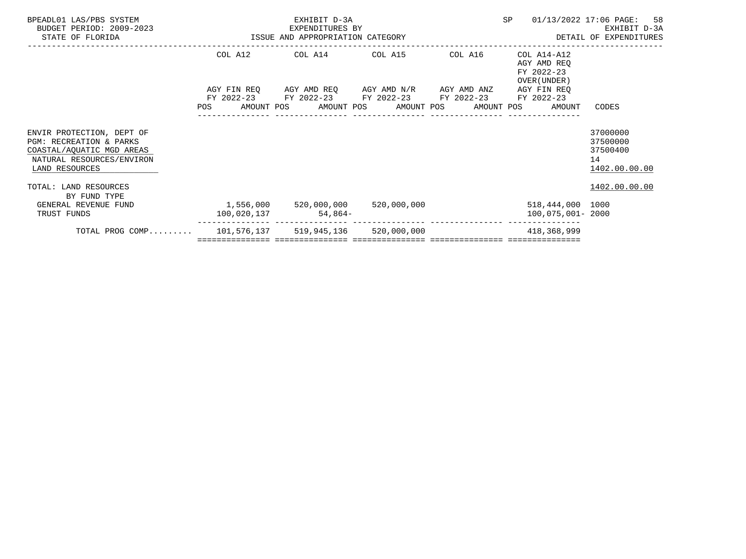| BPEADL01 LAS/PBS SYSTEM<br>BUDGET PERIOD: 2009-2023<br>STATE OF FLORIDA                                                          | EXPENDITURES BY<br>ISSUE AND APPROPRIATION CATEGORY | EXHIBIT D-3A<br>EXPENDITURES BY                                                                                       | SP | 01/13/2022 17:06 PAGE:<br>-58<br>EXHIBIT D-3A<br>DETAIL OF EXPENDITURES |                                                         |
|----------------------------------------------------------------------------------------------------------------------------------|-----------------------------------------------------|-----------------------------------------------------------------------------------------------------------------------|----|-------------------------------------------------------------------------|---------------------------------------------------------|
|                                                                                                                                  |                                                     | COL A12 COL A14 COL A15 COL A16                                                                                       |    | COL A14-A12<br>AGY AMD REO<br>FY 2022-23<br>OVER (UNDER)                |                                                         |
|                                                                                                                                  |                                                     | AGY FIN REQ AGY AMD REQ AGY AMD N/R AGY AMD ANZ AGY FIN REQ<br>FY 2022-23 FY 2022-23 FY 2022-23 FY 2022-23 FY 2022-23 |    | POS AMOUNT POS AMOUNT POS AMOUNT POS AMOUNT POS AMOUNT                  | CODES                                                   |
| ENVIR PROTECTION, DEPT OF<br>PGM: RECREATION & PARKS<br>COASTAL/AQUATIC MGD AREAS<br>NATURAL RESOURCES/ENVIRON<br>LAND RESOURCES |                                                     |                                                                                                                       |    |                                                                         | 37000000<br>37500000<br>37500400<br>14<br>1402.00.00.00 |
| TOTAL: LAND RESOURCES<br>BY FUND TYPE                                                                                            |                                                     |                                                                                                                       |    |                                                                         | 1402.00.00.00                                           |
| GENERAL REVENUE FUND<br>TRUST FUNDS                                                                                              | $1,556,000$ 520,000,000 520,000,000<br>100,020,137  | $54,864-$                                                                                                             |    | 518,444,000 1000<br>100,075,001-2000                                    |                                                         |
| TOTAL PROG COMP 101,576,137 519,945,136 520,000,000                                                                              |                                                     |                                                                                                                       |    | 418,368,999                                                             |                                                         |
|                                                                                                                                  |                                                     |                                                                                                                       |    |                                                                         |                                                         |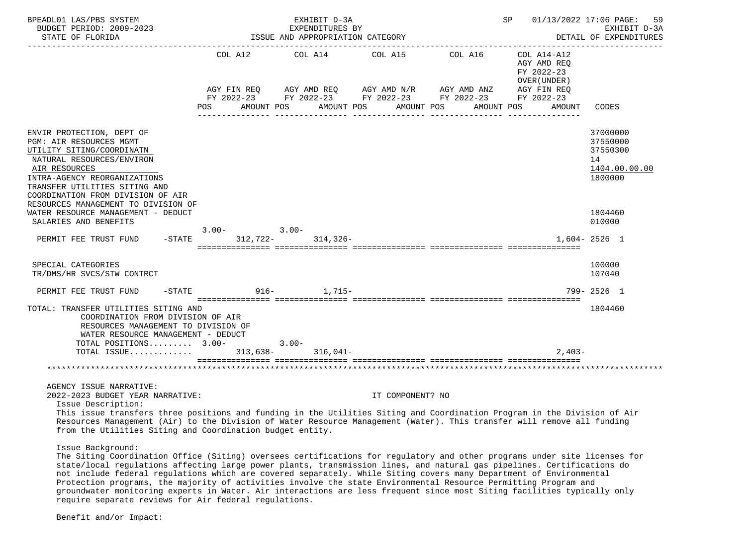| BPEADL01 LAS/PBS SYSTEM<br>BUDGET PERIOD: 2009-2023<br>STATE OF FLORIDA                                                                                                                                                                                                                                                                                                                              |           |                 | EXHIBIT D-3A              | EXPENDITURES BY<br>ISSUE AND APPROPRIATION CATEGORY                                                                                                                                                                                                                                                                                                                                                                  |  | SP and the set of the set of the set of the set of the set of the set of the set of the set of the set of the s |                                                      | 01/13/2022 17:06 PAGE:<br>59<br>EXHIBIT D-3A<br>DETAIL OF EXPENDITURES |
|------------------------------------------------------------------------------------------------------------------------------------------------------------------------------------------------------------------------------------------------------------------------------------------------------------------------------------------------------------------------------------------------------|-----------|-----------------|---------------------------|----------------------------------------------------------------------------------------------------------------------------------------------------------------------------------------------------------------------------------------------------------------------------------------------------------------------------------------------------------------------------------------------------------------------|--|-----------------------------------------------------------------------------------------------------------------|------------------------------------------------------|------------------------------------------------------------------------|
|                                                                                                                                                                                                                                                                                                                                                                                                      | POS       | AMOUNT POS      | AGY AMD REQ<br>AMOUNT POS | COL A12 COL A14 COL A15 COL A16<br>$\begin{array}{lllllll} {\text{AGY}} & {\text{FIN}} & {\text{REG}} & {\text{AGY}} & {\text{AMP}} & {\text{AGY}} & {\text{AMP}} & {\text{MY}} & {\text{MID}} & {\text{AND}} & {\text{AND}} & {\text{AND}} & {\text{ARY}} & {\text{FIN}} & {\text{REG}} \\ {\text{FY}} & 2022-23 & {\text{FY}} & 2022-23 & {\text{FY}} & 2022-23 & {\text{FY}} & 2022-23 \end{array}$<br>AMOUNT POS |  | FY 2022-23<br>AMOUNT POS                                                                                        | COL A14-A12<br>AGY AMD REO<br>OVER (UNDER)<br>AMOUNT | CODES                                                                  |
| ENVIR PROTECTION, DEPT OF<br>PGM: AIR RESOURCES MGMT<br>UTILITY SITING/COORDINATN<br>NATURAL RESOURCES/ENVIRON<br>AIR RESOURCES<br>INTRA-AGENCY REORGANIZATIONS<br>TRANSFER UTILITIES SITING AND<br>COORDINATION FROM DIVISION OF AIR                                                                                                                                                                |           |                 |                           |                                                                                                                                                                                                                                                                                                                                                                                                                      |  |                                                                                                                 |                                                      | 37000000<br>37550000<br>37550300<br>14<br>1404.00.00.00<br>1800000     |
| RESOURCES MANAGEMENT TO DIVISION OF<br>WATER RESOURCE MANAGEMENT - DEDUCT<br>SALARIES AND BENEFITS                                                                                                                                                                                                                                                                                                   |           | $3.00 - 3.00 -$ |                           |                                                                                                                                                                                                                                                                                                                                                                                                                      |  |                                                                                                                 |                                                      | 1804460<br>010000                                                      |
| PERMIT FEE TRUST FUND                                                                                                                                                                                                                                                                                                                                                                                | $-$ STATE |                 | $312,722 - 314,326 -$     |                                                                                                                                                                                                                                                                                                                                                                                                                      |  |                                                                                                                 |                                                      | $1.604 - 2526$ 1                                                       |
| SPECIAL CATEGORIES<br>TR/DMS/HR SVCS/STW CONTRCT                                                                                                                                                                                                                                                                                                                                                     |           |                 |                           |                                                                                                                                                                                                                                                                                                                                                                                                                      |  |                                                                                                                 |                                                      | 100000<br>107040                                                       |
| PERMIT FEE TRUST FUND<br>$-$ STATE                                                                                                                                                                                                                                                                                                                                                                   |           |                 | $916 - 1,715 -$           |                                                                                                                                                                                                                                                                                                                                                                                                                      |  |                                                                                                                 |                                                      | 799-2526 1                                                             |
| TOTAL: TRANSFER UTILITIES SITING AND<br>COORDINATION FROM DIVISION OF AIR<br>RESOURCES MANAGEMENT TO DIVISION OF<br>WATER RESOURCE MANAGEMENT - DEDUCT                                                                                                                                                                                                                                               |           |                 |                           |                                                                                                                                                                                                                                                                                                                                                                                                                      |  |                                                                                                                 |                                                      | 1804460                                                                |
| TOTAL POSITIONS $3.00-3.00-$<br>TOTAL ISSUE 313,638- 316,041-                                                                                                                                                                                                                                                                                                                                        |           |                 |                           |                                                                                                                                                                                                                                                                                                                                                                                                                      |  |                                                                                                                 | $2.403-$                                             |                                                                        |
|                                                                                                                                                                                                                                                                                                                                                                                                      |           |                 |                           |                                                                                                                                                                                                                                                                                                                                                                                                                      |  |                                                                                                                 |                                                      |                                                                        |
| AGENCY ISSUE NARRATIVE:<br>2022-2023 BUDGET YEAR NARRATIVE:<br>Issue Description:<br>This issue transfers three positions and funding in the Utilities Siting and Coordination Program in the Division of Air<br>Resources Management (Air) to the Division of Water Resource Management (Water). This transfer will remove all funding<br>from the Utilities Siting and Coordination budget entity. |           |                 |                           | IT COMPONENT? NO                                                                                                                                                                                                                                                                                                                                                                                                     |  |                                                                                                                 |                                                      |                                                                        |

Issue Background:

 The Siting Coordination Office (Siting) oversees certifications for regulatory and other programs under site licenses for state/local regulations affecting large power plants, transmission lines, and natural gas pipelines. Certifications do not include federal regulations which are covered separately. While Siting covers many Department of Environmental Protection programs, the majority of activities involve the state Environmental Resource Permitting Program and groundwater monitoring experts in Water. Air interactions are less frequent since most Siting facilities typically only require separate reviews for Air federal regulations.

Benefit and/or Impact: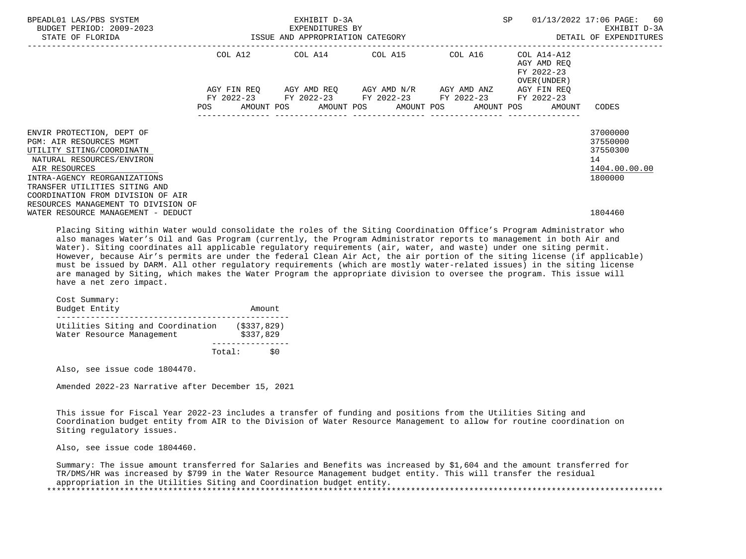| BPEADL01 LAS/PBS SYSTEM<br>BUDGET PERIOD: 2009-2023<br>STATE OF FLORIDA           |                    | EXHIBIT D-3A<br>EXPENDITURES BY<br>ISSUE AND APPROPRIATION CATEGORY |                                               |  | SP                                        |                                                           | 01/13/2022 17:06 PAGE: 60<br>EXHIBIT D-3A<br>DETAIL OF EXPENDITURES |                                                          |                                  |
|-----------------------------------------------------------------------------------|--------------------|---------------------------------------------------------------------|-----------------------------------------------|--|-------------------------------------------|-----------------------------------------------------------|---------------------------------------------------------------------|----------------------------------------------------------|----------------------------------|
|                                                                                   | COL A12            |                                                                     | COL A14 COL A15 COL A16                       |  |                                           |                                                           |                                                                     | COL A14-A12<br>AGY AMD REO<br>FY 2022-23<br>OVER (UNDER) |                                  |
|                                                                                   | AGY FIN REO<br>POS | AMOUNT POS                                                          | AGY AMD REO      AGY AMD N/R      AGY AMD ANZ |  | AMOUNT POS AMOUNT POS<br>---------------- | FY 2022-23 FY 2022-23 FY 2022-23 FY 2022-23<br>AMOUNT POS |                                                                     | AGY FIN REO<br>FY 2022-23<br>AMOUNT                      | CODES                            |
| ENVIR PROTECTION, DEPT OF<br>PGM: AIR RESOURCES MGMT<br>UTILITY SITING/COORDINATN |                    |                                                                     |                                               |  |                                           |                                                           |                                                                     |                                                          | 37000000<br>37550000<br>37550300 |
| NATURAL RESOURCES/ENVIRON<br>AIR RESOURCES<br>INTRA-AGENCY REORGANIZATIONS        |                    |                                                                     |                                               |  |                                           |                                                           |                                                                     |                                                          | 14<br>1404.00.00.00<br>1800000   |
| TRANSFER UTILITIES SITING AND<br>COORDINATION FROM DIVISION OF AIR                |                    |                                                                     |                                               |  |                                           |                                                           |                                                                     |                                                          |                                  |
| RESOURCES MANAGEMENT TO DIVISION OF<br>WATER RESOURCE MANAGEMENT - DEDUCT         |                    |                                                                     |                                               |  |                                           |                                                           |                                                                     |                                                          | 1804460                          |

 Placing Siting within Water would consolidate the roles of the Siting Coordination Office's Program Administrator who also manages Water's Oil and Gas Program (currently, the Program Administrator reports to management in both Air and Water). Siting coordinates all applicable regulatory requirements (air, water, and waste) under one siting permit. However, because Air's permits are under the federal Clean Air Act, the air portion of the siting license (if applicable) must be issued by DARM. All other regulatory requirements (which are mostly water-related issues) in the siting license are managed by Siting, which makes the Water Program the appropriate division to oversee the program. This issue will have a net zero impact.

 Cost Summary: Budget Entity **Amount**  ------------------------------------------------ Utilities Siting and Coordination (\$337,829)<br>Water Resource Management (\$337,829) Water Resource Management ---------------- Total: \$0

Also, see issue code 1804470.

Amended 2022-23 Narrative after December 15, 2021

 This issue for Fiscal Year 2022-23 includes a transfer of funding and positions from the Utilities Siting and Coordination budget entity from AIR to the Division of Water Resource Management to allow for routine coordination on Siting regulatory issues.

Also, see issue code 1804460.

 Summary: The issue amount transferred for Salaries and Benefits was increased by \$1,604 and the amount transferred for TR/DMS/HR was increased by \$799 in the Water Resource Management budget entity. This will transfer the residual appropriation in the Utilities Siting and Coordination budget entity. \*\*\*\*\*\*\*\*\*\*\*\*\*\*\*\*\*\*\*\*\*\*\*\*\*\*\*\*\*\*\*\*\*\*\*\*\*\*\*\*\*\*\*\*\*\*\*\*\*\*\*\*\*\*\*\*\*\*\*\*\*\*\*\*\*\*\*\*\*\*\*\*\*\*\*\*\*\*\*\*\*\*\*\*\*\*\*\*\*\*\*\*\*\*\*\*\*\*\*\*\*\*\*\*\*\*\*\*\*\*\*\*\*\*\*\*\*\*\*\*\*\*\*\*\*\*\*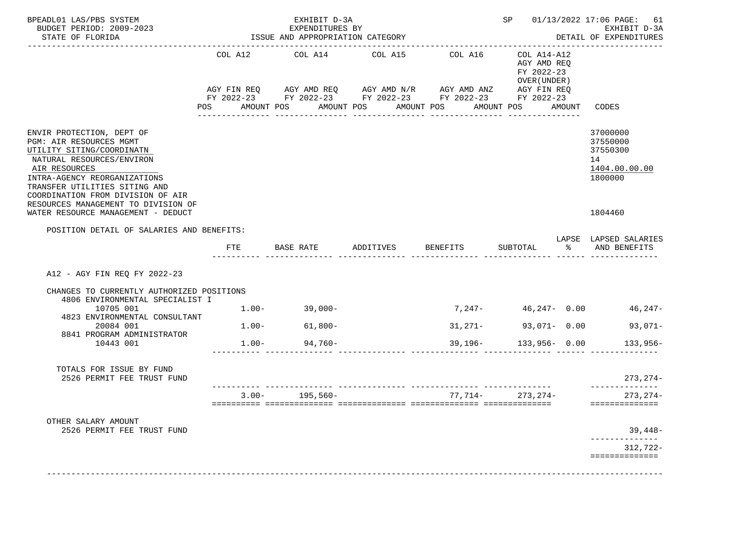| BPEADL01 LAS/PBS SYSTEM<br>BUDGET PERIOD: 2009-2023<br>STATE OF FLORIDA                                                                                                                                                               |                           | EXHIBIT D-3A<br>EXPENDITURES BY<br>ISSUE AND APPROPRIATION CATEGORY |                                                                                                                                                | SP                    |                                                                                     | 01/13/2022 17:06 PAGE:<br>61<br>EXHIBIT D-3A<br>DETAIL OF EXPENDITURES |                                                                    |
|---------------------------------------------------------------------------------------------------------------------------------------------------------------------------------------------------------------------------------------|---------------------------|---------------------------------------------------------------------|------------------------------------------------------------------------------------------------------------------------------------------------|-----------------------|-------------------------------------------------------------------------------------|------------------------------------------------------------------------|--------------------------------------------------------------------|
|                                                                                                                                                                                                                                       | COL A12<br>POS AMOUNT POS | COL A14                                                             | COL A15<br>AGY FIN REQ AGY AMD REQ AGY AMD N/R AGY AMD ANZ AGY FIN REQ<br>FY 2022-23 FY 2022-23 FY 2022-23 FY 2022-23 FY 2022-23<br>AMOUNT POS | COL A16<br>AMOUNT POS | COL A14-A12<br>AGY AMD REO<br>FY 2022-23<br>OVER (UNDER)<br>AMOUNT POS AMOUNT CODES |                                                                        |                                                                    |
| ENVIR PROTECTION, DEPT OF<br>PGM: AIR RESOURCES MGMT<br>UTILITY SITING/COORDINATN<br>NATURAL RESOURCES/ENVIRON<br>AIR RESOURCES<br>INTRA-AGENCY REORGANIZATIONS<br>TRANSFER UTILITIES SITING AND<br>COORDINATION FROM DIVISION OF AIR |                           |                                                                     |                                                                                                                                                |                       |                                                                                     |                                                                        | 37000000<br>37550000<br>37550300<br>14<br>1404.00.00.00<br>1800000 |
| RESOURCES MANAGEMENT TO DIVISION OF<br>WATER RESOURCE MANAGEMENT - DEDUCT                                                                                                                                                             |                           |                                                                     |                                                                                                                                                |                       |                                                                                     |                                                                        | 1804460                                                            |
| POSITION DETAIL OF SALARIES AND BENEFITS:                                                                                                                                                                                             |                           |                                                                     |                                                                                                                                                |                       |                                                                                     |                                                                        | LAPSE LAPSED SALARIES                                              |
|                                                                                                                                                                                                                                       | <b>FTE</b>                | BASE RATE                                                           | ADDITIVES                                                                                                                                      | BENEFITS              | SUBTOTAL                                                                            | $\sim$ $\sim$ $\sim$                                                   | AND BENEFITS                                                       |
| A12 - AGY FIN REO FY 2022-23<br>CHANGES TO CURRENTLY AUTHORIZED POSITIONS<br>4806 ENVIRONMENTAL SPECIALIST I                                                                                                                          |                           |                                                                     |                                                                                                                                                |                       |                                                                                     |                                                                        |                                                                    |
| 10705 001<br>4823 ENVIRONMENTAL CONSULTANT                                                                                                                                                                                            | $1.00-$                   | $39,000-$                                                           |                                                                                                                                                |                       |                                                                                     |                                                                        | 7,247- 46,247- 0.00 46,247-                                        |
| 20084 001<br>8841 PROGRAM ADMINISTRATOR                                                                                                                                                                                               |                           | $1.00 - 61,800 -$                                                   |                                                                                                                                                |                       | $31,271-$ 93,071- 0.00                                                              |                                                                        | 93,071-                                                            |
| 10443 001                                                                                                                                                                                                                             |                           | $1.00 - 94,760 -$                                                   |                                                                                                                                                |                       | $39,196 - 133,956 - 0.00$                                                           |                                                                        | $133,956-$                                                         |
| TOTALS FOR ISSUE BY FUND<br>2526 PERMIT FEE TRUST FUND                                                                                                                                                                                |                           |                                                                     |                                                                                                                                                |                       |                                                                                     |                                                                        | $273, 274-$<br>---------------                                     |
|                                                                                                                                                                                                                                       |                           | $3.00 - 195,560 -$                                                  |                                                                                                                                                |                       | $77,714-273,274-$                                                                   |                                                                        | $273, 274-$<br>==============                                      |
| OTHER SALARY AMOUNT<br>2526 PERMIT FEE TRUST FUND                                                                                                                                                                                     |                           |                                                                     |                                                                                                                                                |                       |                                                                                     |                                                                        | 39,448-<br>. _ _ _ _ _ _ _ _ _ _ _ _                               |
|                                                                                                                                                                                                                                       |                           |                                                                     |                                                                                                                                                |                       |                                                                                     |                                                                        | 312,722-<br>==============                                         |
|                                                                                                                                                                                                                                       |                           |                                                                     |                                                                                                                                                |                       |                                                                                     |                                                                        |                                                                    |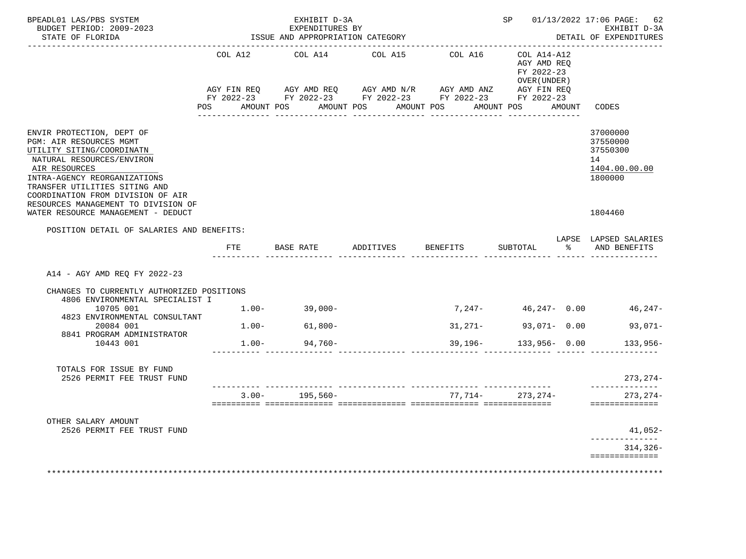| BPEADL01 LAS/PBS SYSTEM<br>BUDGET PERIOD: 2009-2023<br>STATE OF FLORIDA                                                                                                                                                                                                             |         | EXHIBIT D-3A<br>EXPENDITURES BY<br>ISSUE AND APPROPRIATION CATEGORY |                                                                                                                                                                                       | __________________________________ |                                                                  |  | SP 01/13/2022 17:06 PAGE: 62<br>EXHIBIT D-3A<br>DETAIL OF EXPENDITURES |  |
|-------------------------------------------------------------------------------------------------------------------------------------------------------------------------------------------------------------------------------------------------------------------------------------|---------|---------------------------------------------------------------------|---------------------------------------------------------------------------------------------------------------------------------------------------------------------------------------|------------------------------------|------------------------------------------------------------------|--|------------------------------------------------------------------------|--|
|                                                                                                                                                                                                                                                                                     | COL A12 | COL A14                                                             | COL A15                                                                                                                                                                               |                                    | COL A16 COL A14-A12<br>AGY AMD REQ<br>FY 2022-23<br>OVER (UNDER) |  |                                                                        |  |
|                                                                                                                                                                                                                                                                                     |         |                                                                     | AGY FIN REQ AGY AMD REQ AGY AMD N/R AGY AMD ANZ AGY FIN REQ<br>FY 2022-23 FY 2022-23 FY 2022-23 FY 2022-23 FY 2022-23<br>POS AMOUNT POS AMOUNT POS AMOUNT POS AMOUNT POS AMOUNT CODES |                                    |                                                                  |  |                                                                        |  |
| ENVIR PROTECTION, DEPT OF<br><b>PGM: AIR RESOURCES MGMT</b><br>UTILITY SITING/COORDINATN<br>NATURAL RESOURCES/ENVIRON<br>AIR RESOURCES<br>INTRA-AGENCY REORGANIZATIONS<br>TRANSFER UTILITIES SITING AND<br>COORDINATION FROM DIVISION OF AIR<br>RESOURCES MANAGEMENT TO DIVISION OF |         |                                                                     |                                                                                                                                                                                       |                                    |                                                                  |  | 37000000<br>37550000<br>37550300<br>14<br>1404.00.00.00<br>1800000     |  |
| WATER RESOURCE MANAGEMENT - DEDUCT                                                                                                                                                                                                                                                  |         |                                                                     |                                                                                                                                                                                       |                                    |                                                                  |  | 1804460                                                                |  |
| POSITION DETAIL OF SALARIES AND BENEFITS:                                                                                                                                                                                                                                           |         |                                                                     |                                                                                                                                                                                       |                                    |                                                                  |  | LAPSE LAPSED SALARIES                                                  |  |
|                                                                                                                                                                                                                                                                                     | FTE     | BASE RATE ADDITIVES                                                 |                                                                                                                                                                                       | BENEFITS                           | SUBTOTAL                                                         |  | % AND BENEFITS                                                         |  |
| A14 - AGY AMD REQ FY 2022-23                                                                                                                                                                                                                                                        |         |                                                                     |                                                                                                                                                                                       |                                    |                                                                  |  |                                                                        |  |
| CHANGES TO CURRENTLY AUTHORIZED POSITIONS<br>4806 ENVIRONMENTAL SPECIALIST I                                                                                                                                                                                                        |         |                                                                     |                                                                                                                                                                                       |                                    |                                                                  |  |                                                                        |  |
| 10705 001<br>4823 ENVIRONMENTAL CONSULTANT                                                                                                                                                                                                                                          |         | $1.00 - 39,000 -$                                                   |                                                                                                                                                                                       |                                    |                                                                  |  | $7,247 46,247-$ 0.00 $46,247-$                                         |  |
| 20084 001<br>8841 PROGRAM ADMINISTRATOR                                                                                                                                                                                                                                             |         | $1.00 - 61,800 -$                                                   |                                                                                                                                                                                       |                                    | $31,271-$ 93,071- 0.00                                           |  | $93,071-$                                                              |  |
| 10443 001                                                                                                                                                                                                                                                                           | $1.00-$ | $94,760-$                                                           |                                                                                                                                                                                       | $39,196-$                          | $133,956 - 0.00$                                                 |  | $133.956-$                                                             |  |
| TOTALS FOR ISSUE BY FUND<br>2526 PERMIT FEE TRUST FUND                                                                                                                                                                                                                              |         |                                                                     |                                                                                                                                                                                       |                                    |                                                                  |  | $273, 274-$<br>--------------                                          |  |
|                                                                                                                                                                                                                                                                                     |         | $3.00 - 195,560 -$                                                  |                                                                                                                                                                                       |                                    | 77,714- 273,274-                                                 |  | $273, 274-$<br>==============                                          |  |
| OTHER SALARY AMOUNT<br>2526 PERMIT FEE TRUST FUND                                                                                                                                                                                                                                   |         |                                                                     |                                                                                                                                                                                       |                                    |                                                                  |  | 41,052-<br>--------------                                              |  |
|                                                                                                                                                                                                                                                                                     |         |                                                                     |                                                                                                                                                                                       |                                    |                                                                  |  | $314, 326 -$                                                           |  |
|                                                                                                                                                                                                                                                                                     |         |                                                                     |                                                                                                                                                                                       |                                    |                                                                  |  | ==============                                                         |  |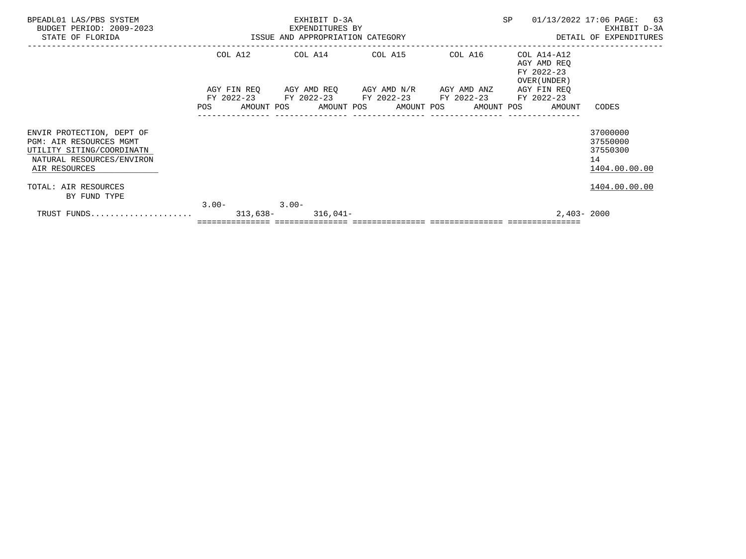| BPEADL01 LAS/PBS SYSTEM<br>BUDGET PERIOD: 2009-2023                                                                                    |                 | EXHIBIT D-3A |                                                                                                           |         | SP |                                                                       | 01/13/2022 17:06 PAGE: 63<br>EXHIBIT D-3A               |  |
|----------------------------------------------------------------------------------------------------------------------------------------|-----------------|--------------|-----------------------------------------------------------------------------------------------------------|---------|----|-----------------------------------------------------------------------|---------------------------------------------------------|--|
| FIRENDITURES BY<br>ISSUE AND APPROPRIATION CATEGORY<br>STATE OF FLORIDA                                                                |                 |              |                                                                                                           |         |    |                                                                       | DETAIL OF EXPENDITURES                                  |  |
|                                                                                                                                        |                 |              | COL A12 COL A14 COL A15                                                                                   | COL A16 |    | COL A14-A12<br>AGY AMD REO<br>FY 2022-23<br>OVER (UNDER)              |                                                         |  |
|                                                                                                                                        |                 |              | AGY FIN REQ AGY AMD REQ AGY AMD N/R AGY AMD ANZ<br>FY 2022-23 FY 2022-23 FY 2022-23 FY 2022-23 FY 2022-23 |         |    | AGY FIN REO<br>POS AMOUNT POS AMOUNT POS AMOUNT POS AMOUNT POS AMOUNT | CODES                                                   |  |
| ENVIR PROTECTION, DEPT OF<br><b>PGM: AIR RESOURCES MGMT</b><br>UTILITY SITING/COORDINATN<br>NATURAL RESOURCES/ENVIRON<br>AIR RESOURCES |                 |              |                                                                                                           |         |    |                                                                       | 37000000<br>37550000<br>37550300<br>14<br>1404.00.00.00 |  |
| TOTAL: AIR RESOURCES<br>BY FUND TYPE                                                                                                   |                 |              |                                                                                                           |         |    |                                                                       | 1404.00.00.00                                           |  |
|                                                                                                                                        | $3.00 - 3.00 -$ |              |                                                                                                           |         |    | 2,403-2000                                                            |                                                         |  |
|                                                                                                                                        |                 |              |                                                                                                           |         |    |                                                                       |                                                         |  |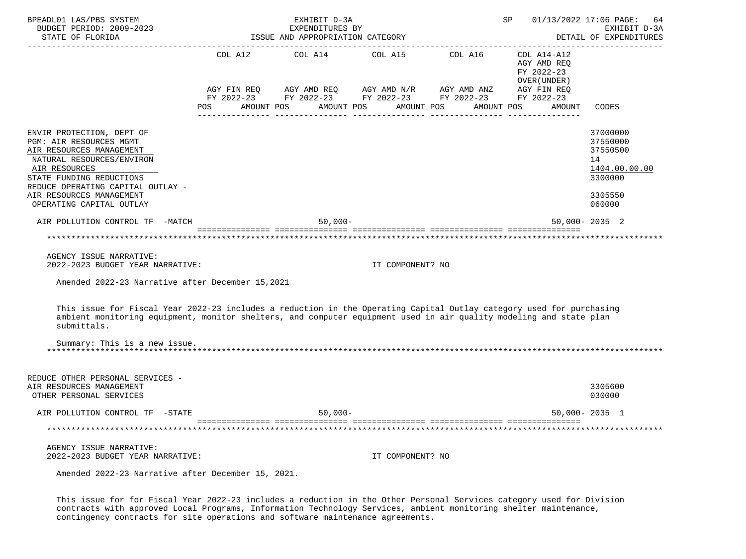| BPEADL01 LAS/PBS SYSTEM<br>BUDGET PERIOD: 2009-2023<br>STATE OF FLORIDA                                                                                                                                                                                   | EXHIBIT D-3A<br>EXPENDITURES BY<br>ISSUE AND APPROPRIATION CATEGORY                                                           |                  | SP 20                                      | 01/13/2022 17:06 PAGE:<br>-64<br>EXHIBIT D-3A<br>DETAIL OF EXPENDITURES |
|-----------------------------------------------------------------------------------------------------------------------------------------------------------------------------------------------------------------------------------------------------------|-------------------------------------------------------------------------------------------------------------------------------|------------------|--------------------------------------------|-------------------------------------------------------------------------|
|                                                                                                                                                                                                                                                           | COL A12 COL A14 COL A15 COL A16 COL A14-A12                                                                                   |                  | AGY AMD REQ<br>FY 2022-23<br>OVER (UNDER ) |                                                                         |
|                                                                                                                                                                                                                                                           | $AGY \text{ FIN REQ} \qquad \text{AGY AMD REQ} \qquad \text{AGY AMD N/R} \qquad \text{AGY AMD ANZ} \qquad \text{AGY FIN REQ}$ |                  |                                            |                                                                         |
|                                                                                                                                                                                                                                                           | FY 2022-23 FY 2022-23 FY 2022-23 FY 2022-23 FY 2022-23<br>POS AMOUNT POS AMOUNT POS AMOUNT POS                                |                  | AMOUNT POS<br>AMOUNT                       | CODES                                                                   |
|                                                                                                                                                                                                                                                           |                                                                                                                               |                  |                                            |                                                                         |
| ENVIR PROTECTION, DEPT OF<br>PGM: AIR RESOURCES MGMT<br>AIR RESOURCES MANAGEMENT                                                                                                                                                                          |                                                                                                                               |                  |                                            | 37000000<br>37550000<br>37550500                                        |
| NATURAL RESOURCES/ENVIRON<br>AIR RESOURCES                                                                                                                                                                                                                |                                                                                                                               |                  |                                            | 14<br>1404.00.00.00                                                     |
| STATE FUNDING REDUCTIONS                                                                                                                                                                                                                                  |                                                                                                                               |                  |                                            | 3300000                                                                 |
| REDUCE OPERATING CAPITAL OUTLAY -<br>AIR RESOURCES MANAGEMENT                                                                                                                                                                                             |                                                                                                                               |                  |                                            | 3305550                                                                 |
| OPERATING CAPITAL OUTLAY                                                                                                                                                                                                                                  |                                                                                                                               |                  |                                            | 060000                                                                  |
| AIR POLLUTION CONTROL TF -MATCH                                                                                                                                                                                                                           | $50,000 -$                                                                                                                    |                  |                                            | $50,000 - 2035$ 2                                                       |
|                                                                                                                                                                                                                                                           |                                                                                                                               |                  |                                            |                                                                         |
|                                                                                                                                                                                                                                                           |                                                                                                                               |                  |                                            |                                                                         |
| AGENCY ISSUE NARRATIVE:<br>2022-2023 BUDGET YEAR NARRATIVE:                                                                                                                                                                                               |                                                                                                                               | IT COMPONENT? NO |                                            |                                                                         |
| Amended 2022-23 Narrative after December 15,2021                                                                                                                                                                                                          |                                                                                                                               |                  |                                            |                                                                         |
| This issue for Fiscal Year 2022-23 includes a reduction in the Operating Capital Outlay category used for purchasing<br>ambient monitoring equipment, monitor shelters, and computer equipment used in air quality modeling and state plan<br>submittals. |                                                                                                                               |                  |                                            |                                                                         |
| Summary: This is a new issue.                                                                                                                                                                                                                             |                                                                                                                               |                  |                                            |                                                                         |
|                                                                                                                                                                                                                                                           |                                                                                                                               |                  |                                            |                                                                         |
| REDUCE OTHER PERSONAL SERVICES -<br>AIR RESOURCES MANAGEMENT<br>OTHER PERSONAL SERVICES                                                                                                                                                                   |                                                                                                                               |                  |                                            | 3305600<br>030000                                                       |
| AIR POLLUTION CONTROL TF -STATE                                                                                                                                                                                                                           | $50,000-$                                                                                                                     |                  |                                            | $50,000 - 2035$ 1                                                       |
|                                                                                                                                                                                                                                                           |                                                                                                                               |                  |                                            |                                                                         |
| AGENCY ISSUE NARRATIVE:                                                                                                                                                                                                                                   |                                                                                                                               |                  |                                            |                                                                         |
| 2022-2023 BUDGET YEAR NARRATIVE:                                                                                                                                                                                                                          |                                                                                                                               | IT COMPONENT? NO |                                            |                                                                         |
| Amended 2022-23 Narrative after December 15, 2021.                                                                                                                                                                                                        |                                                                                                                               |                  |                                            |                                                                         |

 This issue for for Fiscal Year 2022-23 includes a reduction in the Other Personal Services category used for Division contracts with approved Local Programs, Information Technology Services, ambient monitoring shelter maintenance, contingency contracts for site operations and software maintenance agreements.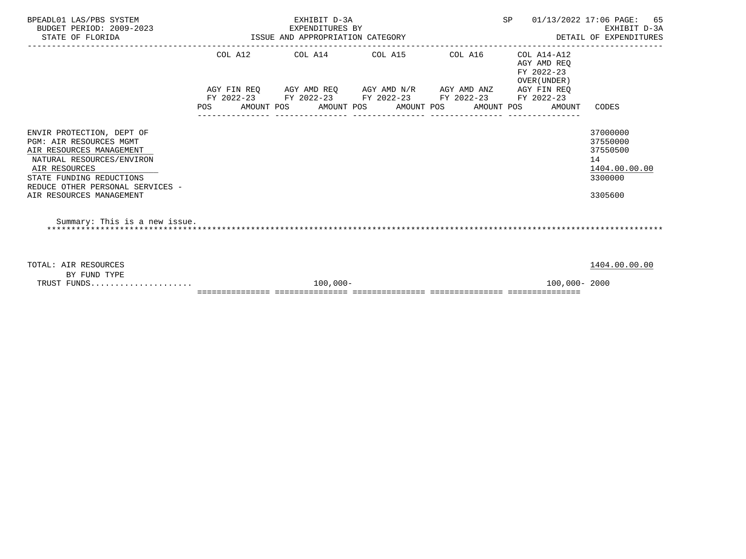| BPEADL01 LAS/PBS SYSTEM<br>BUDGET PERIOD: 2009-2023<br>STATE OF FLORIDA                                                                                                                                                           |     | EXHIBIT D-3A<br>EXPENDITURES BY<br>ISSUE AND APPROPRIATION CATEGORY             |         | SP 01/13/2022 17:06 PAGE:                                | 65<br>EXHIBIT D-3A<br>DETAIL OF EXPENDITURES                                  |  |
|-----------------------------------------------------------------------------------------------------------------------------------------------------------------------------------------------------------------------------------|-----|---------------------------------------------------------------------------------|---------|----------------------------------------------------------|-------------------------------------------------------------------------------|--|
|                                                                                                                                                                                                                                   |     | COL A12 COL A14 COL A15                                                         | COL A16 | COL A14-A12<br>AGY AMD REO<br>FY 2022-23<br>OVER (UNDER) |                                                                               |  |
|                                                                                                                                                                                                                                   |     | AGY FIN REO AGY AMD REO AGY AMD N/R AGY AMD ANZ AGY FIN REO                     |         |                                                          |                                                                               |  |
|                                                                                                                                                                                                                                   | POS | FY 2022-23 FY 2022-23 FY 2022-23 FY 2022-23<br>AMOUNT POS AMOUNT POS AMOUNT POS |         | FY 2022-23<br>AMOUNT POS<br>AMOUNT                       | CODES                                                                         |  |
| ENVIR PROTECTION, DEPT OF<br><b>PGM: AIR RESOURCES MGMT</b><br>AIR RESOURCES MANAGEMENT<br>NATURAL RESOURCES/ENVIRON<br>AIR RESOURCES<br>STATE FUNDING REDUCTIONS<br>REDUCE OTHER PERSONAL SERVICES -<br>AIR RESOURCES MANAGEMENT |     |                                                                                 |         |                                                          | 37000000<br>37550000<br>37550500<br>14<br>1404.00.00.00<br>3300000<br>3305600 |  |
| Summary: This is a new issue.                                                                                                                                                                                                     |     |                                                                                 |         |                                                          |                                                                               |  |
| TOTAL: AIR RESOURCES<br>BY FUND TYPE                                                                                                                                                                                              |     |                                                                                 |         |                                                          | 1404.00.00.00                                                                 |  |
| TRUST FUNDS                                                                                                                                                                                                                       |     | $100.000 -$                                                                     |         | 100,000-2000                                             |                                                                               |  |

=============== =============== =============== =============== ===============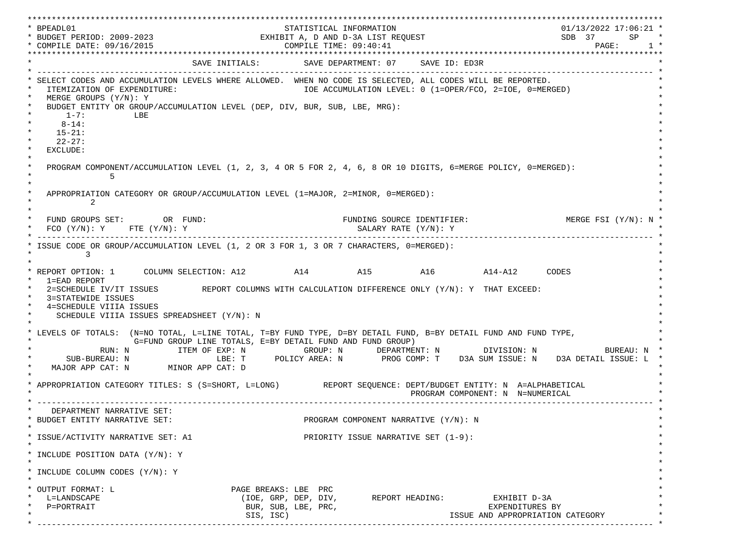\*\*\*\*\*\*\*\*\*\*\*\*\*\*\*\*\*\*\*\*\*\*\*\*\*\*\*\*\*\*\*\*\*\*\*\*\*\*\*\*\*\*\*\*\*\*\*\*\*\*\*\*\*\*\*\*\*\*\*\*\*\*\*\*\*\*\*\*\*\*\*\*\*\*\*\*\*\*\*\*\*\*\*\*\*\*\*\*\*\*\*\*\*\*\*\*\*\*\*\*\*\*\*\*\*\*\*\*\*\*\*\*\*\*\*\*\*\*\*\*\*\*\*\*\*\*\*\*\*\*\* \* BPEADL01 STATISTICAL INFORMATION 01/13/2022 17:06:21 \* \* BUDGET PERIOD: 2009-2023 EXHIBIT A, D AND D-3A LIST REQUEST SDB 37 SP \* \* COMPILE DATE: 09/16/2015 2010 2020 COMPILE TIME: 09:40:41 \*\*\*\*\*\*\*\*\*\*\*\*\*\*\*\*\*\*\*\*\*\*\*\*\*\*\*\*\*\*\*\*\*\*\*\*\*\*\*\*\*\*\*\*\*\*\*\*\*\*\*\*\*\*\*\*\*\*\*\*\*\*\*\*\*\*\*\*\*\*\*\*\*\*\*\*\*\*\*\*\*\*\*\*\*\*\*\*\*\*\*\*\*\*\*\*\*\*\*\*\*\*\*\*\*\*\*\*\*\*\*\*\*\*\*\*\*\*\*\*\*\*\*\*\*\*\*\*\*\*\* SAVE INITIALS: SAVE DEPARTMENT: 07 SAVE ID: ED3R \* ------------------------------------------------------------------------------------------------------------------------------- \* SELECT CODES AND ACCUMULATION LEVELS WHERE ALLOWED. WHEN NO CODE IS SELECTED, ALL CODES WILL BE REPORTED. ITEMIZATION OF EXPENDITURE:  $\overline{10E}$  accumulation level: 0 (1=OPER/FCO, 2=IOE, 0=MERGED) MERGE GROUPS (Y/N): Y BUDGET ENTITY OR GROUP/ACCUMULATION LEVEL (DEP, DIV, BUR, SUB, LBE, MRG):  $*$  1-7: LBE  $*$  $*$  8-14:  $*$  $*$  15-21:  $*$  $*$  22-27: \* \* EXCLUDE: \*  $\star$   $\star$  \* PROGRAM COMPONENT/ACCUMULATION LEVEL (1, 2, 3, 4 OR 5 FOR 2, 4, 6, 8 OR 10 DIGITS, 6=MERGE POLICY, 0=MERGED): \*  $\star$  5  $\star$  $\star$   $\star$ APPROPRIATION CATEGORY OR GROUP/ACCUMULATION LEVEL (1=MAJOR, 2=MINOR, 0=MERGED):  $\star$  2  $\star$  $\star$   $\star$ FUND GROUPS SET: OR FUND: THE SOURCE IDENTIFIER: MERGE FSI (Y/N): N  $FCO (Y/N): Y$  FTE  $(Y/N): Y$  SALARY RATE  $(Y/N): Y$  \* ------------------------------------------------------------------------------------------------------------------------------- \* ISSUE CODE OR GROUP/ACCUMULATION LEVEL (1, 2 OR 3 FOR 1, 3 OR 7 CHARACTERS, 0=MERGED):  $\star$  3  $\star$  $\star$   $\star$  \* REPORT OPTION: 1 COLUMN SELECTION: A12 A14 A15 A16 A14-A12 CODES \* \* 1=EAD REPORT \* 2=SCHEDULE IV/IT ISSUES REPORT COLUMNS WITH CALCULATION DIFFERENCE ONLY (Y/N): Y THAT EXCEED: 3=STATEWIDE ISSUES 4=SCHEDULE VIIIA ISSUES SCHEDULE VIIIA ISSUES SPREADSHEET (Y/N): N \* \* \* LEVELS OF TOTALS: (N=NO TOTAL, L=LINE TOTAL, T=BY FUND TYPE, D=BY DETAIL FUND, B=BY DETAIL FUND AND FUND TYPE, \* G=FUND GROUP LINE TOTALS, E=BY DETAIL FUND AND FUND GROUP) \* RUN: N ITEM OF EXP: N GROUP: N DEPARTMENT: N DIVISION: N BUREAU: N \* \* SUB-BUREAU: N LBE: T POLICY AREA: N PROG COMP: T D3A SUM ISSUE: N D3A DETAIL ISSUE: L \* MAJOR APP CAT: N MINOR APP CAT: D \* \* APPROPRIATION CATEGORY TITLES: S (S=SHORT, L=LONG) REPORT SEQUENCE: DEPT/BUDGET ENTITY: N A=ALPHABETICAL PROGRAM COMPONENT: N N=NUMERICAL \* ------------------------------------------------------------------------------------------------------------------------------- \* DEPARTMENT NARRATIVE SET:<br>BUDGET ENTITY NARRATIVE SET: PROGRAM COMPONENT NARRATIVE (Y/N): N \* \* \* ISSUE/ACTIVITY NARRATIVE SET: A1 PRIORITY ISSUE NARRATIVE SET (1-9): \*  $\star$   $\star$  \* INCLUDE POSITION DATA (Y/N): Y \* \* \* INCLUDE COLUMN CODES  $(Y/N): Y$  \* \* \* OUTPUT FORMAT: L PAGE BREAKS: LBE PRC \* \* L=LANDSCAPE (IOE, GRP, DEP, DIV, REPORT HEADING: EXHIBIT D-3A \* \* P=PORTRAIT BUR, SUB, LBE, PRC, EXPENDITURES BY \* SIS, ISC) ISSUE AND APPROPRIATION CATEGORY \* ------------------------------------------------------------------------------------------------------------------------------- \*